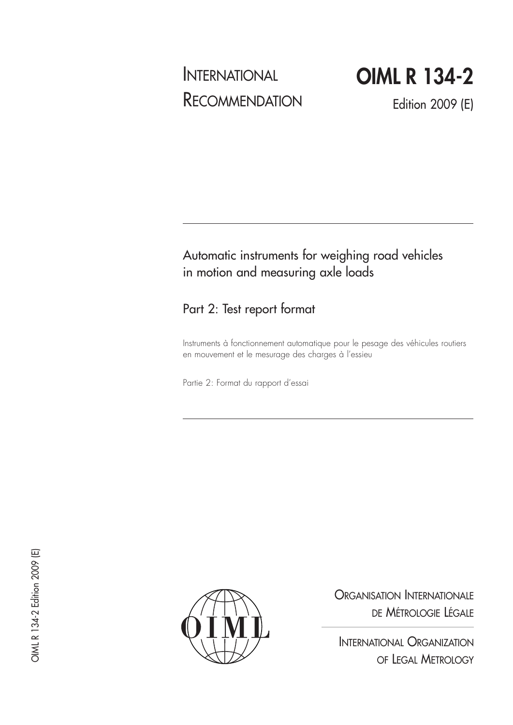# INTERNATIONAL RECOMMENDATION

**OIML R 134-2**

Edition 2009 (E)

# Automatic instruments for weighing road vehicles in motion and measuring axle loads

# Part 2: Test report format

Instruments à fonctionnement automatique pour le pesage des véhicules routiers en mouvement et le mesurage des charges à l'essieu

Partie 2: Format du rapport d'essai



ORGANISATION INTERNATIONALE DE MÉTROLOGIE LÉGALE

INTERNATIONAL ORGANIZATION OF LEGAL METROLOGY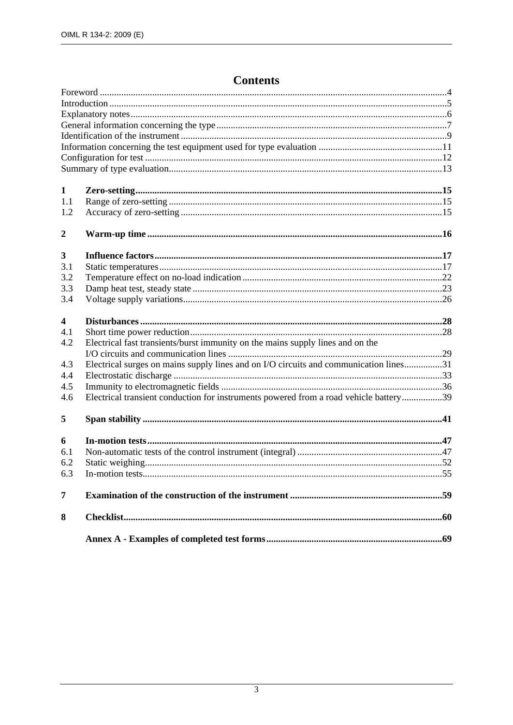## **Contents**

| 1                       |                                                                                       |  |
|-------------------------|---------------------------------------------------------------------------------------|--|
| 1.1                     |                                                                                       |  |
| 1.2                     |                                                                                       |  |
| $\boldsymbol{2}$        |                                                                                       |  |
| 3                       |                                                                                       |  |
| 3.1                     |                                                                                       |  |
| 3.2                     |                                                                                       |  |
| 3.3                     |                                                                                       |  |
| 3.4                     |                                                                                       |  |
| $\overline{\mathbf{4}}$ |                                                                                       |  |
| 4.1                     |                                                                                       |  |
| 4.2                     | Electrical fast transients/burst immunity on the mains supply lines and on the        |  |
|                         |                                                                                       |  |
| 4.3                     | Electrical surges on mains supply lines and on I/O circuits and communication lines31 |  |
|                         |                                                                                       |  |
| 4.4                     |                                                                                       |  |
| 4.5                     |                                                                                       |  |
| 4.6                     | Electrical transient conduction for instruments powered from a road vehicle battery39 |  |
| 5                       |                                                                                       |  |
| 6                       |                                                                                       |  |
| 6.1                     |                                                                                       |  |
| 6.2                     |                                                                                       |  |
| 6.3                     |                                                                                       |  |
| 7                       |                                                                                       |  |
| 8                       |                                                                                       |  |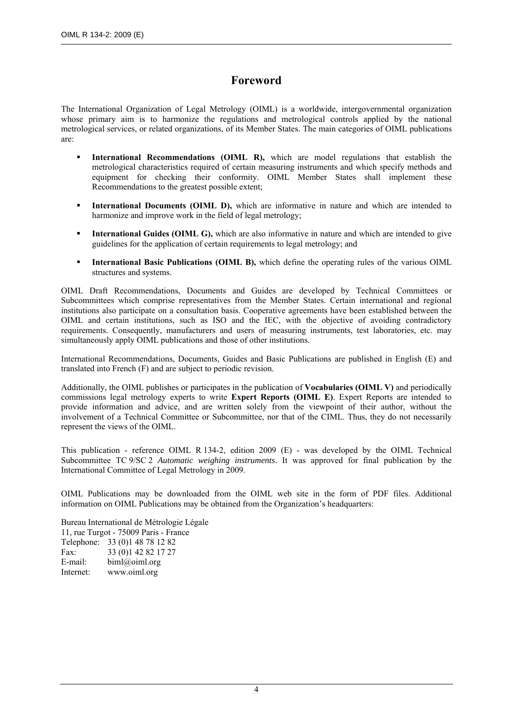### **Foreword**

The International Organization of Legal Metrology (OIML) is a worldwide, intergovernmental organization whose primary aim is to harmonize the regulations and metrological controls applied by the national metrological services, or related organizations, of its Member States. The main categories of OIML publications are:

- **International Recommendations (OIML R),** which are model regulations that establish the metrological characteristics required of certain measuring instruments and which specify methods and equipment for checking their conformity. OIML Member States shall implement these Recommendations to the greatest possible extent;
- **International Documents (OIML D),** which are informative in nature and which are intended to harmonize and improve work in the field of legal metrology;
- **International Guides (OIML G),** which are also informative in nature and which are intended to give guidelines for the application of certain requirements to legal metrology; and
- **International Basic Publications (OIML B),** which define the operating rules of the various OIML structures and systems.

OIML Draft Recommendations, Documents and Guides are developed by Technical Committees or Subcommittees which comprise representatives from the Member States. Certain international and regional institutions also participate on a consultation basis. Cooperative agreements have been established between the OIML and certain institutions, such as ISO and the IEC, with the objective of avoiding contradictory requirements. Consequently, manufacturers and users of measuring instruments, test laboratories, etc. may simultaneously apply OIML publications and those of other institutions.

International Recommendations, Documents, Guides and Basic Publications are published in English (E) and translated into French (F) and are subject to periodic revision.

Additionally, the OIML publishes or participates in the publication of **Vocabularies (OIML V)** and periodically commissions legal metrology experts to write **Expert Reports (OIML E)**. Expert Reports are intended to provide information and advice, and are written solely from the viewpoint of their author, without the involvement of a Technical Committee or Subcommittee, nor that of the CIML. Thus, they do not necessarily represent the views of the OIML.

This publication - reference OIML R 134-2, edition 2009 (E) - was developed by the OIML Technical Subcommittee TC 9/SC 2 *Automatic weighing instruments*. It was approved for final publication by the International Committee of Legal Metrology in 2009.

OIML Publications may be downloaded from the OIML web site in the form of PDF files. Additional information on OIML Publications may be obtained from the Organization's headquarters:

Bureau International de Métrologie Légale 11, rue Turgot - 75009 Paris - France Telephone: 33 (0)1 48 78 12 82 Fax: 33 (0) 142 82 17 27 E-mail: biml@oiml.org Internet: www.oiml.org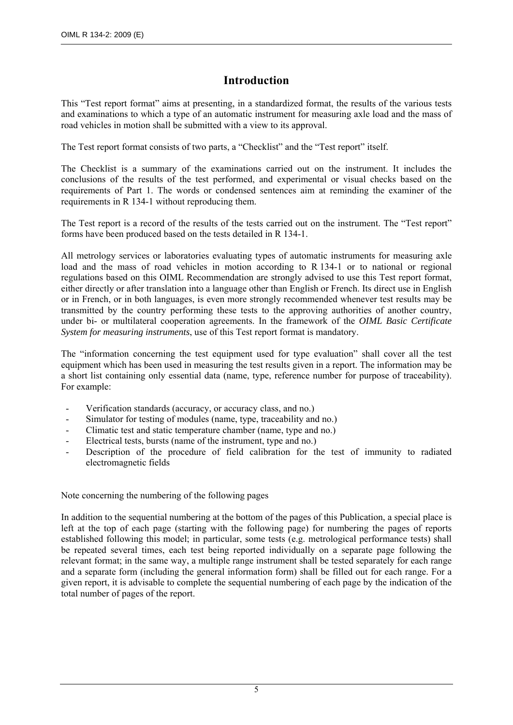### **Introduction**

This "Test report format" aims at presenting, in a standardized format, the results of the various tests and examinations to which a type of an automatic instrument for measuring axle load and the mass of road vehicles in motion shall be submitted with a view to its approval.

The Test report format consists of two parts, a "Checklist" and the "Test report" itself.

The Checklist is a summary of the examinations carried out on the instrument. It includes the conclusions of the results of the test performed, and experimental or visual checks based on the requirements of Part 1. The words or condensed sentences aim at reminding the examiner of the requirements in R 134-1 without reproducing them.

The Test report is a record of the results of the tests carried out on the instrument. The "Test report" forms have been produced based on the tests detailed in R 134-1.

All metrology services or laboratories evaluating types of automatic instruments for measuring axle load and the mass of road vehicles in motion according to R 134-1 or to national or regional regulations based on this OIML Recommendation are strongly advised to use this Test report format, either directly or after translation into a language other than English or French. Its direct use in English or in French, or in both languages, is even more strongly recommended whenever test results may be transmitted by the country performing these tests to the approving authorities of another country, under bi- or multilateral cooperation agreements. In the framework of the *OIML Basic Certificate System for measuring instruments*, use of this Test report format is mandatory.

The "information concerning the test equipment used for type evaluation" shall cover all the test equipment which has been used in measuring the test results given in a report. The information may be a short list containing only essential data (name, type, reference number for purpose of traceability). For example:

- Verification standards (accuracy, or accuracy class, and no.)
- Simulator for testing of modules (name, type, traceability and no.)
- Climatic test and static temperature chamber (name, type and no.)
- Electrical tests, bursts (name of the instrument, type and no.)
- Description of the procedure of field calibration for the test of immunity to radiated electromagnetic fields

Note concerning the numbering of the following pages

In addition to the sequential numbering at the bottom of the pages of this Publication, a special place is left at the top of each page (starting with the following page) for numbering the pages of reports established following this model; in particular, some tests (e.g. metrological performance tests) shall be repeated several times, each test being reported individually on a separate page following the relevant format; in the same way, a multiple range instrument shall be tested separately for each range and a separate form (including the general information form) shall be filled out for each range. For a given report, it is advisable to complete the sequential numbering of each page by the indication of the total number of pages of the report.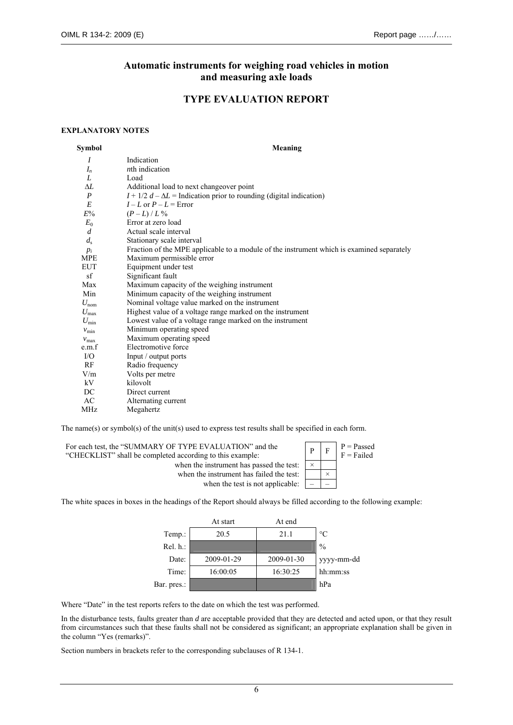#### **Automatic instruments for weighing road vehicles in motion and measuring axle loads**

#### **TYPE EVALUATION REPORT**

#### **EXPLANATORY NOTES**

| Symbol           | Meaning                                                                                   |
|------------------|-------------------------------------------------------------------------------------------|
| $\overline{I}$   | Indication                                                                                |
| $I_n$            | <i>n</i> th indication                                                                    |
| L                | Load                                                                                      |
| ΔL               | Additional load to next changeover point                                                  |
| P                | $I + 1/2 d - \Delta L$ = Indication prior to rounding (digital indication)                |
| E                | $I - L$ or $P - L =$ Error                                                                |
| $E\%$            | $(P - L)/L\%$                                                                             |
| $E_0$            | Error at zero load                                                                        |
| $\overline{d}$   | Actual scale interval                                                                     |
| $d_{\rm s}$      | Stationary scale interval                                                                 |
| $p_i$            | Fraction of the MPE applicable to a module of the instrument which is examined separately |
| MPE              | Maximum permissible error                                                                 |
| EUT              | Equipment under test                                                                      |
| sf               | Significant fault                                                                         |
| Max              | Maximum capacity of the weighing instrument                                               |
| Min              | Minimum capacity of the weighing instrument                                               |
| $U_{\text{nom}}$ | Nominal voltage value marked on the instrument                                            |
| $U_{\rm max}$    | Highest value of a voltage range marked on the instrument                                 |
| $U_{\rm min}$    | Lowest value of a voltage range marked on the instrument                                  |
| $v_{\rm min}$    | Minimum operating speed                                                                   |
| $v_{\text{max}}$ | Maximum operating speed                                                                   |
| e.m.f            | Electromotive force                                                                       |
| $\rm I/O$        | Input / output ports                                                                      |
| RF               | Radio frequency                                                                           |
| V/m              | Volts per metre                                                                           |
| kV               | kilovolt                                                                                  |
| DC               | Direct current                                                                            |
| AC               | Alternating current                                                                       |
| MHz              | Megahertz                                                                                 |

The name(s) or symbol(s) of the unit(s) used to express test results shall be specified in each form.

| For each test, the "SUMMARY OF TYPE EVALUATION" and the<br>"CHECKLIST" shall be completed according to this example: |          | $P =$ Passed<br>F = Failed |
|----------------------------------------------------------------------------------------------------------------------|----------|----------------------------|
| when the instrument has passed the test:                                                                             | $\times$ |                            |
| when the instrument has failed the test:                                                                             |          |                            |
| when the test is not applicable:                                                                                     |          |                            |

The white spaces in boxes in the headings of the Report should always be filled according to the following example:

|             | At start   | At end     |               |
|-------------|------------|------------|---------------|
| Temp.:      | 20.5       | 21.1       | $\circ$ C     |
| Rel. h.:    |            |            | $\frac{0}{0}$ |
| Date:       | 2009-01-29 | 2009-01-30 | yyyy-mm-dd    |
| Time:       | 16:00:05   | 16:30:25   | hh:mm:ss      |
| Bar. pres.: |            |            | hPa           |

Where "Date" in the test reports refers to the date on which the test was performed.

In the disturbance tests, faults greater than *d* are acceptable provided that they are detected and acted upon, or that they result from circumstances such that these faults shall not be considered as significant; an appropriate explanation shall be given in the column "Yes (remarks)".

Section numbers in brackets refer to the corresponding subclauses of R 134-1.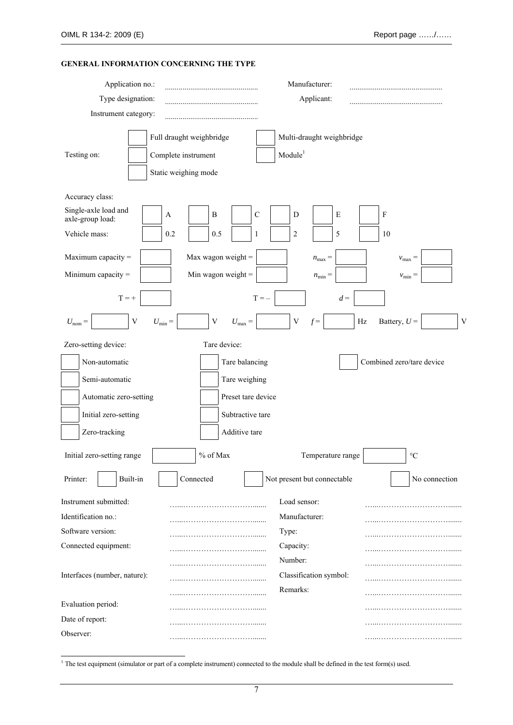#### **GENERAL INFORMATION CONCERNING THE TYPE**

| Application no.:<br>Type designation:<br>Instrument category:                                                                                                                                                                                                                                            |                                                                                                                                                                                                                                                                | Manufacturer:<br>Applicant:                                                                                                                             |                                                                                                      |
|----------------------------------------------------------------------------------------------------------------------------------------------------------------------------------------------------------------------------------------------------------------------------------------------------------|----------------------------------------------------------------------------------------------------------------------------------------------------------------------------------------------------------------------------------------------------------------|---------------------------------------------------------------------------------------------------------------------------------------------------------|------------------------------------------------------------------------------------------------------|
| Testing on:                                                                                                                                                                                                                                                                                              | Full draught weighbridge<br>Complete instrument<br>Static weighing mode                                                                                                                                                                                        | Multi-draught weighbridge<br>Module <sup>1</sup>                                                                                                        |                                                                                                      |
| Accuracy class:<br>Single-axle load and<br>axle-group load:<br>Vehicle mass:<br>Maximum capacity =<br>Minimum capacity $=$<br>$T = +$<br>$\mathbf V$<br>$U_{\text{nom}} =$<br>Zero-setting device:<br>Non-automatic<br>Semi-automatic<br>Automatic zero-setting<br>Initial zero-setting<br>Zero-tracking | $\, {\bf B}$<br>A<br>0.2<br>0.5<br>Max wagon weight =<br>Min wagon weight $=$<br>$\ensuremath{\mathbf{V}}$<br>$U_{\min} =$<br>$U_{\text{max}} =$<br>Tare device:<br>Tare balancing<br>Tare weighing<br>Preset tare device<br>Subtractive tare<br>Additive tare | $\mathsf C$<br>$\mathbf E$<br>D<br>2<br>5<br>$\mathbf{1}$<br>$n_{\text{max}} =$<br>$n_{\min} =$<br>$T = -$<br>$d =$<br>$\mathbf V$<br>$\rm Hz$<br>$f =$ | F<br>10<br>$v_{\text{max}} =$<br>$v_{\rm min} =$<br>Battery, $U =$<br>V<br>Combined zero/tare device |
| Initial zero-setting range                                                                                                                                                                                                                                                                               | % of Max                                                                                                                                                                                                                                                       | Temperature range                                                                                                                                       | $\rm ^{\circ}C$                                                                                      |
| Printer:<br>Built-in                                                                                                                                                                                                                                                                                     | Connected                                                                                                                                                                                                                                                      | Not present but connectable                                                                                                                             | No connection                                                                                        |
| Instrument submitted:<br>Identification no.:<br>Software version:<br>Connected equipment:<br>Interfaces (number, nature):                                                                                                                                                                                |                                                                                                                                                                                                                                                                | Load sensor:<br>Manufacturer:<br>Type:<br>Capacity:<br>Number:<br>Classification symbol:<br>Remarks:                                                    |                                                                                                      |
| Evaluation period:                                                                                                                                                                                                                                                                                       |                                                                                                                                                                                                                                                                |                                                                                                                                                         |                                                                                                      |
| Date of report:<br>Observer:                                                                                                                                                                                                                                                                             |                                                                                                                                                                                                                                                                |                                                                                                                                                         |                                                                                                      |

1 The test equipment (simulator or part of a complete instrument) connected to the module shall be defined in the test form(s) used.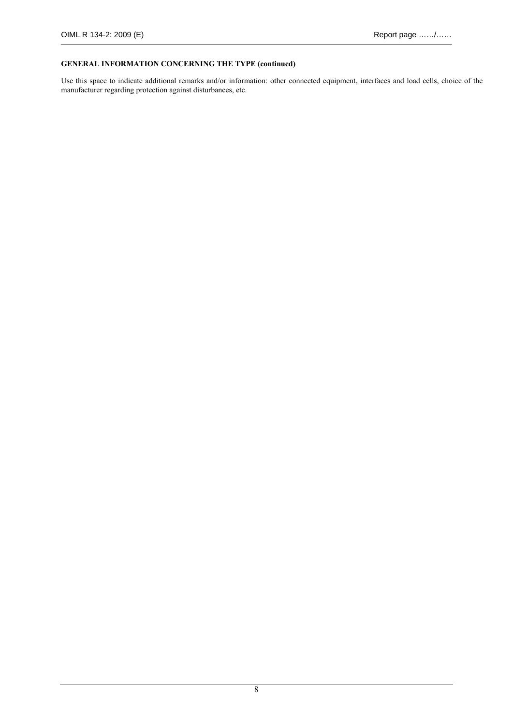#### **GENERAL INFORMATION CONCERNING THE TYPE (continued)**

Use this space to indicate additional remarks and/or information: other connected equipment, interfaces and load cells, choice of the manufacturer regarding protection against disturbances, etc.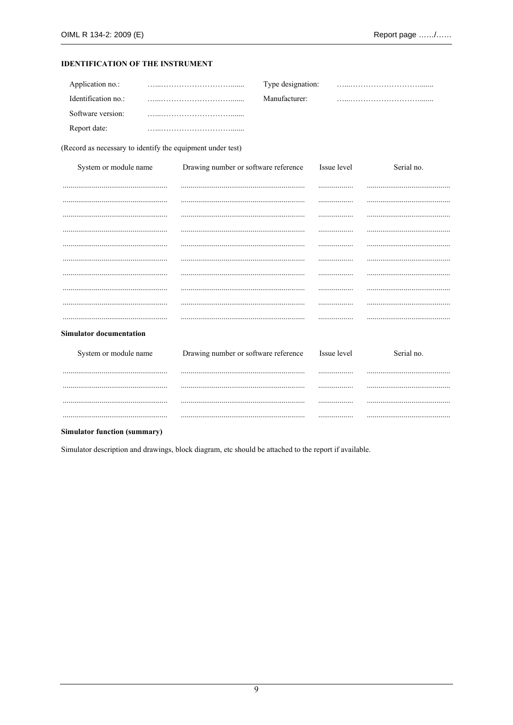#### **IDENTIFICATION OF THE INSTRUMENT**

| Application no.:    | Type designation: |  |
|---------------------|-------------------|--|
| Identification no.: | Manufacturer:     |  |
| Software version:   |                   |  |
| Report date:        |                   |  |

(Record as necessary to identify the equipment under test)

| System or module name          | Drawing number or software reference | Issue level | Serial no. |
|--------------------------------|--------------------------------------|-------------|------------|
|                                |                                      |             |            |
|                                |                                      |             |            |
|                                |                                      |             |            |
|                                |                                      |             |            |
|                                |                                      |             |            |
|                                |                                      |             |            |
|                                |                                      |             |            |
|                                |                                      |             |            |
|                                |                                      |             |            |
|                                |                                      |             |            |
| <b>Simulator documentation</b> |                                      |             |            |
| System or module name          | Drawing number or software reference | Issue level | Serial no. |
|                                |                                      | .           |            |
|                                |                                      |             |            |
|                                |                                      | .           |            |
|                                |                                      |             |            |
|                                |                                      |             |            |

#### **Simulator function (summary)**

Simulator description and drawings, block diagram, etc should be attached to the report if available.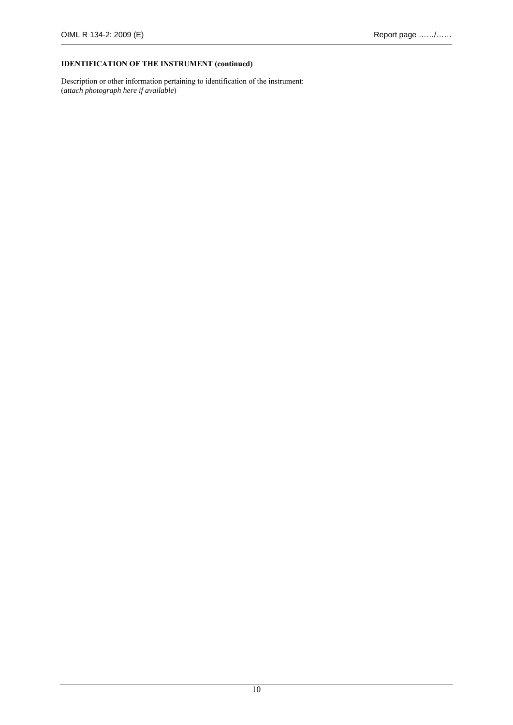#### **IDENTIFICATION OF THE INSTRUMENT (continued)**

Description or other information pertaining to identification of the instrument: (*attach photograph here if available*)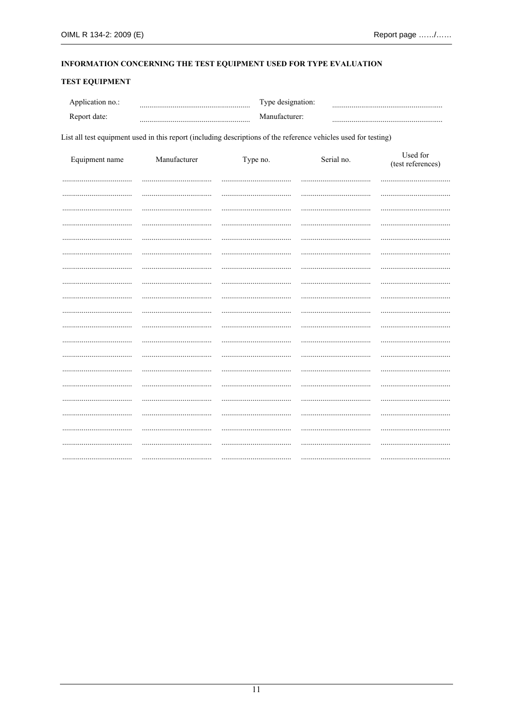#### INFORMATION CONCERNING THE TEST EQUIPMENT USED FOR TYPE EVALUATION

#### **TEST EQUIPMENT**

| Application no.: | Type designation: |  |
|------------------|-------------------|--|
| Report date:     | Manufacturer:     |  |

List all test equipment used in this report (including descriptions of the reference vehicles used for testing)

| Equipment name | Manufacturer | Type no. | Serial no. | Used for<br>(test references) |
|----------------|--------------|----------|------------|-------------------------------|
|                |              |          |            |                               |
|                |              |          |            |                               |
|                |              |          |            |                               |
|                |              |          |            |                               |
|                |              |          |            |                               |
|                |              |          |            |                               |
|                |              |          |            |                               |
|                |              |          |            |                               |
|                |              |          |            |                               |
|                |              |          |            |                               |
|                |              |          |            |                               |
|                |              | .        |            |                               |
|                |              |          |            |                               |
|                |              |          |            |                               |
|                |              |          |            |                               |
|                |              |          |            |                               |
|                |              | .        |            |                               |
|                |              |          |            |                               |
|                |              |          |            |                               |
|                |              |          |            |                               |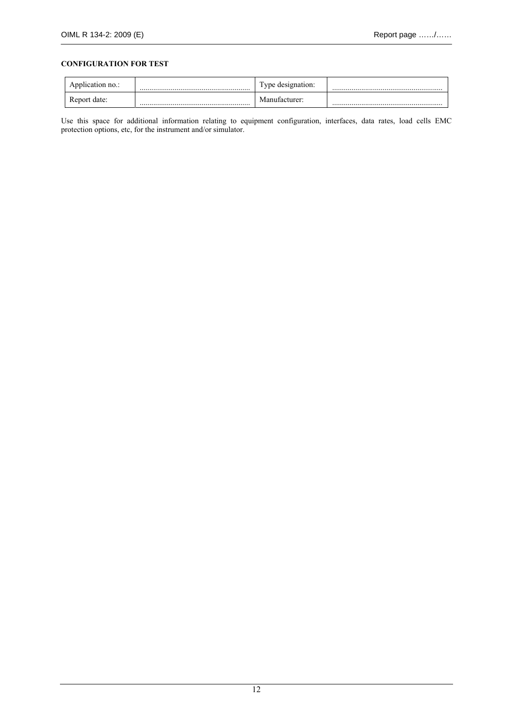#### **CONFIGURATION FOR TEST**

| Application no.: | l'ype designation: |  |
|------------------|--------------------|--|
| Report date:     | Manufacturer:      |  |

Use this space for additional information relating to equipment configuration, interfaces, data rates, load cells EMC protection options, etc, for the instrument and/or simulator.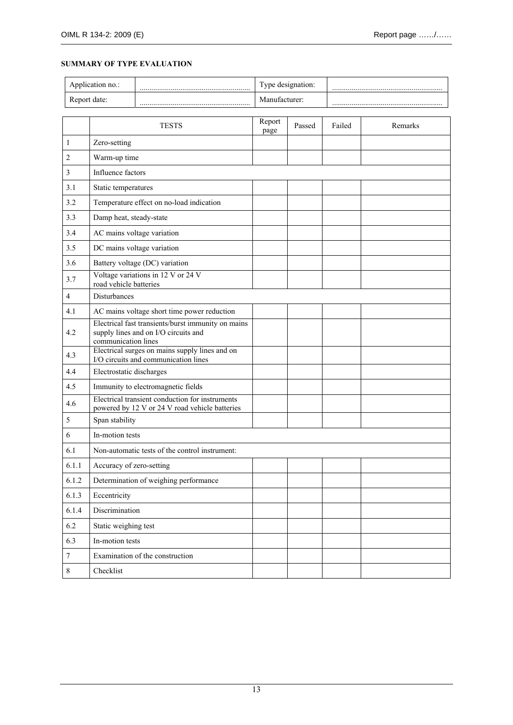#### **SUMMARY OF TYPE EVALUATION**

| Application no.: | Type designation: |  |
|------------------|-------------------|--|
| Report date:     | Manufacturer:     |  |

|                  | <b>TESTS</b>                                                                                                      | Report<br>page | Passed | Failed | Remarks |
|------------------|-------------------------------------------------------------------------------------------------------------------|----------------|--------|--------|---------|
| $\mathbf{1}$     | Zero-setting                                                                                                      |                |        |        |         |
| $\overline{c}$   | Warm-up time                                                                                                      |                |        |        |         |
| 3                | Influence factors                                                                                                 |                |        |        |         |
| 3.1              | Static temperatures                                                                                               |                |        |        |         |
| 3.2              | Temperature effect on no-load indication                                                                          |                |        |        |         |
| 3.3              | Damp heat, steady-state                                                                                           |                |        |        |         |
| 3.4              | AC mains voltage variation                                                                                        |                |        |        |         |
| 3.5              | DC mains voltage variation                                                                                        |                |        |        |         |
| 3.6              | Battery voltage (DC) variation                                                                                    |                |        |        |         |
| 3.7              | Voltage variations in 12 V or 24 V<br>road vehicle batteries                                                      |                |        |        |         |
| 4                | <b>Disturbances</b>                                                                                               |                |        |        |         |
| 4.1              | AC mains voltage short time power reduction                                                                       |                |        |        |         |
| 4.2              | Electrical fast transients/burst immunity on mains<br>supply lines and on I/O circuits and<br>communication lines |                |        |        |         |
| 4.3              | Electrical surges on mains supply lines and on<br>I/O circuits and communication lines                            |                |        |        |         |
| 4.4              | Electrostatic discharges                                                                                          |                |        |        |         |
| 4.5              | Immunity to electromagnetic fields                                                                                |                |        |        |         |
| 4.6              | Electrical transient conduction for instruments<br>powered by 12 V or 24 V road vehicle batteries                 |                |        |        |         |
| 5                | Span stability                                                                                                    |                |        |        |         |
| 6                | In-motion tests                                                                                                   |                |        |        |         |
| 6.1              | Non-automatic tests of the control instrument:                                                                    |                |        |        |         |
| 6.1.1            | Accuracy of zero-setting                                                                                          |                |        |        |         |
| 6.1.2            | Determination of weighing performance                                                                             |                |        |        |         |
| 6.1.3            | Eccentricity                                                                                                      |                |        |        |         |
| 6.1.4            | Discrimination                                                                                                    |                |        |        |         |
| 6.2              | Static weighing test                                                                                              |                |        |        |         |
| 6.3              | In-motion tests                                                                                                   |                |        |        |         |
| $\boldsymbol{7}$ | Examination of the construction                                                                                   |                |        |        |         |
| $8\,$            | Checklist                                                                                                         |                |        |        |         |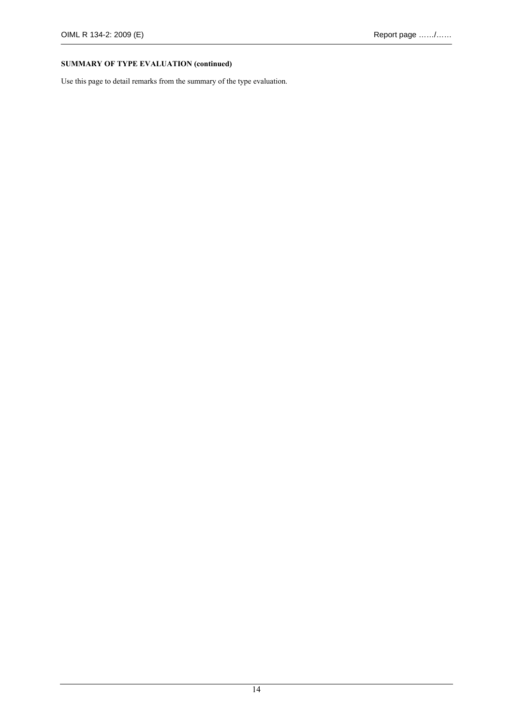#### **SUMMARY OF TYPE EVALUATION (continued)**

Use this page to detail remarks from the summary of the type evaluation.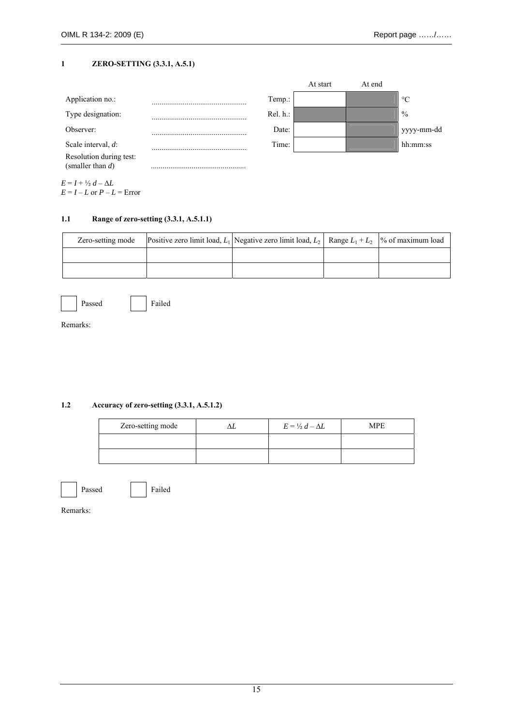#### **1 ZERO-SETTING (3.3.1, A.5.1)**

|                                                |             | At start | At end |                 |
|------------------------------------------------|-------------|----------|--------|-----------------|
| Application no.:                               | Temp.:      |          |        | $\rm ^{\circ}C$ |
| Type designation:                              | $Rel. h.$ : |          |        | $\frac{0}{0}$   |
| Observer:                                      | Date:       |          |        | yyyy-mm-dd      |
| Scale interval, d:                             | Time:       |          |        | hh:mm:ss        |
| Resolution during test:<br>(smaller than $d$ ) |             |          |        |                 |
| $E = I + \frac{1}{2}d - \Delta L$              |             |          |        |                 |

 $E = I - L$  or  $P - L =$  Error

#### **1.1 Range of zero-setting (3.3.1, A.5.1.1)**

| Zero-setting mode | Positive zero limit load, $L_1$ Negative zero limit load, $L_2$ Range $L_1 + L_2$ % of maximum load |  |
|-------------------|-----------------------------------------------------------------------------------------------------|--|
|                   |                                                                                                     |  |
|                   |                                                                                                     |  |

|--|--|

ed **Failed** 

Remarks:

#### **1.2 Accuracy of zero-setting (3.3.1, A.5.1.2)**

| Zero-setting mode | $E = \frac{1}{2} d - \Delta L$ | MPE |
|-------------------|--------------------------------|-----|
|                   |                                |     |
|                   |                                |     |



Passed Failed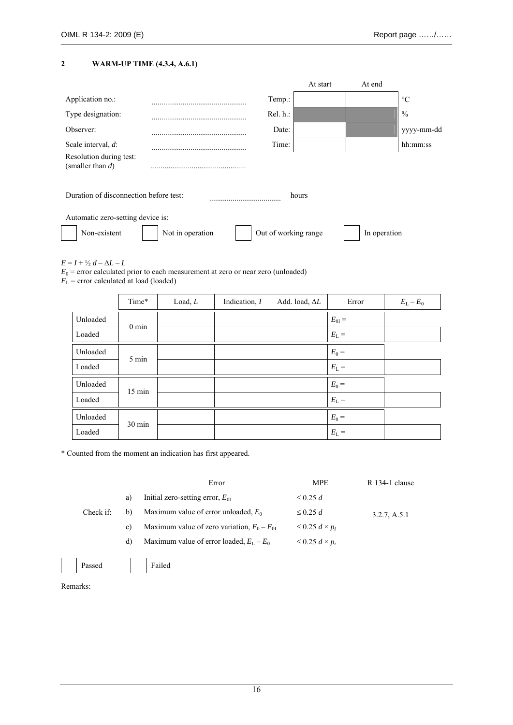#### **2 WARM-UP TIME (4.3.4, A.6.1)**

|                                                |                  |                      | At start | At end       |                 |
|------------------------------------------------|------------------|----------------------|----------|--------------|-----------------|
| Application no.:                               |                  | Temp.:               |          |              | $\rm ^{\circ}C$ |
| Type designation:                              |                  | Rel. h.:             |          |              | $\frac{0}{0}$   |
| Observer:                                      |                  | Date:                |          |              | yyyy-mm-dd      |
| Scale interval, $d$ :                          |                  | Time:                |          |              | hh:mm:ss        |
| Resolution during test:<br>(smaller than $d$ ) |                  |                      |          |              |                 |
| Duration of disconnection before test:         |                  |                      | hours    |              |                 |
| Automatic zero-setting device is:              |                  |                      |          |              |                 |
| Non-existent                                   | Not in operation | Out of working range |          | In operation |                 |

 $E = I + \frac{1}{2}d - \Delta L - L$ 

 $E_0$  = error calculated prior to each measurement at zero or near zero (unloaded)

 $E_{\rm L}$  = error calculated at load (loaded)

|          | Time*            | Load, L | Indication, $I$ | Add. load, $\Delta L$ | Error         | $E_{L}-E_{0}$ |
|----------|------------------|---------|-----------------|-----------------------|---------------|---------------|
| Unloaded | $0 \text{ min}$  |         |                 |                       | $E_{0I} =$    |               |
| Loaded   |                  |         |                 |                       | $E_{\rm L}$ = |               |
| Unloaded | 5 min            |         |                 |                       | $E_0 =$       |               |
| Loaded   |                  |         |                 |                       | $E_{L}$ =     |               |
| Unloaded | $15 \text{ min}$ |         |                 |                       | $E_0 =$       |               |
| Loaded   |                  |         |                 |                       | $E_{L}$ =     |               |
| Unloaded | 30 min           |         |                 |                       | $E_0 =$       |               |
| Loaded   |                  |         |                 |                       | $E_{L}$ =     |               |

\* Counted from the moment an indication has first appeared.

|    | Error                                           | <b>MPE</b>                 | R 134-1 clause |
|----|-------------------------------------------------|----------------------------|----------------|
| a) | Initial zero-setting error, $E_{0I}$            | $\leq$ 0.25 d              |                |
| b) | Maximum value of error unloaded, $E_0$          | $\leq$ 0.25 d              | 3.2.7, A.5.1   |
| C) | Maximum value of zero variation, $E_0 - E_{0I}$ | $\leq$ 0.25 $d \times p_i$ |                |
| d) | Maximum value of error loaded, $E_L - E_0$      | $\leq$ 0.25 $d \times p_i$ |                |
|    |                                                 |                            |                |

Passed Failed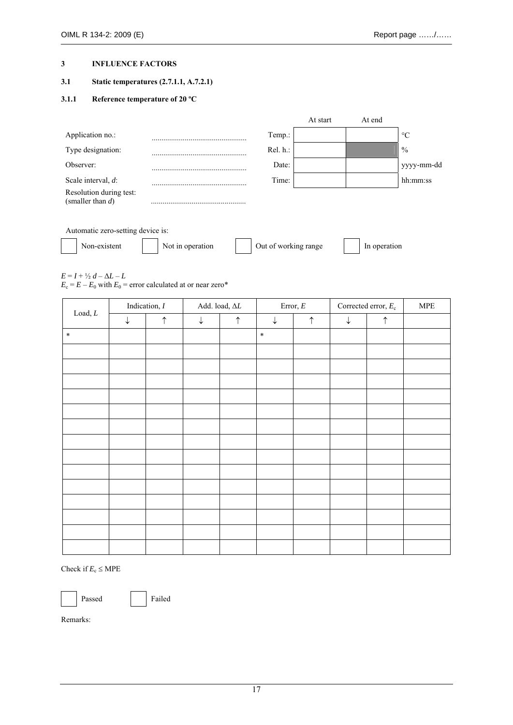#### **3 INFLUENCE FACTORS**

#### **3.1 Static temperatures (2.7.1.1, A.7.2.1)**

#### **3.1.1 Reference temperature of 20 ºC**

|                                                |          | At start | At end |                 |
|------------------------------------------------|----------|----------|--------|-----------------|
| Application no.:                               | Temp.:   |          |        | $\rm ^{\circ}C$ |
| Type designation:                              | Rel. h.: |          |        | $\frac{0}{0}$   |
| Observer:                                      | Date:    |          |        | yyyy-mm-dd      |
| Scale interval, $d$ :                          | Time:    |          |        | hh:mm:ss        |
| Resolution during test:<br>(smaller than $d$ ) |          |          |        |                 |
| Automatic zero-setting device is:              |          |          |        |                 |

| Non-existent | Not in operation | Out of working range | In operation |
|--------------|------------------|----------------------|--------------|
|              |                  |                      |              |

 $E = I + \frac{1}{2}d - \Delta L - L$ 

 $E_c = E - E_0$  with  $E_0$  = error calculated at or near zero\*

|                           |              | Indication, $I$ | Add. load, $\Delta L$ |            | Error, $\cal E$ |            | Corrected error, $E_c$ |            | ${\sf MPE}$ |
|---------------------------|--------------|-----------------|-----------------------|------------|-----------------|------------|------------------------|------------|-------------|
| $\mathop{\text{Load}}, L$ | $\downarrow$ | $\uparrow$      | $\downarrow$          | $\uparrow$ | $\downarrow$    | $\uparrow$ | $\downarrow$           | $\uparrow$ |             |
| $\ast$                    |              |                 |                       |            | $\ast$          |            |                        |            |             |
|                           |              |                 |                       |            |                 |            |                        |            |             |
|                           |              |                 |                       |            |                 |            |                        |            |             |
|                           |              |                 |                       |            |                 |            |                        |            |             |
|                           |              |                 |                       |            |                 |            |                        |            |             |
|                           |              |                 |                       |            |                 |            |                        |            |             |
|                           |              |                 |                       |            |                 |            |                        |            |             |
|                           |              |                 |                       |            |                 |            |                        |            |             |
|                           |              |                 |                       |            |                 |            |                        |            |             |
|                           |              |                 |                       |            |                 |            |                        |            |             |
|                           |              |                 |                       |            |                 |            |                        |            |             |
|                           |              |                 |                       |            |                 |            |                        |            |             |
|                           |              |                 |                       |            |                 |            |                        |            |             |
|                           |              |                 |                       |            |                 |            |                        |            |             |
|                           |              |                 |                       |            |                 |            |                        |            |             |

Check if  $E_c \leq \text{MPE}$ 

Passed Failed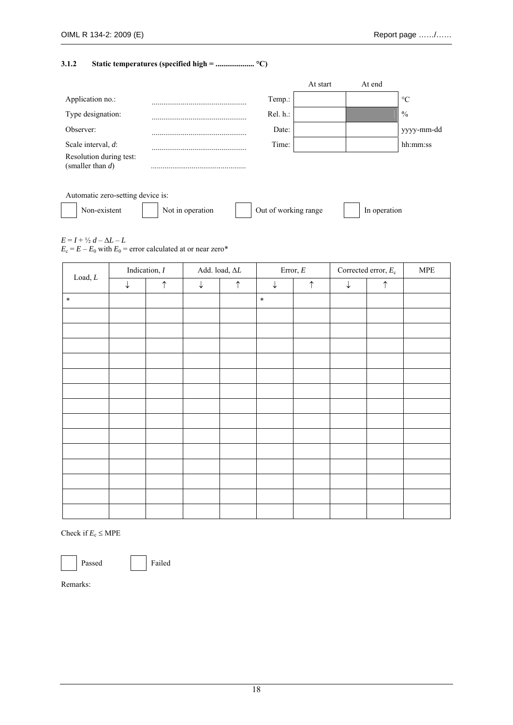#### **3.1.2 Static temperatures (specified high = .................... °C)**

|                                                |                  |                      | At start | At end       |                 |
|------------------------------------------------|------------------|----------------------|----------|--------------|-----------------|
| Application no.:                               |                  | Temp.:               |          |              | $\rm ^{\circ}C$ |
| Type designation:                              |                  | Rel. h.:             |          |              | $\frac{0}{0}$   |
| Observer:                                      |                  | Date:                |          |              | yyyy-mm-dd      |
| Scale interval, d:                             |                  | Time:                |          |              | hh:mm:ss        |
| Resolution during test:<br>(smaller than $d$ ) |                  |                      |          |              |                 |
| Automatic zero-setting device is:              |                  |                      |          |              |                 |
| Non-existent                                   | Not in operation | Out of working range |          | In operation |                 |

 $E = I + \frac{1}{2} d - \Delta L - L$ 

 $E_c = E - E_0$  with  $E_0$  = error calculated at or near zero\*

| $\mathop{\text{Load}}, L$ | Indication, $I$ |            | Add. load, $\Delta L$ |            | Error, $\cal E$ |            | Corrected error, $E_c$ |            | ${\sf MPE}$ |
|---------------------------|-----------------|------------|-----------------------|------------|-----------------|------------|------------------------|------------|-------------|
|                           | $\downarrow$    | $\uparrow$ | $\downarrow$          | $\uparrow$ | $\downarrow$    | $\uparrow$ | $\downarrow$           | $\uparrow$ |             |
| $\ast$                    |                 |            |                       |            | $\ast$          |            |                        |            |             |
|                           |                 |            |                       |            |                 |            |                        |            |             |
|                           |                 |            |                       |            |                 |            |                        |            |             |
|                           |                 |            |                       |            |                 |            |                        |            |             |
|                           |                 |            |                       |            |                 |            |                        |            |             |
|                           |                 |            |                       |            |                 |            |                        |            |             |
|                           |                 |            |                       |            |                 |            |                        |            |             |
|                           |                 |            |                       |            |                 |            |                        |            |             |
|                           |                 |            |                       |            |                 |            |                        |            |             |
|                           |                 |            |                       |            |                 |            |                        |            |             |
|                           |                 |            |                       |            |                 |            |                        |            |             |
|                           |                 |            |                       |            |                 |            |                        |            |             |
|                           |                 |            |                       |            |                 |            |                        |            |             |
|                           |                 |            |                       |            |                 |            |                        |            |             |
|                           |                 |            |                       |            |                 |            |                        |            |             |

Check if  $E_c \leq MPE$ 

Passed Failed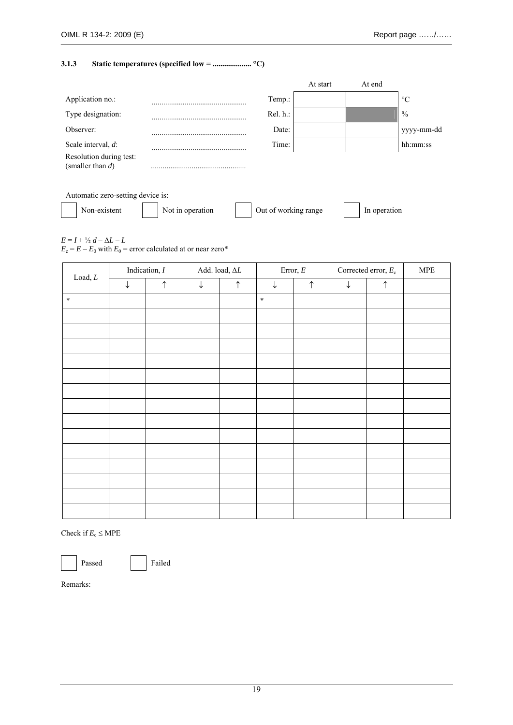#### **3.1.3 Static temperatures (specified low = .................... °C)**

|                                                |                  |                      | At start | At end       |                 |
|------------------------------------------------|------------------|----------------------|----------|--------------|-----------------|
| Application no.:                               |                  | Temp.:               |          |              | $\rm ^{\circ}C$ |
| Type designation:                              |                  | Rel. h.:             |          |              | $\frac{0}{0}$   |
| Observer:                                      |                  | Date:                |          |              | yyyy-mm-dd      |
| Scale interval, d:                             |                  | Time:                |          |              | hh:mm:ss        |
| Resolution during test:<br>(smaller than $d$ ) |                  |                      |          |              |                 |
| Automatic zero-setting device is:              |                  |                      |          |              |                 |
| Non-existent                                   | Not in operation | Out of working range |          | In operation |                 |

 $E = I + \frac{1}{2} d - \Delta L - L$ 

 $E_c = E - E_0$  with  $E_0$  = error calculated at or near zero\*

| $\mathop{\text{Load}}, L$ | Indication, $I$<br>Add. load, $\Delta L$ |            |              | Error, $\cal E$ |              | Corrected error, $E_c$ | ${\sf MPE}$  |            |  |
|---------------------------|------------------------------------------|------------|--------------|-----------------|--------------|------------------------|--------------|------------|--|
|                           | $\downarrow$                             | $\uparrow$ | $\downarrow$ | $\uparrow$      | $\downarrow$ | $\uparrow$             | $\downarrow$ | $\uparrow$ |  |
| $\ast$                    |                                          |            |              |                 | $\ast$       |                        |              |            |  |
|                           |                                          |            |              |                 |              |                        |              |            |  |
|                           |                                          |            |              |                 |              |                        |              |            |  |
|                           |                                          |            |              |                 |              |                        |              |            |  |
|                           |                                          |            |              |                 |              |                        |              |            |  |
|                           |                                          |            |              |                 |              |                        |              |            |  |
|                           |                                          |            |              |                 |              |                        |              |            |  |
|                           |                                          |            |              |                 |              |                        |              |            |  |
|                           |                                          |            |              |                 |              |                        |              |            |  |
|                           |                                          |            |              |                 |              |                        |              |            |  |
|                           |                                          |            |              |                 |              |                        |              |            |  |
|                           |                                          |            |              |                 |              |                        |              |            |  |
|                           |                                          |            |              |                 |              |                        |              |            |  |
|                           |                                          |            |              |                 |              |                        |              |            |  |
|                           |                                          |            |              |                 |              |                        |              |            |  |

Check if  $E_c \leq MPE$ 

Passed Failed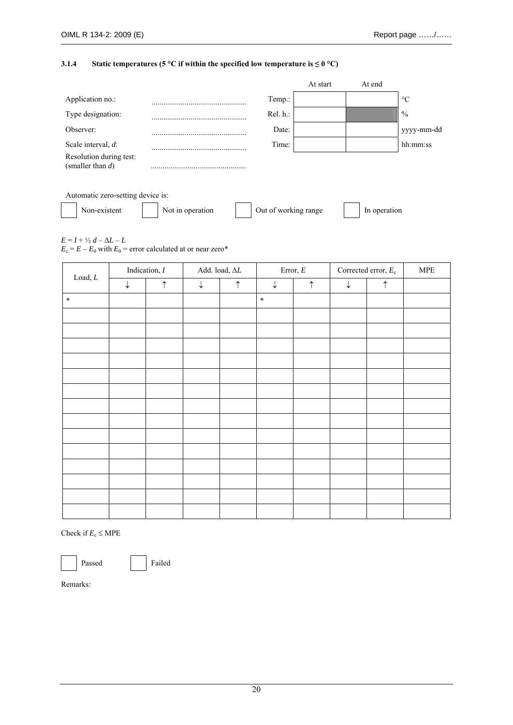#### **3.1.4** Static temperatures (5 °C if within the specified low temperature is  $\leq 0$  °C)

|                                                |                  |                      | At start | At end       |                 |
|------------------------------------------------|------------------|----------------------|----------|--------------|-----------------|
| Application no.:                               |                  | Temp.:               |          |              | $\rm ^{\circ}C$ |
| Type designation:                              |                  | $Rel. h.$ :          |          |              | $\frac{0}{0}$   |
| Observer:                                      |                  | Date:                |          |              | yyyy-mm-dd      |
| Scale interval, $d$ :                          |                  | Time:                |          |              | hh:mm:ss        |
| Resolution during test:<br>(smaller than $d$ ) |                  |                      |          |              |                 |
| Automatic zero-setting device is:              |                  |                      |          |              |                 |
| Non-existent                                   | Not in operation | Out of working range |          | In operation |                 |
|                                                |                  |                      |          |              |                 |

 $E = I + \frac{1}{2} d - \Delta L - L$ 

 $E_c = E - E_0$  with  $E_0$  = error calculated at or near zero\*

| $\mathop{\text{Load}}, L$ | Indication, $I$<br>Add. load, $\Delta L$ |            |              | Error, $\cal E$ | Corrected error, $E_c$ |            | <b>MPE</b>   |            |  |
|---------------------------|------------------------------------------|------------|--------------|-----------------|------------------------|------------|--------------|------------|--|
|                           | $\downarrow$                             | $\uparrow$ | $\downarrow$ | $\uparrow$      | $\downarrow$           | $\uparrow$ | $\downarrow$ | $\uparrow$ |  |
| $\ast$                    |                                          |            |              |                 | $\ast$                 |            |              |            |  |
|                           |                                          |            |              |                 |                        |            |              |            |  |
|                           |                                          |            |              |                 |                        |            |              |            |  |
|                           |                                          |            |              |                 |                        |            |              |            |  |
|                           |                                          |            |              |                 |                        |            |              |            |  |
|                           |                                          |            |              |                 |                        |            |              |            |  |
|                           |                                          |            |              |                 |                        |            |              |            |  |
|                           |                                          |            |              |                 |                        |            |              |            |  |
|                           |                                          |            |              |                 |                        |            |              |            |  |
|                           |                                          |            |              |                 |                        |            |              |            |  |
|                           |                                          |            |              |                 |                        |            |              |            |  |
|                           |                                          |            |              |                 |                        |            |              |            |  |
|                           |                                          |            |              |                 |                        |            |              |            |  |
|                           |                                          |            |              |                 |                        |            |              |            |  |
|                           |                                          |            |              |                 |                        |            |              |            |  |

Check if  $E_c \leq MPE$ 

Passed Failed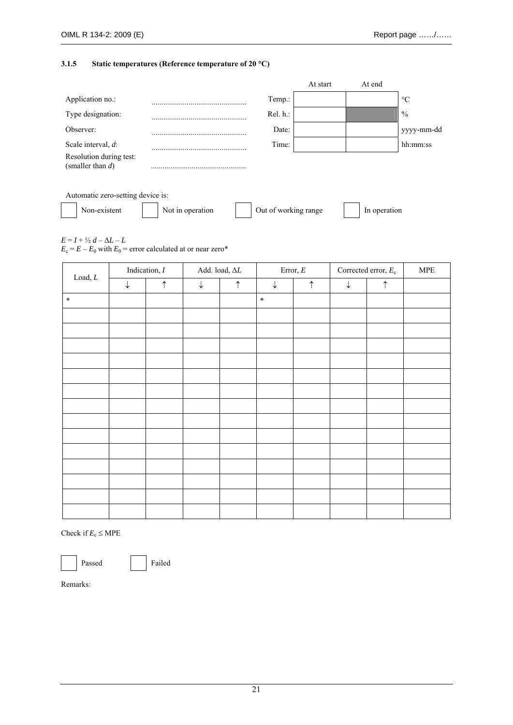#### **3.1.5 Static temperatures (Reference temperature of 20 °C)**

|                                                |                  |                      | At start | At end       |                 |
|------------------------------------------------|------------------|----------------------|----------|--------------|-----------------|
| Application no.:                               |                  | Temp.:               |          |              | $\rm ^{\circ}C$ |
| Type designation:                              |                  | $Rel. h.$ :          |          |              | $\frac{0}{0}$   |
| Observer:                                      |                  | Date:                |          |              | yyyy-mm-dd      |
| Scale interval, d:                             |                  | Time:                |          |              | hh:mm:ss        |
| Resolution during test:<br>(smaller than $d$ ) |                  |                      |          |              |                 |
| Automatic zero-setting device is:              |                  |                      |          |              |                 |
| Non-existent                                   | Not in operation | Out of working range |          | In operation |                 |
|                                                |                  |                      |          |              |                 |

 $E = I + \frac{1}{2} d - \Delta L - L$ 

 $E_c = E - E_0$  with  $E_0$  = error calculated at or near zero\*

| $\mathop{\text{Load}}, L$ | Indication, $I$<br>Add. load, $\Delta L$ |            |              | Error, $\cal E$ |              | Corrected error, $E_c$ | ${\sf MPE}$  |            |  |
|---------------------------|------------------------------------------|------------|--------------|-----------------|--------------|------------------------|--------------|------------|--|
|                           | $\downarrow$                             | $\uparrow$ | $\downarrow$ | $\uparrow$      | $\downarrow$ | $\uparrow$             | $\downarrow$ | $\uparrow$ |  |
| $\ast$                    |                                          |            |              |                 | $\ast$       |                        |              |            |  |
|                           |                                          |            |              |                 |              |                        |              |            |  |
|                           |                                          |            |              |                 |              |                        |              |            |  |
|                           |                                          |            |              |                 |              |                        |              |            |  |
|                           |                                          |            |              |                 |              |                        |              |            |  |
|                           |                                          |            |              |                 |              |                        |              |            |  |
|                           |                                          |            |              |                 |              |                        |              |            |  |
|                           |                                          |            |              |                 |              |                        |              |            |  |
|                           |                                          |            |              |                 |              |                        |              |            |  |
|                           |                                          |            |              |                 |              |                        |              |            |  |
|                           |                                          |            |              |                 |              |                        |              |            |  |
|                           |                                          |            |              |                 |              |                        |              |            |  |
|                           |                                          |            |              |                 |              |                        |              |            |  |
|                           |                                          |            |              |                 |              |                        |              |            |  |
|                           |                                          |            |              |                 |              |                        |              |            |  |

Check if  $E_c \leq MPE$ 

Passed Failed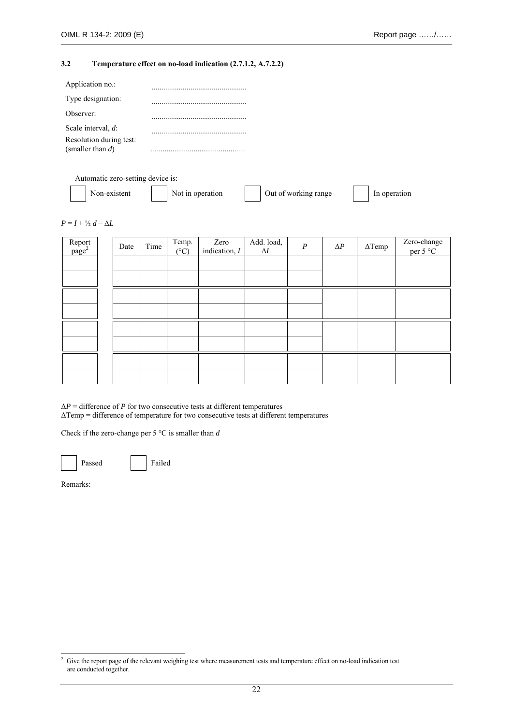#### **3.2 Temperature effect on no-load indication (2.7.1.2, A.7.2.2)**

| Application no.:                              |  |
|-----------------------------------------------|--|
| Type designation:                             |  |
| Observer:                                     |  |
| Scale interval, d:<br>Resolution during test: |  |
| (smaller than $d$ )                           |  |

Automatic zero-setting device is:

| Non-existent<br>Out of working range<br>Not in operation<br>In operation |
|--------------------------------------------------------------------------|
|--------------------------------------------------------------------------|

|  |  | $P = I + \frac{1}{2} d - \Delta L$ |  |  |  |
|--|--|------------------------------------|--|--|--|
|--|--|------------------------------------|--|--|--|

| Report<br>page <sup>2</sup> | Date | Time | Temp.<br>$(^{\circ}C)$ | Zero<br>indication, $I$ | Add. load, $\Delta L$ | $\boldsymbol{P}$ | $\Delta P$ | $\Delta$ Temp | Zero-change<br>per 5 °C |
|-----------------------------|------|------|------------------------|-------------------------|-----------------------|------------------|------------|---------------|-------------------------|
|                             |      |      |                        |                         |                       |                  |            |               |                         |
|                             |      |      |                        |                         |                       |                  |            |               |                         |
|                             |      |      |                        |                         |                       |                  |            |               |                         |
|                             |      |      |                        |                         |                       |                  |            |               |                         |
|                             |      |      |                        |                         |                       |                  |            |               |                         |
|                             |      |      |                        |                         |                       |                  |            |               |                         |
|                             |      |      |                        |                         |                       |                  |            |               |                         |
|                             |      |      |                        |                         |                       |                  |            |               |                         |

 $\Delta P$  = difference of *P* for two consecutive tests at different temperatures

ΔTemp = difference of temperature for two consecutive tests at different temperatures

Check if the zero-change per 5 °C is smaller than *d*



 2 Give the report page of the relevant weighing test where measurement tests and temperature effect on no-load indication test are conducted together.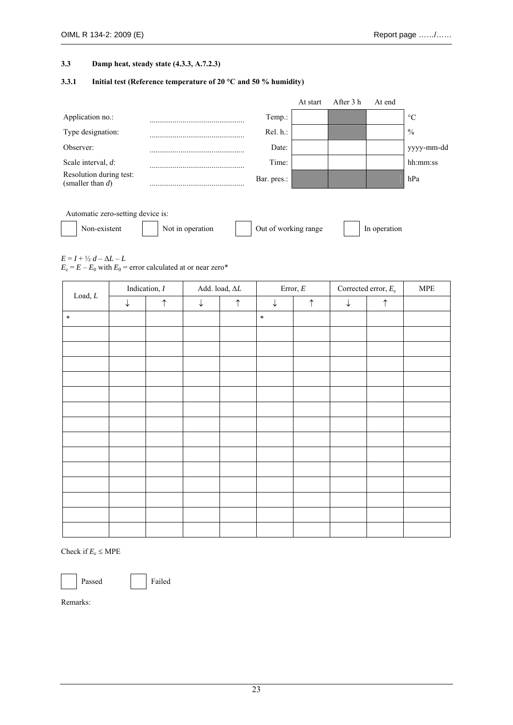#### **3.3 Damp heat, steady state (4.3.3, A.7.2.3)**

#### **3.3.1 Initial test (Reference temperature of 20 °C and 50 % humidity)**

|                                                |                 | At start | After 3 h | At end |                 |
|------------------------------------------------|-----------------|----------|-----------|--------|-----------------|
| Application no.:                               | Temp.:          |          |           |        | $\rm ^{\circ}C$ |
| Type designation:                              | $Rel. h.$ :     |          |           |        | $\%$            |
| Observer:                                      | Date:           |          |           |        | yyyy-mm-dd      |
| Scale interval, $d$ :                          | Time:           |          |           |        | hh:mm:ss        |
| Resolution during test:<br>(smaller than $d$ ) | <br>Bar. pres.: |          |           |        | hPa             |
|                                                |                 |          |           |        |                 |
| Automatic zero-setting device is:              |                 |          |           |        |                 |

| $\ldots$     |                  |                      |              |
|--------------|------------------|----------------------|--------------|
| Non-existent | Not in operation | Out of working range | In operation |
|              |                  |                      |              |

 $E = I + \frac{1}{2}d - \Delta L - L$ 

 $E_c = E - E_0$  with  $E_0$  = error calculated at or near zero\*

| $\mathop{\text{Load}}, L$ |              | Indication, $I$ |              | Add. load, $\Delta L$ |              | Error, $\cal E$ |   | Corrected error, $E_c$ | <b>MPE</b> |
|---------------------------|--------------|-----------------|--------------|-----------------------|--------------|-----------------|---|------------------------|------------|
|                           | $\downarrow$ | $\uparrow$      | $\downarrow$ | $\uparrow$            | $\downarrow$ | $\uparrow$      | ↓ | $\uparrow$             |            |
| $\ast$                    |              |                 |              |                       | $\ast$       |                 |   |                        |            |
|                           |              |                 |              |                       |              |                 |   |                        |            |
|                           |              |                 |              |                       |              |                 |   |                        |            |
|                           |              |                 |              |                       |              |                 |   |                        |            |
|                           |              |                 |              |                       |              |                 |   |                        |            |
|                           |              |                 |              |                       |              |                 |   |                        |            |
|                           |              |                 |              |                       |              |                 |   |                        |            |
|                           |              |                 |              |                       |              |                 |   |                        |            |
|                           |              |                 |              |                       |              |                 |   |                        |            |
|                           |              |                 |              |                       |              |                 |   |                        |            |
|                           |              |                 |              |                       |              |                 |   |                        |            |
|                           |              |                 |              |                       |              |                 |   |                        |            |
|                           |              |                 |              |                       |              |                 |   |                        |            |
|                           |              |                 |              |                       |              |                 |   |                        |            |
|                           |              |                 |              |                       |              |                 |   |                        |            |

Check if  $E_c \leq MPE$ 

Passed Failed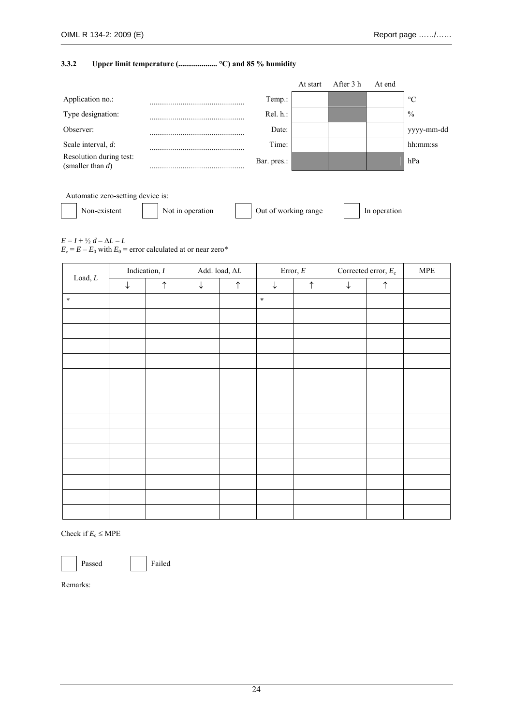#### **3.3.2 Upper limit temperature (.................... °C) and 85 % humidity**

|                                                |                  |                      | At start | After 3 h | At end       |                 |
|------------------------------------------------|------------------|----------------------|----------|-----------|--------------|-----------------|
| Application no.:                               |                  | Temp.:               |          |           |              | $\rm ^{\circ}C$ |
| Type designation:                              |                  | Rel. h.:             |          |           |              | $\frac{0}{0}$   |
| Observer:                                      |                  | Date:                |          |           |              | yyyy-mm-dd      |
| Scale interval, d:                             |                  | Time:                |          |           |              | hh:mm:ss        |
| Resolution during test:<br>(smaller than $d$ ) |                  | Bar. pres.:          |          |           |              | hPa             |
|                                                |                  |                      |          |           |              |                 |
| Automatic zero-setting device is:              |                  |                      |          |           |              |                 |
| Non-existent                                   | Not in operation | Out of working range |          |           | In operation |                 |

 $E = I + \frac{1}{2} d - \Delta L - L$ 

 $E_c = E - E_0$  with  $E_0$  = error calculated at or near zero\*

| $\mathop{\text{Load}}, L$ |              | Indication, $I$ |              | Add. load, $\Delta L$ |              | Error, $\cal E$ |   | Corrected error, $E_c$ | $\ensuremath{\mathsf{MPE}}$ |
|---------------------------|--------------|-----------------|--------------|-----------------------|--------------|-----------------|---|------------------------|-----------------------------|
|                           | $\downarrow$ | $\uparrow$      | $\downarrow$ | $\uparrow$            | $\downarrow$ | $\uparrow$      | ↓ | $\uparrow$             |                             |
| $\ast$                    |              |                 |              |                       | $\ast$       |                 |   |                        |                             |
|                           |              |                 |              |                       |              |                 |   |                        |                             |
|                           |              |                 |              |                       |              |                 |   |                        |                             |
|                           |              |                 |              |                       |              |                 |   |                        |                             |
|                           |              |                 |              |                       |              |                 |   |                        |                             |
|                           |              |                 |              |                       |              |                 |   |                        |                             |
|                           |              |                 |              |                       |              |                 |   |                        |                             |
|                           |              |                 |              |                       |              |                 |   |                        |                             |
|                           |              |                 |              |                       |              |                 |   |                        |                             |
|                           |              |                 |              |                       |              |                 |   |                        |                             |
|                           |              |                 |              |                       |              |                 |   |                        |                             |
|                           |              |                 |              |                       |              |                 |   |                        |                             |
|                           |              |                 |              |                       |              |                 |   |                        |                             |
|                           |              |                 |              |                       |              |                 |   |                        |                             |
|                           |              |                 |              |                       |              |                 |   |                        |                             |

Check if  $E_c \leq \text{MPE}$ 

Passed Failed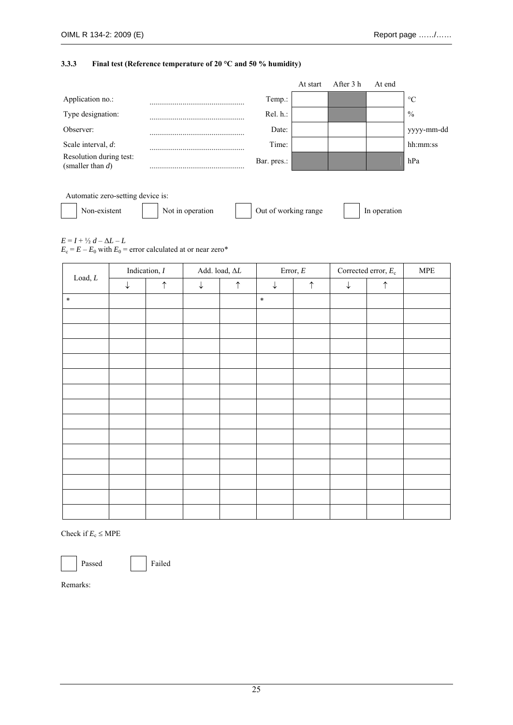#### **3.3.3 Final test (Reference temperature of 20 °C and 50 % humidity)**

|                                                |                  |                      | At start | After 3 h | At end       |                 |
|------------------------------------------------|------------------|----------------------|----------|-----------|--------------|-----------------|
| Application no.:                               |                  | Temp.:               |          |           |              | $\rm ^{\circ}C$ |
| Type designation:                              |                  | Rel. h.:             |          |           |              | $\frac{0}{0}$   |
| Observer:                                      |                  | Date:                |          |           |              | yyyy-mm-dd      |
| Scale interval, d:                             |                  | Time:                |          |           |              | hh:mm:ss        |
| Resolution during test:<br>(smaller than $d$ ) |                  | Bar. pres.:          |          |           |              | hPa             |
|                                                |                  |                      |          |           |              |                 |
| Automatic zero-setting device is:              |                  |                      |          |           |              |                 |
| Non-existent                                   | Not in operation | Out of working range |          |           | In operation |                 |

 $E = I + \frac{1}{2}d - \Delta L - L$ 

 $E_c = E - E_0$  with  $E_0$  = error calculated at or near zero\*

| $\mathop{\text{Load}}, L$ |              | Indication, $I$ |              | Add. load, $\Delta L$ |              | Error, $\cal E$ |   | Corrected error, $E_c$ | $\ensuremath{\mathsf{MPE}}$ |
|---------------------------|--------------|-----------------|--------------|-----------------------|--------------|-----------------|---|------------------------|-----------------------------|
|                           | $\downarrow$ | $\uparrow$      | $\downarrow$ | $\uparrow$            | $\downarrow$ | $\uparrow$      | ↓ | $\uparrow$             |                             |
| $\ast$                    |              |                 |              |                       | $\ast$       |                 |   |                        |                             |
|                           |              |                 |              |                       |              |                 |   |                        |                             |
|                           |              |                 |              |                       |              |                 |   |                        |                             |
|                           |              |                 |              |                       |              |                 |   |                        |                             |
|                           |              |                 |              |                       |              |                 |   |                        |                             |
|                           |              |                 |              |                       |              |                 |   |                        |                             |
|                           |              |                 |              |                       |              |                 |   |                        |                             |
|                           |              |                 |              |                       |              |                 |   |                        |                             |
|                           |              |                 |              |                       |              |                 |   |                        |                             |
|                           |              |                 |              |                       |              |                 |   |                        |                             |
|                           |              |                 |              |                       |              |                 |   |                        |                             |
|                           |              |                 |              |                       |              |                 |   |                        |                             |
|                           |              |                 |              |                       |              |                 |   |                        |                             |
|                           |              |                 |              |                       |              |                 |   |                        |                             |
|                           |              |                 |              |                       |              |                 |   |                        |                             |

Check if  $E_c \leq \text{MPE}$ 

Passed Failed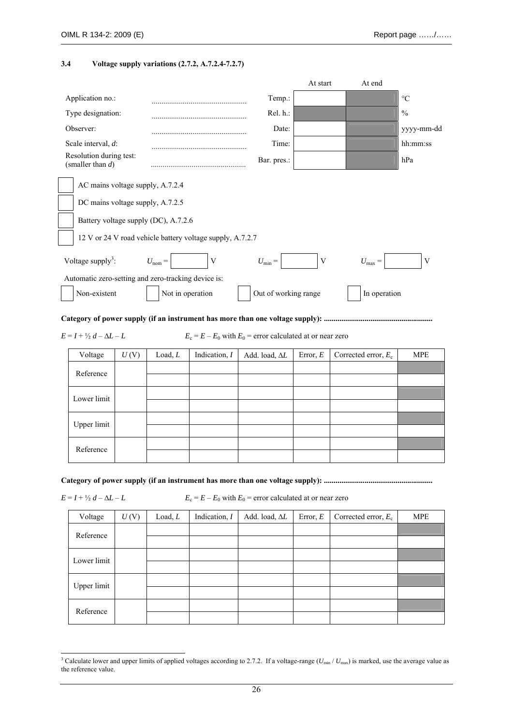#### **3.4 Voltage supply variations (2.7.2, A.7.2.4-7.2.7)**

|                                                           |                    |                 |                                                               | At start    | At end                 |                 |
|-----------------------------------------------------------|--------------------|-----------------|---------------------------------------------------------------|-------------|------------------------|-----------------|
| Application no.:                                          |                    |                 | Temp.:                                                        |             |                        | $\rm ^{\circ}C$ |
| Type designation:                                         |                    |                 | Rel. h.:                                                      |             |                        | $\frac{0}{0}$   |
| Observer:                                                 |                    |                 | Date:                                                         |             |                        | yyyy-mm-dd      |
| Scale interval, d:                                        |                    |                 | Time:                                                         |             |                        | hh:mm:ss        |
| Resolution during test:<br>(smaller than $d$ )            |                    |                 | Bar. pres.:                                                   |             |                        | hPa             |
| AC mains voltage supply, A.7.2.4                          |                    |                 |                                                               |             |                        |                 |
| DC mains voltage supply, A.7.2.5                          |                    |                 |                                                               |             |                        |                 |
| Battery voltage supply (DC), A.7.2.6                      |                    |                 |                                                               |             |                        |                 |
| 12 V or 24 V road vehicle battery voltage supply, A.7.2.7 |                    |                 |                                                               |             |                        |                 |
| Voltage supply <sup>3</sup> :                             | $U_{\text{nom}} =$ | $\mathbf V$     | $U_{\min} =$                                                  | $\mathbf V$ | $U_{\text{max}} =$     | V               |
| Automatic zero-setting and zero-tracking device is:       |                    |                 |                                                               |             |                        |                 |
| Non-existent                                              | Not in operation   |                 | Out of working range                                          |             | In operation           |                 |
|                                                           |                    |                 |                                                               |             |                        |                 |
| $E = I + \frac{1}{2}d - \Delta L - L$                     |                    |                 | $E_c = E - E_0$ with $E_0$ = error calculated at or near zero |             |                        |                 |
| Voltage<br>U(V)                                           | Load, L            | Indication, $I$ | Add. load, $\Delta L$                                         | Error, $E$  | Corrected error, $E_c$ | <b>MPE</b>      |
| Reference                                                 |                    |                 |                                                               |             |                        |                 |
| Lower limit                                               |                    |                 |                                                               |             |                        |                 |
| Upper limit                                               |                    |                 |                                                               |             |                        |                 |
| Reference                                                 |                    |                 |                                                               |             |                        |                 |
|                                                           |                    |                 |                                                               |             |                        |                 |

 $E = I + \frac{1}{2}d - \Delta L - L$   $E_c = E - E_0$  with  $E_0$  = error calculated at or near zero

| Voltage     | U(V) | Load, L | Indication, $I$ | Add. load, AL | Error, $E$ | Corrected error, $E_c$ | <b>MPE</b> |
|-------------|------|---------|-----------------|---------------|------------|------------------------|------------|
| Reference   |      |         |                 |               |            |                        |            |
|             |      |         |                 |               |            |                        |            |
| Lower limit |      |         |                 |               |            |                        |            |
|             |      |         |                 |               |            |                        |            |
|             |      |         |                 |               |            |                        |            |
| Upper limit |      |         |                 |               |            |                        |            |
|             |      |         |                 |               |            |                        |            |
| Reference   |      |         |                 |               |            |                        |            |

<sup>&</sup>lt;sup>3</sup> Calculate lower and upper limits of applied voltages according to 2.7.2. If a voltage-range ( $U_{min}/U_{max}$ ) is marked, use the average value as the reference value.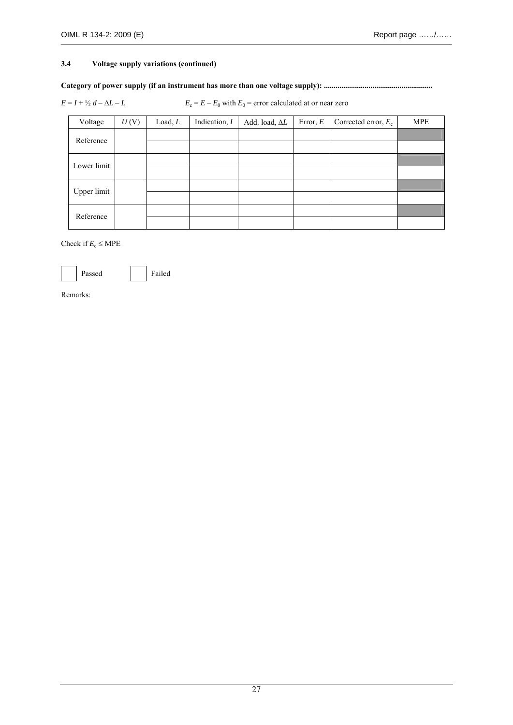#### **3.4 Voltage supply variations (continued)**

#### **Category of power supply (if an instrument has more than one voltage supply): ........................................................**

 $E = I + \frac{1}{2}d - \Delta L - L$   $E_c = E - E_0$  with  $E_0$  = error calculated at or near zero

| Voltage     | U(V) | Load, L | Indication, $I$ | Add. load, AL | Error, $E$ | Corrected error, $E_c$ | <b>MPE</b> |
|-------------|------|---------|-----------------|---------------|------------|------------------------|------------|
| Reference   |      |         |                 |               |            |                        |            |
|             |      |         |                 |               |            |                        |            |
| Lower limit |      |         |                 |               |            |                        |            |
|             |      |         |                 |               |            |                        |            |
| Upper limit |      |         |                 |               |            |                        |            |
|             |      |         |                 |               |            |                        |            |
| Reference   |      |         |                 |               |            |                        |            |
|             |      |         |                 |               |            |                        |            |

Check if  $E_c \leq \text{MPE}$ 

Passed Failed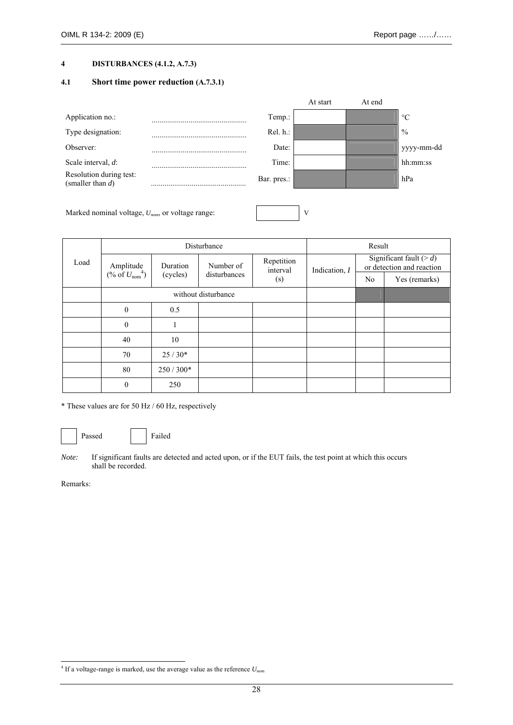#### **4 DISTURBANCES (4.1.2, A.7.3)**

#### **4.1 Short time power reduction (A.7.3.1)**

|                                                |                 | At start | At end |                 |
|------------------------------------------------|-----------------|----------|--------|-----------------|
| Application no.:                               | Temp.:          |          |        | $\rm ^{\circ}C$ |
| Type designation:                              | $Rel. h.$ :     |          |        | $\frac{0}{0}$   |
| Observer:                                      | Date:           |          |        | yyyy-mm-dd      |
| Scale interval, $d$ :                          | Time:           |          |        | hh:mm:ss        |
| Resolution during test:<br>(smaller than $d$ ) | <br>Bar. pres.: |          |        | hPa             |
|                                                |                 |          |        |                 |

Marked nominal voltage,  $U_{\text{nom}}$ , or voltage range:  $V$ 

|      |                                         |            | Disturbance                         |     |                 | Result |                                                          |
|------|-----------------------------------------|------------|-------------------------------------|-----|-----------------|--------|----------------------------------------------------------|
| Load | Amplitude<br>(% of $U_{\text{nom}}^4$ ) | Duration   | Repetition<br>Number of<br>interval |     | Indication, $I$ |        | Significant fault ( $> d$ )<br>or detection and reaction |
|      |                                         | (cycles)   | disturbances                        | (s) |                 | No.    | Yes (remarks)                                            |
|      |                                         |            | without disturbance                 |     |                 |        |                                                          |
|      | $\mathbf{0}$                            | 0.5        |                                     |     |                 |        |                                                          |
|      | $\mathbf{0}$                            |            |                                     |     |                 |        |                                                          |
|      | 40                                      | 10         |                                     |     |                 |        |                                                          |
|      | 70                                      | $25/30*$   |                                     |     |                 |        |                                                          |
|      | 80                                      | $250/300*$ |                                     |     |                 |        |                                                          |
|      | $\theta$                                | 250        |                                     |     |                 |        |                                                          |

\* These values are for 50 Hz / 60 Hz, respectively

Passed Failed

*Note:* If significant faults are detected and acted upon, or if the EUT fails, the test point at which this occurs shall be recorded.

<sup>-</sup> $^{4}$  If a voltage-range is marked, use the average value as the reference  $U_{\text{nom}}$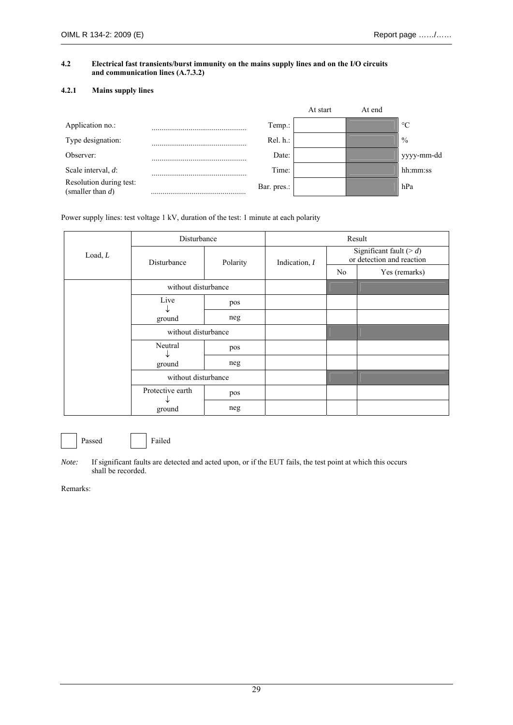#### **4.2 Electrical fast transients/burst immunity on the mains supply lines and on the I/O circuits and communication lines (A.7.3.2)**

#### **4.2.1 Mains supply lines**

|                                                |             |             | At start | At end |                 |
|------------------------------------------------|-------------|-------------|----------|--------|-----------------|
| Application no.:                               |             | Temp.:      |          |        | $\rm ^{\circ}C$ |
| Type designation:                              |             | $Rel. h.$ : |          |        | $\frac{0}{0}$   |
| Observer:                                      |             | Date:       |          |        | yyyy-mm-dd      |
| Scale interval, d:                             |             | Time:       |          |        | hh:mm:ss        |
| Resolution during test:<br>(smaller than $d$ ) | Bar. pres.: |             |          |        | hPa             |

Power supply lines: test voltage 1 kV, duration of the test: 1 minute at each polarity

|         | Disturbance         |          |                 |                | Result                                                   |
|---------|---------------------|----------|-----------------|----------------|----------------------------------------------------------|
| Load, L | Disturbance         | Polarity | Indication, $I$ |                | Significant fault ( $> d$ )<br>or detection and reaction |
|         |                     |          |                 | N <sub>0</sub> | Yes (remarks)                                            |
|         | without disturbance |          |                 |                |                                                          |
|         | Live                | pos      |                 |                |                                                          |
|         | ↓<br>ground         | neg      |                 |                |                                                          |
|         | without disturbance |          |                 |                |                                                          |
|         | Neutral             | pos      |                 |                |                                                          |
|         | ↓<br>ground         | neg      |                 |                |                                                          |
|         | without disturbance |          |                 |                |                                                          |
|         | Protective earth    | pos      |                 |                |                                                          |
|         | ◡<br>ground         | neg      |                 |                |                                                          |

Passed Failed

*Note:* If significant faults are detected and acted upon, or if the EUT fails, the test point at which this occurs shall be recorded.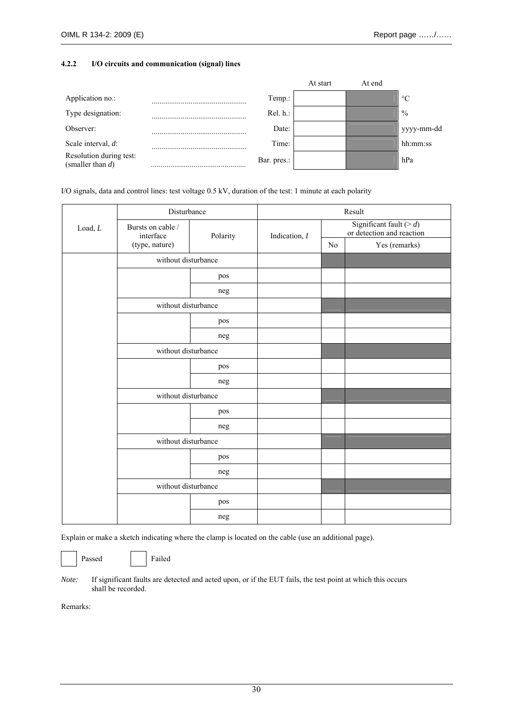#### **4.2.2 I/O circuits and communication (signal) lines**

|                                                |   |             | At start | At end |                 |
|------------------------------------------------|---|-------------|----------|--------|-----------------|
| Application no.:                               | . | Temp.:      |          |        | $\rm ^{\circ}C$ |
| Type designation:                              |   | Rel. h.:    |          |        | $\frac{0}{0}$   |
| Observer:                                      |   | Date:       |          |        | yyyy-mm-dd      |
| Scale interval, d:                             |   | Time:       |          |        | hh:mm:ss        |
| Resolution during test:<br>(smaller than $d$ ) |   | Bar. pres.: |          |        | hPa             |

I/O signals, data and control lines: test voltage 0.5 kV, duration of the test: 1 minute at each polarity

|         | Disturbance                    |          |                 |                | Result                                                   |
|---------|--------------------------------|----------|-----------------|----------------|----------------------------------------------------------|
| Load, L | Bursts on cable /<br>interface | Polarity | Indication, $I$ |                | Significant fault ( $> d$ )<br>or detection and reaction |
|         | (type, nature)                 |          |                 | N <sub>0</sub> | Yes (remarks)                                            |
|         | without disturbance            |          |                 |                |                                                          |
|         |                                | pos      |                 |                |                                                          |
|         |                                | neg      |                 |                |                                                          |
|         | without disturbance            |          |                 |                |                                                          |
|         |                                | pos      |                 |                |                                                          |
|         |                                | neg      |                 |                |                                                          |
|         | without disturbance            |          |                 |                |                                                          |
|         |                                | pos      |                 |                |                                                          |
|         |                                | neg      |                 |                |                                                          |
|         | without disturbance            |          |                 |                |                                                          |
|         |                                | pos      |                 |                |                                                          |
|         |                                | neg      |                 |                |                                                          |
|         | without disturbance            |          |                 |                |                                                          |
|         |                                | pos      |                 |                |                                                          |
|         |                                | neg      |                 |                |                                                          |
|         | without disturbance            |          |                 |                |                                                          |
|         |                                | pos      |                 |                |                                                          |
|         |                                | neg      |                 |                |                                                          |

Explain or make a sketch indicating where the clamp is located on the cable (use an additional page).

Passed Failed

*Note:* If significant faults are detected and acted upon, or if the EUT fails, the test point at which this occurs shall be recorded.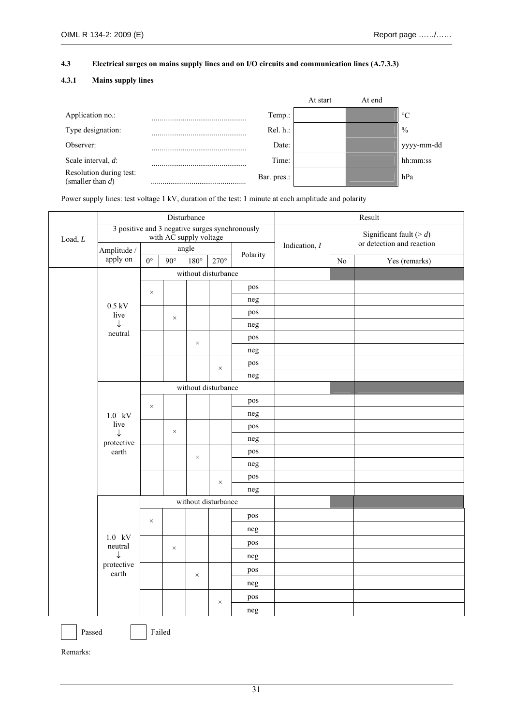#### **4.3 Electrical surges on mains supply lines and on I/O circuits and communication lines (A.7.3.3)**

#### **4.3.1 Mains supply lines**

|                                                |                 | At start | At end |                 |
|------------------------------------------------|-----------------|----------|--------|-----------------|
| Application no.:                               | Temp.:          |          |        | $\rm ^{\circ}C$ |
| Type designation:                              | Rel. h.:        |          |        | $\frac{0}{0}$   |
| Observer:                                      | Date:           |          |        | yyyy-mm-dd      |
| Scale interval, $d$ :                          | Time:           |          |        | hh:mm:ss        |
| Resolution during test:<br>(smaller than $d$ ) | <br>Bar. pres.: |          |        | hPa             |

Power supply lines: test voltage 1 kV, duration of the test: 1 minute at each amplitude and polarity

|         |                                                |             | Disturbance            |               |                     |          |               |    | Result                                                   |
|---------|------------------------------------------------|-------------|------------------------|---------------|---------------------|----------|---------------|----|----------------------------------------------------------|
| Load, L | 3 positive and 3 negative surges synchronously |             | with AC supply voltage |               |                     |          |               |    | Significant fault ( $> d$ )<br>or detection and reaction |
|         | Amplitude /                                    |             |                        | angle         |                     | Polarity | Indication, I |    |                                                          |
|         | apply on                                       | $0^{\circ}$ | $90^\circ$             | $180^{\circ}$ | $270^\circ$         |          |               | No | Yes (remarks)                                            |
|         |                                                |             |                        |               | without disturbance |          |               |    |                                                          |
|         |                                                | $\times$    |                        |               |                     | pos      |               |    |                                                          |
|         | $0.5 \text{ kV}$                               |             |                        |               |                     | neg      |               |    |                                                          |
|         | live                                           |             | $\times$               |               |                     | pos      |               |    |                                                          |
|         | ↓                                              |             |                        |               |                     | neg      |               |    |                                                          |
|         | neutral                                        |             |                        | $\times$      |                     | pos      |               |    |                                                          |
|         |                                                |             |                        |               |                     | neg      |               |    |                                                          |
|         |                                                |             |                        |               | $\times$            | pos      |               |    |                                                          |
|         |                                                |             |                        |               |                     | neg      |               |    |                                                          |
|         |                                                |             |                        |               | without disturbance |          |               |    |                                                          |
|         |                                                | $\times$    |                        |               |                     | pos      |               |    |                                                          |
|         | $1.0$ kV                                       |             |                        |               |                     | neg      |               |    |                                                          |
|         | live                                           |             | $\times$               |               |                     | pos      |               |    |                                                          |
|         | $\downarrow$<br>protective                     |             |                        |               |                     | neg      |               |    |                                                          |
|         | earth                                          |             |                        | $\times$      |                     | pos      |               |    |                                                          |
|         |                                                |             |                        |               |                     | neg      |               |    |                                                          |
|         |                                                |             |                        |               | $\times$            | pos      |               |    |                                                          |
|         |                                                |             |                        |               |                     | neg      |               |    |                                                          |
|         |                                                |             |                        |               | without disturbance |          |               |    |                                                          |
|         |                                                | $\times$    |                        |               |                     | pos      |               |    |                                                          |
|         |                                                |             |                        |               |                     | neg      |               |    |                                                          |
|         | $1.0$ kV<br>neutral                            |             |                        |               |                     | pos      |               |    |                                                          |
|         | $\downarrow$                                   |             | $\times$               |               |                     | neg      |               |    |                                                          |
|         | protective<br>earth                            |             |                        |               |                     | pos      |               |    |                                                          |
|         |                                                |             |                        | $\times$      |                     | neg      |               |    |                                                          |
|         |                                                |             |                        |               |                     | pos      |               |    |                                                          |
|         |                                                |             |                        |               | $\times$            | neg      |               |    |                                                          |
|         |                                                |             |                        |               |                     |          |               |    |                                                          |

Passed Failed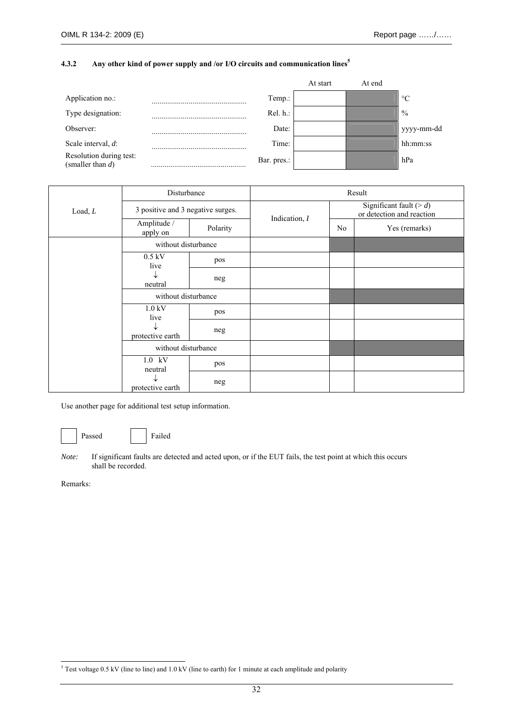#### **4.3.2 Any other kind of power supply and /or I/O circuits and communication lines<sup>5</sup>**

|                                                |             | At start | At end |                 |
|------------------------------------------------|-------------|----------|--------|-----------------|
| Application no.:                               | Temp.:      |          |        | $\rm ^{\circ}C$ |
| Type designation:                              | Rel. h.:    |          |        | $\frac{0}{0}$   |
| Observer:                                      | Date:       |          |        | yyyy-mm-dd      |
| Scale interval, $d$ :                          | Time:       |          |        | hh:mm:ss        |
| Resolution during test:<br>(smaller than $d$ ) | Bar. pres.: |          |        | hPa             |

|         | Disturbance                       |          |               |    | Result                                                   |
|---------|-----------------------------------|----------|---------------|----|----------------------------------------------------------|
| Load, L | 3 positive and 3 negative surges. |          |               |    | Significant fault ( $> d$ )<br>or detection and reaction |
|         | Amplitude /<br>apply on           | Polarity | Indication, I | No | Yes (remarks)                                            |
|         | without disturbance               |          |               |    |                                                          |
|         | $0.5$ kV<br>live                  | pos      |               |    |                                                          |
|         | ↓<br>neutral                      | neg      |               |    |                                                          |
|         | without disturbance               |          |               |    |                                                          |
|         | $1.0$ kV<br>live                  | pos      |               |    |                                                          |
|         | protective earth                  | neg      |               |    |                                                          |
|         | without disturbance               |          |               |    |                                                          |
|         | $1.0$ kV<br>neutral               | pos      |               |    |                                                          |
|         | protective earth                  | neg      |               |    |                                                          |

Use another page for additional test setup information.

Passed Failed

*Note:* If significant faults are detected and acted upon, or if the EUT fails, the test point at which this occurs shall be recorded.

 5 Test voltage 0.5 kV (line to line) and 1.0 kV (line to earth) for 1 minute at each amplitude and polarity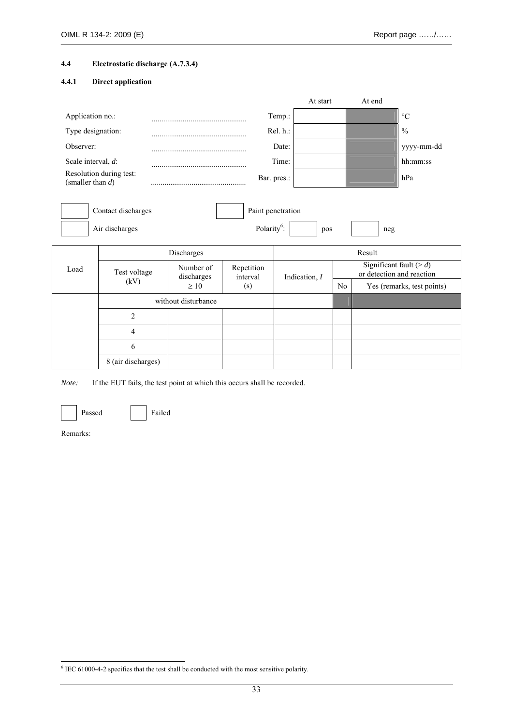#### **4.4 Electrostatic discharge (A.7.3.4)**

#### **4.4.1 Direct application**

|                       |                                      |                         |                         |                   | At start |                | At end |                                                          |
|-----------------------|--------------------------------------|-------------------------|-------------------------|-------------------|----------|----------------|--------|----------------------------------------------------------|
| Application no.:      |                                      |                         |                         | Temp.:            |          |                |        | $\rm ^{\circ}C$                                          |
| Type designation:     |                                      |                         |                         | Rel. h.:          |          |                |        | $\frac{0}{0}$                                            |
| Observer:             |                                      |                         |                         | Date:             |          |                |        | yyyy-mm-dd                                               |
| Scale interval, $d$ : |                                      |                         |                         | Time:             |          |                |        | hh:mm:ss                                                 |
| (smaller than $d$ )   | Resolution during test:              |                         |                         | Bar. pres.:       |          |                |        | hPa                                                      |
|                       | Contact discharges<br>Air discharges |                         | Polarity <sup>6</sup> : | Paint penetration | pos      |                | neg    |                                                          |
|                       |                                      | Discharges              |                         |                   |          |                | Result |                                                          |
| Load                  | Test voltage                         | Number of<br>discharges | Repetition<br>interval  | Indication, I     |          |                |        | Significant fault ( $> d$ )<br>or detection and reaction |
|                       | (kV)                                 | $\geq 10$               | (s)                     |                   |          | N <sub>0</sub> |        | Yes (remarks, test points)                               |
|                       |                                      | without disturbance     |                         |                   |          |                |        |                                                          |
|                       | $\overline{2}$                       |                         |                         |                   |          |                |        |                                                          |
|                       | 4                                    |                         |                         |                   |          |                |        |                                                          |

*Note:* If the EUT fails, the test point at which this occurs shall be recorded.



Passed Failed

6 8 (air discharges)

Remarks:

-

<sup>&</sup>lt;sup>6</sup> IEC 61000-4-2 specifies that the test shall be conducted with the most sensitive polarity.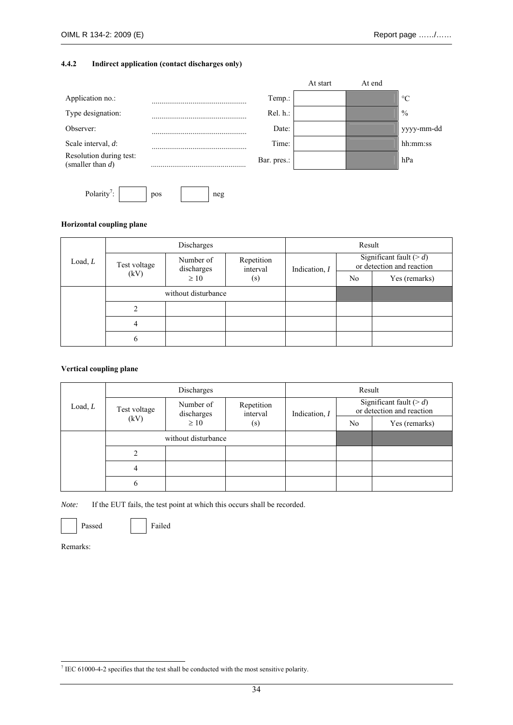#### **4.4.2 Indirect application (contact discharges only)**



#### **Horizontal coupling plane**

|         |                | Discharges              |                        |                 | Result         |                                                          |
|---------|----------------|-------------------------|------------------------|-----------------|----------------|----------------------------------------------------------|
| Load, L | Test voltage   | Number of<br>discharges | Repetition<br>interval | Indication, $I$ |                | Significant fault ( $> d$ )<br>or detection and reaction |
|         | (kV)           | $\geq 10$               | (s)                    |                 | N <sub>0</sub> | Yes (remarks)                                            |
|         |                | without disturbance     |                        |                 |                |                                                          |
|         | 2              |                         |                        |                 |                |                                                          |
|         | $\overline{4}$ |                         |                        |                 |                |                                                          |
|         | 6              |                         |                        |                 |                |                                                          |

#### **Vertical coupling plane**

|           |              | Discharges              |                        |               | Result |                                                          |
|-----------|--------------|-------------------------|------------------------|---------------|--------|----------------------------------------------------------|
| Load, $L$ | Test voltage | Number of<br>discharges | Repetition<br>interval | Indication, I |        | Significant fault ( $> d$ )<br>or detection and reaction |
|           | (kV)         | $\geq 10$               | (s)                    |               | No.    | Yes (remarks)                                            |
|           |              | without disturbance     |                        |               |        |                                                          |
|           |              |                         |                        |               |        |                                                          |
|           | 4            |                         |                        |               |        |                                                          |
|           | 6            |                         |                        |               |        |                                                          |

*Note:* If the EUT fails, the test point at which this occurs shall be recorded.



Remarks:

-

 $<sup>7</sup>$  IEC 61000-4-2 specifies that the test shall be conducted with the most sensitive polarity.</sup>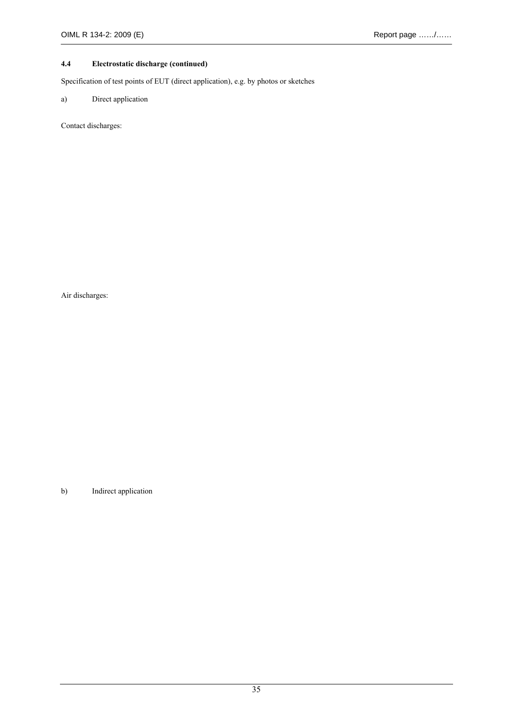#### **4.4 Electrostatic discharge (continued)**

Specification of test points of EUT (direct application), e.g. by photos or sketches

#### a) Direct application

Contact discharges:

Air discharges:

b) Indirect application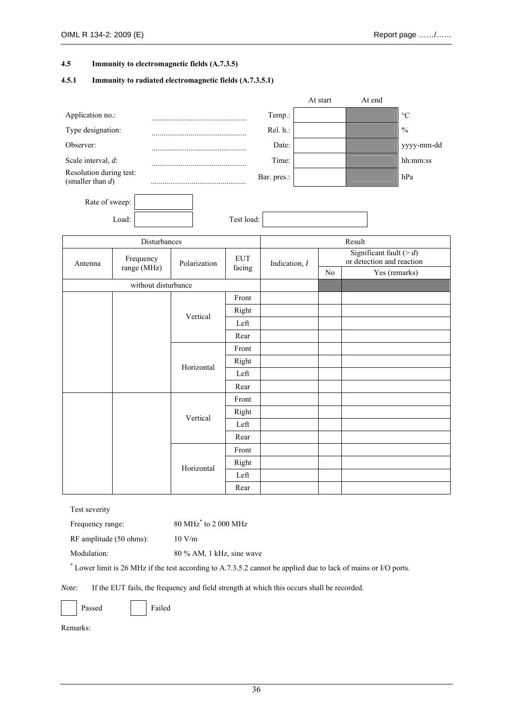#### **4.5 Immunity to electromagnetic fields (A.7.3.5)**

#### **4.5.1 Immunity to radiated electromagnetic fields (A.7.3.5.1)**

|                                                |       |                     |              |            |                 | At start       |        | At end                      |                           |
|------------------------------------------------|-------|---------------------|--------------|------------|-----------------|----------------|--------|-----------------------------|---------------------------|
| Application no.:                               |       |                     |              |            | Temp.:          |                |        |                             | $\rm ^{\circ}C$           |
| Type designation:                              |       |                     |              |            | Rel. h.:        |                |        |                             | $\frac{0}{0}$             |
| Observer:                                      |       |                     |              |            | Date:           |                |        |                             | yyyy-mm-dd                |
| Scale interval, d:                             |       |                     |              |            | Time:           |                |        |                             | hh:mm:ss                  |
| Resolution during test:<br>(smaller than $d$ ) |       |                     |              |            | Bar. pres.:     |                |        |                             | hPa                       |
| Rate of sweep:                                 |       |                     |              |            |                 |                |        |                             |                           |
|                                                | Load: |                     |              | Test load: |                 |                |        |                             |                           |
|                                                |       | Disturbances        |              |            |                 |                | Result |                             |                           |
| Antenna                                        |       | Frequency           | Polarization | <b>EUT</b> | Indication, $I$ |                |        | Significant fault ( $> d$ ) | or detection and reaction |
|                                                |       | range (MHz)         |              | facing     |                 | N <sub>0</sub> |        | Yes (remarks)               |                           |
|                                                |       | without disturbance |              |            |                 |                |        |                             |                           |
|                                                |       |                     |              | Front      |                 |                |        |                             |                           |
|                                                |       |                     | Vertical     | Right      |                 |                |        |                             |                           |
|                                                |       |                     |              | Left       |                 |                |        |                             |                           |
|                                                |       |                     |              | Rear       |                 |                |        |                             |                           |
|                                                |       |                     |              | Front      |                 |                |        |                             |                           |
|                                                |       |                     | Horizontal   | Right      |                 |                |        |                             |                           |
|                                                |       |                     |              | Left       |                 |                |        |                             |                           |
|                                                |       |                     |              | Rear       |                 |                |        |                             |                           |
|                                                |       |                     |              | Front      |                 |                |        |                             |                           |
|                                                |       |                     | Vertical     | Right      |                 |                |        |                             |                           |
|                                                |       |                     |              | Left       |                 |                |        |                             |                           |
|                                                |       |                     |              | Rear       |                 |                |        |                             |                           |
|                                                |       |                     |              | Front      |                 |                |        |                             |                           |
|                                                |       |                     | Horizontal   | Right      |                 |                |        |                             |                           |
|                                                |       |                     |              | Left       |                 |                |        |                             |                           |
|                                                |       |                     |              | Rear       |                 |                |        |                             |                           |

Test severity

Frequency range: 80 MHz<sup>\*</sup> to 2 000 MHz

RF amplitude (50 ohms): 10 V/m

Modulation: 80 % AM, 1 kHz, sine wave

\* Lower limit is 26 MHz if the test according to A.7.3.5.2 cannot be applied due to lack of mains or I/O ports.

*Note:* If the EUT fails, the frequency and field strength at which this occurs shall be recorded.

|--|

ssed Failed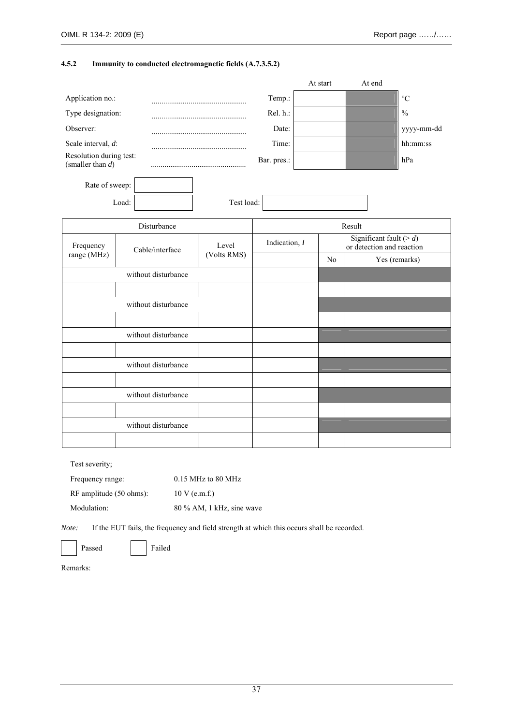### **4.5.2 Immunity to conducted electromagnetic fields (A.7.3.5.2)**

|                                                |                     |             |                 | At start | At end                                                   |                 |
|------------------------------------------------|---------------------|-------------|-----------------|----------|----------------------------------------------------------|-----------------|
| Application no.:                               |                     |             | Temp.:          |          |                                                          | $\rm ^{\circ}C$ |
| Type designation:                              |                     |             | Rel. h.:        |          |                                                          | $\frac{0}{0}$   |
| Observer:                                      |                     |             | Date:           |          |                                                          | yyyy-mm-dd      |
| Scale interval, d:                             |                     |             | Time:           |          |                                                          | hh:mm:ss        |
| Resolution during test:<br>(smaller than $d$ ) |                     |             | Bar. pres.:     |          |                                                          | hPa             |
| Rate of sweep:                                 |                     |             |                 |          |                                                          |                 |
|                                                | Load:               | Test load:  |                 |          |                                                          |                 |
|                                                | Disturbance         |             |                 |          | Result                                                   |                 |
| Frequency                                      | Cable/interface     | Level       | Indication, $I$ |          | Significant fault ( $> d$ )<br>or detection and reaction |                 |
| range (MHz)                                    |                     | (Volts RMS) |                 | No       |                                                          | Yes (remarks)   |
|                                                | without disturbance |             |                 |          |                                                          |                 |
|                                                |                     |             |                 |          |                                                          |                 |
|                                                | without disturbance |             |                 |          |                                                          |                 |
|                                                |                     |             |                 |          |                                                          |                 |
|                                                | without disturbance |             |                 |          |                                                          |                 |
|                                                |                     |             |                 |          |                                                          |                 |
|                                                | without disturbance |             |                 |          |                                                          |                 |
|                                                |                     |             |                 |          |                                                          |                 |
|                                                | without disturbance |             |                 |          |                                                          |                 |
|                                                |                     |             |                 |          |                                                          |                 |
|                                                | without disturbance |             |                 |          |                                                          |                 |
|                                                |                     |             |                 |          |                                                          |                 |
|                                                |                     |             |                 |          |                                                          |                 |

Test severity;

| Frequency range:        | $0.15$ MHz to 80 MHz        |
|-------------------------|-----------------------------|
| RF amplitude (50 ohms): | $10 V$ (e.m.f.)             |
| Modulation:             | $80\%$ AM, 1 kHz, sine wave |

*Note:* If the EUT fails, the frequency and field strength at which this occurs shall be recorded.

Passed Failed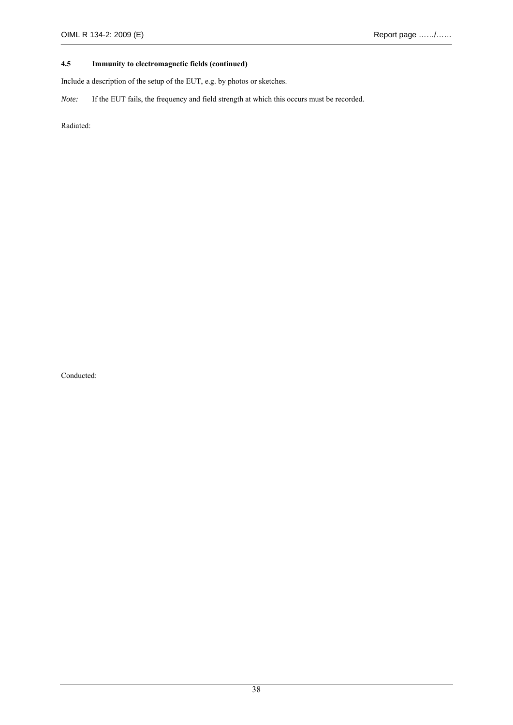## **4.5 Immunity to electromagnetic fields (continued)**

Include a description of the setup of the EUT, e.g. by photos or sketches.

*Note:* If the EUT fails, the frequency and field strength at which this occurs must be recorded.

Radiated:

Conducted: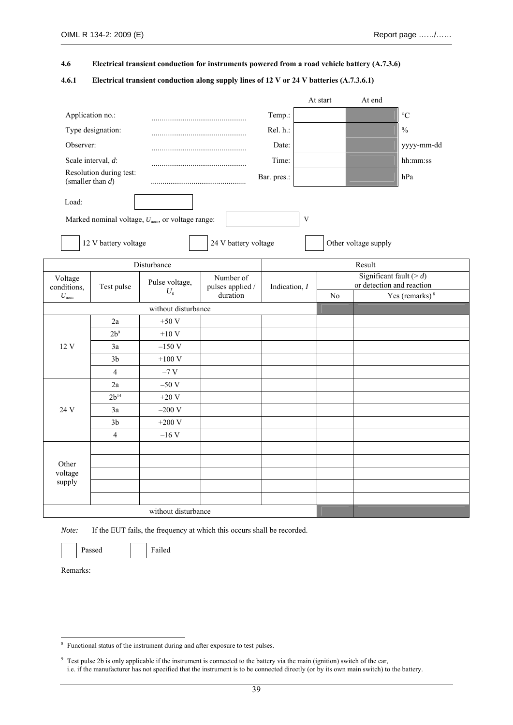**4.6 Electrical transient conduction for instruments powered from a road vehicle battery (A.7.3.6)** 

**4.6.1 Electrical transient conduction along supply lines of 12 V or 24 V batteries (A.7.3.6.1)** 

|                        |                         |                                                              |                                                |             |           | At start | At end                                                   |                   |
|------------------------|-------------------------|--------------------------------------------------------------|------------------------------------------------|-------------|-----------|----------|----------------------------------------------------------|-------------------|
| Application no.:       |                         |                                                              |                                                | Temp.:      |           |          |                                                          | $\rm ^{\circ}C$   |
|                        | Type designation:       |                                                              |                                                | Rel. h.:    |           |          |                                                          | $\frac{0}{0}$     |
| Observer:              |                         |                                                              |                                                | Date:       |           |          |                                                          | yyyy-mm-dd        |
|                        | Scale interval, d:      |                                                              |                                                | Time:       |           |          |                                                          | hh:mm:ss          |
| (smaller than $d$ )    | Resolution during test: |                                                              |                                                | Bar. pres.: |           |          |                                                          | hPa               |
| Load:                  |                         |                                                              |                                                |             |           |          |                                                          |                   |
|                        |                         | Marked nominal voltage, U <sub>nom</sub> , or voltage range: |                                                |             | $\bar{V}$ |          |                                                          |                   |
|                        | 12 V battery voltage    |                                                              | 24 V battery voltage                           |             |           |          | Other voltage supply                                     |                   |
|                        |                         | Disturbance                                                  |                                                |             |           |          | Result                                                   |                   |
| Voltage<br>conditions, | Test pulse              | Pulse voltage,<br>$U_{\rm s}$                                | Number of<br>pulses applied /<br>Indication, I |             |           |          | Significant fault ( $> d$ )<br>or detection and reaction |                   |
| $U_{\text{nom}}$       |                         |                                                              | duration                                       |             |           | No       |                                                          | Yes (remarks) $8$ |
|                        |                         | without disturbance                                          |                                                |             |           |          |                                                          |                   |
|                        | 2a                      | $+50V$                                                       |                                                |             |           |          |                                                          |                   |
|                        | $2b^9$                  | $+10V$                                                       |                                                |             |           |          |                                                          |                   |
| 12 V                   | 3a                      | $-150V$                                                      |                                                |             |           |          |                                                          |                   |
|                        | 3 <sub>b</sub>          | $+100V$                                                      |                                                |             |           |          |                                                          |                   |
|                        | $\overline{4}$          | $-7 V$                                                       |                                                |             |           |          |                                                          |                   |
|                        | 2a                      | $-50V$                                                       |                                                |             |           |          |                                                          |                   |
|                        | $2b^{14}$               | $+20V$                                                       |                                                |             |           |          |                                                          |                   |
| 24 V                   | 3a                      | $-200V$                                                      |                                                |             |           |          |                                                          |                   |
|                        | 3 <sub>b</sub>          | $+200$ V                                                     |                                                |             |           |          |                                                          |                   |
|                        | $\overline{4}$          | $-16V$                                                       |                                                |             |           |          |                                                          |                   |
|                        |                         |                                                              |                                                |             |           |          |                                                          |                   |
| Other                  |                         |                                                              |                                                |             |           |          |                                                          |                   |
| voltage                |                         |                                                              |                                                |             |           |          |                                                          |                   |
| supply                 |                         |                                                              |                                                |             |           |          |                                                          |                   |
|                        |                         |                                                              |                                                |             |           |          |                                                          |                   |
|                        |                         |                                                              |                                                |             |           |          |                                                          |                   |

*Note:* If the EUT fails, the frequency at which this occurs shall be recorded.

Passed Failed

**EXECUTE:**<br><sup>8</sup> Functional status of the instrument during and after exposure to test pulses.

<sup>&</sup>lt;sup>9</sup> Test pulse 2b is only applicable if the instrument is connected to the battery via the main (ignition) switch of the car, i.e. if the manufacturer has not specified that the instrument is to be connected directly (or by its own main switch) to the battery.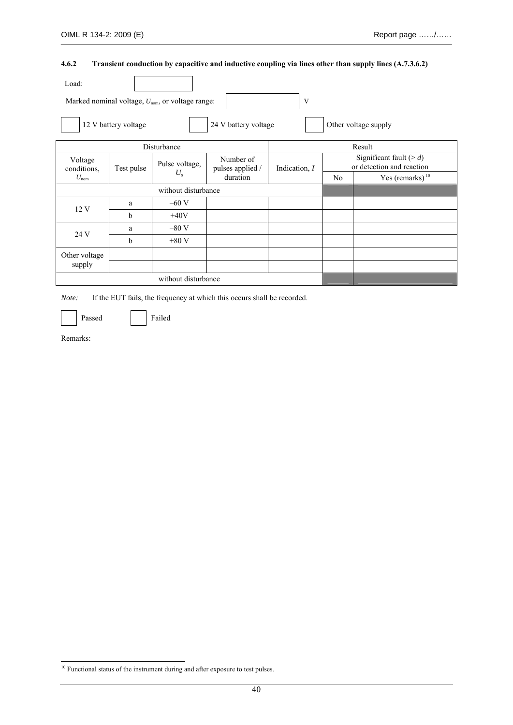## **4.6.2 Transient conduction by capacitive and inductive coupling via lines other than supply lines (A.7.3.6.2)**

| Load:                  |                      |                                                              |                               |               |                                                          |                      |  |
|------------------------|----------------------|--------------------------------------------------------------|-------------------------------|---------------|----------------------------------------------------------|----------------------|--|
|                        |                      | Marked nominal voltage, $U_{\text{nom}}$ , or voltage range: |                               | V             |                                                          |                      |  |
|                        | 12 V battery voltage |                                                              | 24 V battery voltage          |               |                                                          | Other voltage supply |  |
|                        |                      | Disturbance                                                  |                               |               |                                                          | Result               |  |
| Voltage<br>conditions, | Test pulse           | Pulse voltage,                                               | Number of<br>pulses applied / | Indication, I | Significant fault ( $> d$ )<br>or detection and reaction |                      |  |
| $U_{\text{nom}}$       |                      | $U_{\rm s}$                                                  | duration                      |               | N <sub>0</sub>                                           | Yes (remarks) $10$   |  |
|                        |                      | without disturbance                                          |                               |               |                                                          |                      |  |
| 12V                    | a                    | $-60$ V                                                      |                               |               |                                                          |                      |  |
|                        | b                    | $+40V$                                                       |                               |               |                                                          |                      |  |
| 24 V                   | a                    | $-80V$                                                       |                               |               |                                                          |                      |  |
|                        | b                    | $+80V$                                                       |                               |               |                                                          |                      |  |
| Other voltage          |                      |                                                              |                               |               |                                                          |                      |  |
| supply                 |                      |                                                              |                               |               |                                                          |                      |  |
|                        |                      | without disturbance                                          |                               |               |                                                          |                      |  |

*Note:* If the EUT fails, the frequency at which this occurs shall be recorded.

Passed Failed

<sup>-</sup><sup>10</sup> Functional status of the instrument during and after exposure to test pulses.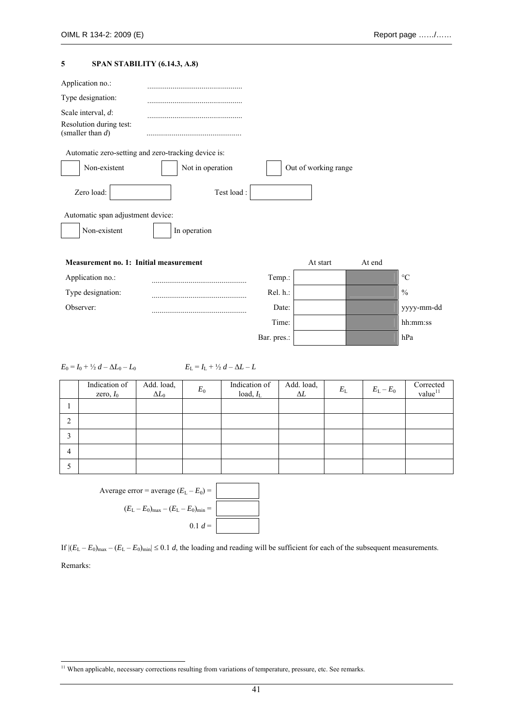### **5 SPAN STABILITY (6.14.3, A.8)**

| Automatic zero-setting and zero-tracking device is: |          |        |                      |
|-----------------------------------------------------|----------|--------|----------------------|
| Not in operation                                    |          |        |                      |
| Test load :                                         |          |        |                      |
|                                                     |          |        |                      |
|                                                     |          |        |                      |
|                                                     |          |        |                      |
|                                                     | At start | At end |                      |
| Temp.:                                              |          |        | $\circ$ C            |
| Rel. h.:                                            |          |        | $\frac{0}{0}$        |
| Date:                                               |          |        | yyyy-mm-dd           |
| Time:                                               |          |        | hh:mm:ss             |
| Bar. pres.:                                         |          |        | hPa                  |
|                                                     |          |        | Out of working range |

 $E_0 = I_0 + \frac{1}{2} d - \Delta L_0 - L_0$   $E_L = I_L + \frac{1}{2} d - \Delta L - L$ 

| Indication of<br>zero, $I_0$ | Add. load, $\Delta L_0$ | $E_0$ | Indication of<br>load, $I_L$ | Add. load, $\Delta L$ | $E_{\rm L}$ | $E_{\rm L}-E_{\rm 0}$ | $\frac{Corrected}{value}$ <sup>11</sup> |
|------------------------------|-------------------------|-------|------------------------------|-----------------------|-------------|-----------------------|-----------------------------------------|
|                              |                         |       |                              |                       |             |                       |                                         |
|                              |                         |       |                              |                       |             |                       |                                         |
|                              |                         |       |                              |                       |             |                       |                                         |
|                              |                         |       |                              |                       |             |                       |                                         |
|                              |                         |       |                              |                       |             |                       |                                         |
|                              |                         |       |                              |                       |             |                       |                                         |



If  $|(E_L - E_0)_{max} - (E_L - E_0)_{min}| \le 0.1$  *d*, the loading and reading will be sufficient for each of the subsequent measurements.

Remarks:

-

<sup>&</sup>lt;sup>11</sup> When applicable, necessary corrections resulting from variations of temperature, pressure, etc. See remarks.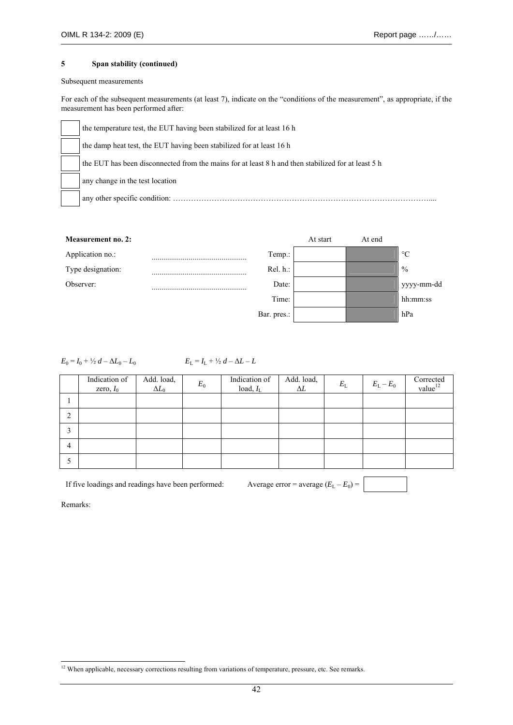#### Subsequent measurements

For each of the subsequent measurements (at least 7), indicate on the "conditions of the measurement", as appropriate, if the measurement has been performed after:

| the temperature test, the EUT having been stabilized for at least 16 h                             |
|----------------------------------------------------------------------------------------------------|
| the damp heat test, the EUT having been stabilized for at least 16 h                               |
| the EUT has been disconnected from the mains for at least 8 h and then stabilized for at least 5 h |
| any change in the test location                                                                    |
| any other specific condition:                                                                      |



 $E_0 = I_0 + \frac{1}{2} d - \Delta L_0 - L_0$   $E_L = I_L + \frac{1}{2} d - \Delta L - L$ 

| Indication of<br>zero, $I_0$ | Add. load,<br>$\Delta L_0$ | $E_0$ | Indication of<br>load, $I_L$ | Add. load, $\Delta L$ | $E_{\rm L}$ | $E_{\rm L}-E_0$ | $\frac{Corrected}{value}$ <sup>12</sup> |
|------------------------------|----------------------------|-------|------------------------------|-----------------------|-------------|-----------------|-----------------------------------------|
|                              |                            |       |                              |                       |             |                 |                                         |
|                              |                            |       |                              |                       |             |                 |                                         |
|                              |                            |       |                              |                       |             |                 |                                         |
|                              |                            |       |                              |                       |             |                 |                                         |
|                              |                            |       |                              |                       |             |                 |                                         |
|                              |                            |       |                              |                       |             |                 |                                         |

If five loadings and readings have been performed: Average error = average  $(E_L - E_0)$  =

Remarks:

-

<sup>&</sup>lt;sup>12</sup> When applicable, necessary corrections resulting from variations of temperature, pressure, etc. See remarks.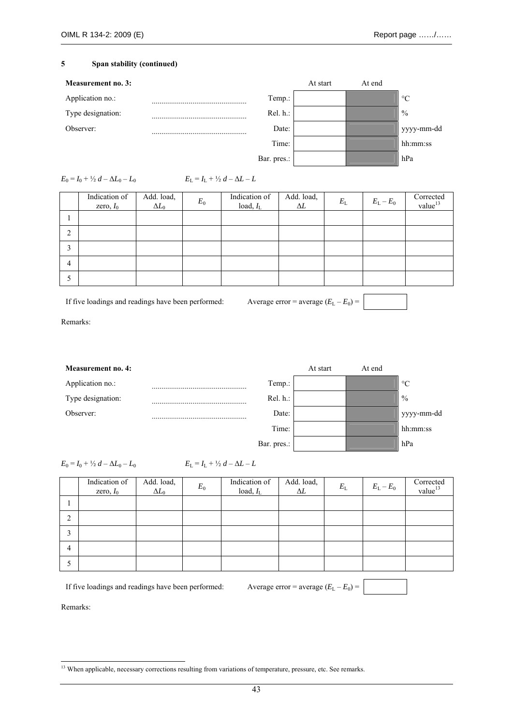

| $E_0 = I_0 + \frac{1}{2} d - \Delta L_0 - L_0$ | $E_{\rm L} = I_{\rm L} + \frac{1}{2} d - \Delta L - L$ |
|------------------------------------------------|--------------------------------------------------------|
|                                                |                                                        |

|   | Indication of<br>zero, $I_0$ | Add. load, $\Delta L_0$ | $E_0$ | Indication of<br>load, $I_L$ | Add. load,<br>$\Delta L$ | $E_{\rm L}$ | $E_{\rm L}-E_{\rm 0}$ | $\frac{Corrected}{value}^{13}$ |
|---|------------------------------|-------------------------|-------|------------------------------|--------------------------|-------------|-----------------------|--------------------------------|
|   |                              |                         |       |                              |                          |             |                       |                                |
|   |                              |                         |       |                              |                          |             |                       |                                |
|   |                              |                         |       |                              |                          |             |                       |                                |
| 4 |                              |                         |       |                              |                          |             |                       |                                |
|   |                              |                         |       |                              |                          |             |                       |                                |

If five loadings and readings have been performed: Average error = average  $(E_L - E_0)$  =

Remarks:

| <b>Measurement no. 4:</b> |             | At start | At end |                 |
|---------------------------|-------------|----------|--------|-----------------|
| Application no.:          | Temp.:      |          |        | $\rm ^{\circ}C$ |
| Type designation:         | Rel. h.:    |          |        | $\frac{0}{0}$   |
| Observer:                 | Date:       |          |        | yyyy-mm-dd      |
|                           | Time:       |          |        | hh:mm:ss        |
|                           | Bar. pres.: |          |        | hPa             |

 $E_0 = I_0 + \frac{1}{2} d - \Delta L_0 - L_0$   $E_L = I_L + \frac{1}{2} d - \Delta L - L$ 

|   | Indication of<br>zero, $I_0$ | Add. load, $\Delta L_0$ | $E_{0}$ | Indication of<br>load, $I_L$ | Add. load,<br>$\Delta L$ | $E_{\rm L}$ | $E_{\rm L}-E_{\rm 0}$ | $\frac{Corrected}{value}^{13}$ |
|---|------------------------------|-------------------------|---------|------------------------------|--------------------------|-------------|-----------------------|--------------------------------|
|   |                              |                         |         |                              |                          |             |                       |                                |
| ◠ |                              |                         |         |                              |                          |             |                       |                                |
|   |                              |                         |         |                              |                          |             |                       |                                |
| 4 |                              |                         |         |                              |                          |             |                       |                                |
|   |                              |                         |         |                              |                          |             |                       |                                |

If five loadings and readings have been performed: Average error = average  $(E_L - E_0)$  =

<sup>-</sup><sup>13</sup> When applicable, necessary corrections resulting from variations of temperature, pressure, etc. See remarks.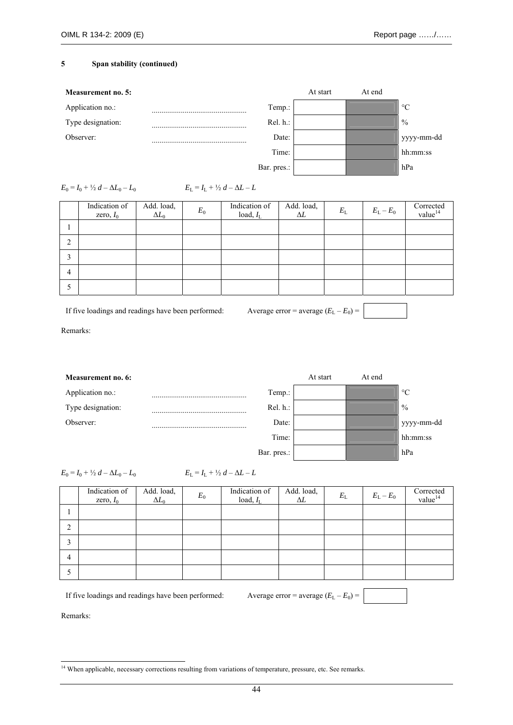

 $E_0 = I_0 + \frac{1}{2} d - \Delta L_0 - L_0$ 

$$
E_{\rm L} = I_{\rm L} + \frac{1}{2} d - \Delta L - L
$$

|                | Indication of<br>zero, $I_0$ | Add. load, $\Delta L_0$ | $E_0$ | Indication of<br>load, $I_{L}$ | Add. load,<br>$\Delta L$ | $E_{\rm L}$ | $E_{L}-E_{0}$ | $\frac{Corrected}{value}^{14}$ |
|----------------|------------------------------|-------------------------|-------|--------------------------------|--------------------------|-------------|---------------|--------------------------------|
|                |                              |                         |       |                                |                          |             |               |                                |
| ◠<br>∠         |                              |                         |       |                                |                          |             |               |                                |
|                |                              |                         |       |                                |                          |             |               |                                |
| $\overline{4}$ |                              |                         |       |                                |                          |             |               |                                |
|                |                              |                         |       |                                |                          |             |               |                                |

If five loadings and readings have been performed: Average error = average  $(E_L - E_0)$  =

Remarks:

| <b>Measurement no. 6:</b> |             | At start | At end |                 |
|---------------------------|-------------|----------|--------|-----------------|
| Application no.:          | Temp.:      |          |        | $\rm ^{\circ}C$ |
| Type designation:         | Rel. h.:    |          |        | $\%$            |
| Observer:                 | Date:       |          |        | yyyy-mm-dd      |
|                           | Time:       |          |        | hh:mm:ss        |
|                           | Bar. pres.: |          |        | hPa             |

 $E_0 = I_0 + \frac{1}{2} d - \Delta L_0 - L_0$   $E_L = I_L + \frac{1}{2} d - \Delta L - L$ 

|        | Indication of<br>zero, $I_0$ | Add. load, $\Delta L_0$ | $E_0$ | Indication of<br>load, $I_L$ | Add. load,<br>$\Delta L$ | $E_{\rm L}$ | $E_{\rm L}-E_{\rm 0}$ | $\frac{1}{2}$ value <sup>14</sup> |
|--------|------------------------------|-------------------------|-------|------------------------------|--------------------------|-------------|-----------------------|-----------------------------------|
|        |                              |                         |       |                              |                          |             |                       |                                   |
| ↑<br>∠ |                              |                         |       |                              |                          |             |                       |                                   |
| 3      |                              |                         |       |                              |                          |             |                       |                                   |
| 4      |                              |                         |       |                              |                          |             |                       |                                   |
|        |                              |                         |       |                              |                          |             |                       |                                   |

If five loadings and readings have been performed: Average error = average  $(E_L - E_0)$  =

<sup>-</sup><sup>14</sup> When applicable, necessary corrections resulting from variations of temperature, pressure, etc. See remarks.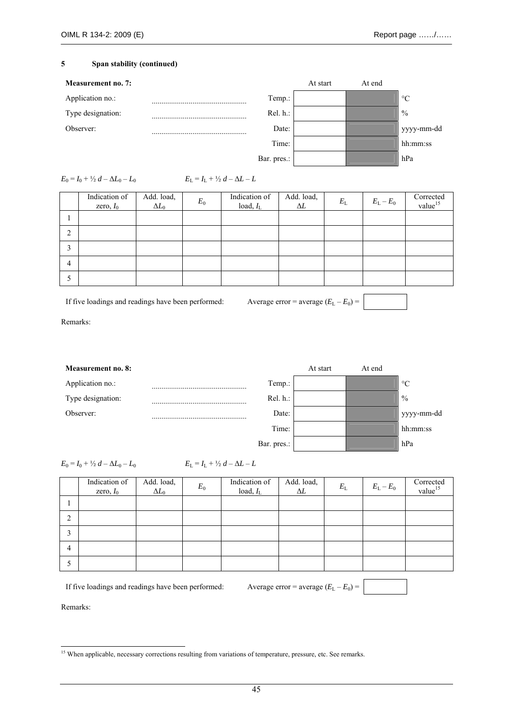

| $E_0 = I_0 + \frac{1}{2} d - \Delta L_0 - L_0$ | $E_{\rm L} = I_{\rm L} + \frac{1}{2} d - \Delta L - L$ |
|------------------------------------------------|--------------------------------------------------------|
|                                                |                                                        |

|   | Indication of<br>zero, $I_0$ | Add. load,<br>$\Delta L_0$ | $E_0$ | Indication of<br>load, $I_L$ | Add. load,<br>$\Delta L$ | $E_{\rm L}$ | $E_{\rm L}-E_{\rm 0}$ | $\frac{Corrected}{value}$ <sup>15</sup> |
|---|------------------------------|----------------------------|-------|------------------------------|--------------------------|-------------|-----------------------|-----------------------------------------|
|   |                              |                            |       |                              |                          |             |                       |                                         |
|   |                              |                            |       |                              |                          |             |                       |                                         |
|   |                              |                            |       |                              |                          |             |                       |                                         |
| 4 |                              |                            |       |                              |                          |             |                       |                                         |
|   |                              |                            |       |                              |                          |             |                       |                                         |

If five loadings and readings have been performed: Average error = average  $(E_L - E_0)$  =

Remarks:

| Measurement no. 8: |             | At start | At end |                 |
|--------------------|-------------|----------|--------|-----------------|
| Application no.:   | Temp.:      |          |        | $\rm ^{\circ}C$ |
| Type designation:  | $Rel. h.$ : |          |        | $\frac{0}{0}$   |
| Observer:          | Date:       |          |        | yyyy-mm-dd      |
|                    | Time:       |          |        | hh:mm:ss        |
|                    | Bar. pres.: |          |        | hPa             |

 $E_0 = I_0 + \frac{1}{2} d - \Delta L_0 - L_0$   $E_L = I_L + \frac{1}{2} d - \Delta L - L$ 

|   | Indication of<br>zero, $I_0$ | Add. load,<br>$\Delta L_0$ | $E_0$ | Indication of<br>load, $I_{L}$ | Add. load,<br>$\Delta L$ | $E_{\rm L}$ | $E_{\rm L}-E_0$ | $\frac{Corrected}{value}^{15}$ |
|---|------------------------------|----------------------------|-------|--------------------------------|--------------------------|-------------|-----------------|--------------------------------|
|   |                              |                            |       |                                |                          |             |                 |                                |
| ◠ |                              |                            |       |                                |                          |             |                 |                                |
|   |                              |                            |       |                                |                          |             |                 |                                |
| 4 |                              |                            |       |                                |                          |             |                 |                                |
|   |                              |                            |       |                                |                          |             |                 |                                |

If five loadings and readings have been performed: Average error = average  $(E_L - E_0)$  =

<sup>1</sup> <sup>15</sup> When applicable, necessary corrections resulting from variations of temperature, pressure, etc. See remarks.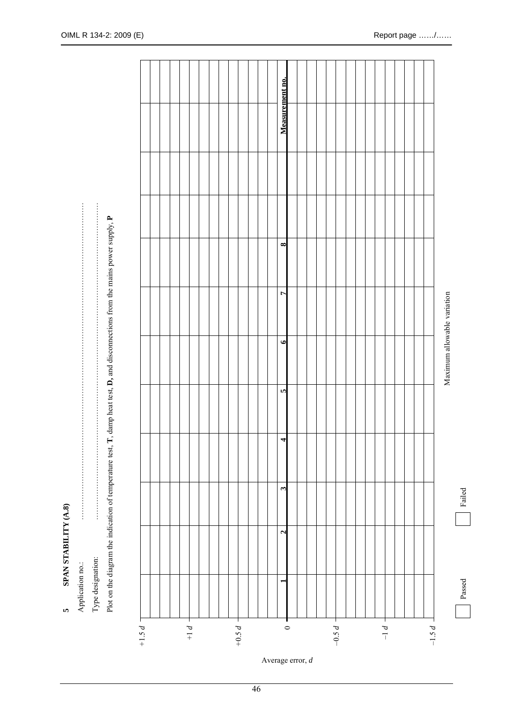| Ć<br>٥                      |  |
|-----------------------------|--|
| i<br>Ē                      |  |
| cim 4 m<br>í<br><b>SPAN</b> |  |
|                             |  |

Type designation: Application no.: Application no.:

|              |                   | and disconnections t<br>t. $\mathbf{I}$ , damp heat test, $\mathbf{D}$ , as<br>Plot on the diagram the indication |  |
|--------------|-------------------|-------------------------------------------------------------------------------------------------------------------|--|
| тррисанон ио | Type designation. |                                                                                                                   |  |

|  |  |  |  |  |  |  | $\mathfrak{S}$<br>$\mathbf{z}$        |  |  |  |  |  |  |  |                             |
|--|--|--|--|--|--|--|---------------------------------------|--|--|--|--|--|--|--|-----------------------------|
|  |  |  |  |  |  |  | $\bullet$<br>$\overline{\phantom{a}}$ |  |  |  |  |  |  |  |                             |
|  |  |  |  |  |  |  | $\overline{ }$<br>$\bullet$           |  |  |  |  |  |  |  | Maximum allowable variation |
|  |  |  |  |  |  |  | $\infty$                              |  |  |  |  |  |  |  |                             |
|  |  |  |  |  |  |  |                                       |  |  |  |  |  |  |  |                             |
|  |  |  |  |  |  |  | Measurement no.                       |  |  |  |  |  |  |  |                             |

Average error, *d*

Failed

Passed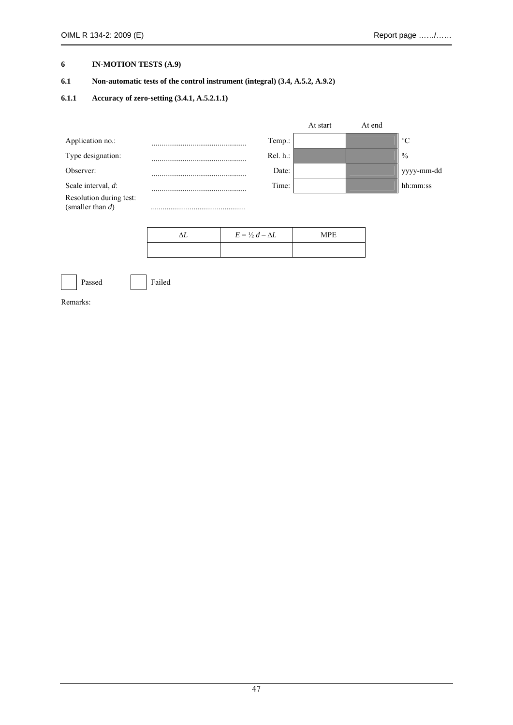## **6 IN-MOTION TESTS (A.9)**

## **6.1 Non-automatic tests of the control instrument (integral) (3.4, A.5.2, A.9.2)**

### **6.1.1 Accuracy of zero-setting (3.4.1, A.5.2.1.1)**

|                                                |   |             | At start | At end |                 |
|------------------------------------------------|---|-------------|----------|--------|-----------------|
| Application no.:                               | . | Temp.:      |          |        | $\rm ^{\circ}C$ |
| Type designation:                              |   | $Rel. h.$ : |          |        | $\frac{0}{0}$   |
| Observer:                                      |   | Date:       |          |        | yyyy-mm-dd      |
| Scale interval, $d$ :                          |   | Time:       |          |        | hh:mm:ss        |
| Resolution during test:<br>(smaller than $d$ ) |   |             |          |        |                 |

| $E = \frac{1}{2} d - \Delta L$ | <b>MPE</b> |
|--------------------------------|------------|
|                                |            |



Passed Failed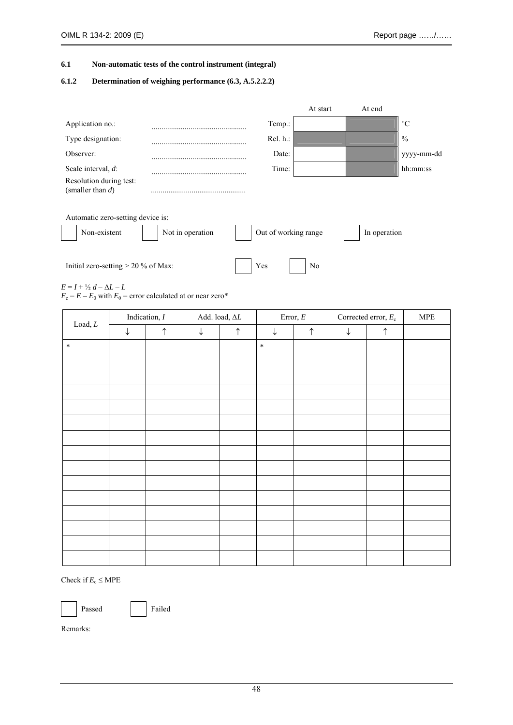#### **6.1 Non-automatic tests of the control instrument (integral)**

### **6.1.2 Determination of weighing performance (6.3, A.5.2.2.2)**

|                                                |                  |                      | At start | At end       |                 |
|------------------------------------------------|------------------|----------------------|----------|--------------|-----------------|
| Application no.:                               |                  | Temp.:               |          |              | $\rm ^{\circ}C$ |
| Type designation:                              |                  | Rel. h.:             |          |              | $\frac{0}{0}$   |
| Observer:                                      |                  | Date:                |          |              | yyyy-mm-dd      |
| Scale interval, d:                             |                  | Time:                |          |              | hh:mm:ss        |
| Resolution during test:<br>(smaller than $d$ ) |                  |                      |          |              |                 |
| Automatic zero-setting device is:              |                  |                      |          |              |                 |
| Non-existent                                   | Not in operation | Out of working range |          | In operation |                 |
|                                                |                  |                      |          |              |                 |

Initial zero-setting  $> 20\%$  of Max:  $\qquad \qquad$  Yes No

 $E = I + \frac{1}{2}d - \Delta L - L$ 

 $E_c = E - E_0$  with  $E_0$  = error calculated at or near zero\*

|                           |              | Indication, $I$ |              | Add. load, $\Delta L$ |              | Error, $\cal E$ | Corrected error, $E_c$ |            | <b>MPE</b> |
|---------------------------|--------------|-----------------|--------------|-----------------------|--------------|-----------------|------------------------|------------|------------|
| $\mathop{\text{Load}}, L$ | $\downarrow$ | $\uparrow$      | $\downarrow$ | $\uparrow$            | $\downarrow$ | $\uparrow$      | $\downarrow$           | $\uparrow$ |            |
| $\ast$                    |              |                 |              |                       | $\ast$       |                 |                        |            |            |
|                           |              |                 |              |                       |              |                 |                        |            |            |
|                           |              |                 |              |                       |              |                 |                        |            |            |
|                           |              |                 |              |                       |              |                 |                        |            |            |
|                           |              |                 |              |                       |              |                 |                        |            |            |
|                           |              |                 |              |                       |              |                 |                        |            |            |
|                           |              |                 |              |                       |              |                 |                        |            |            |
|                           |              |                 |              |                       |              |                 |                        |            |            |
|                           |              |                 |              |                       |              |                 |                        |            |            |
|                           |              |                 |              |                       |              |                 |                        |            |            |
|                           |              |                 |              |                       |              |                 |                        |            |            |
|                           |              |                 |              |                       |              |                 |                        |            |            |
|                           |              |                 |              |                       |              |                 |                        |            |            |
|                           |              |                 |              |                       |              |                 |                        |            |            |
|                           |              |                 |              |                       |              |                 |                        |            |            |

Check if  $E_c \leq \text{MPE}$ 

Passed Failed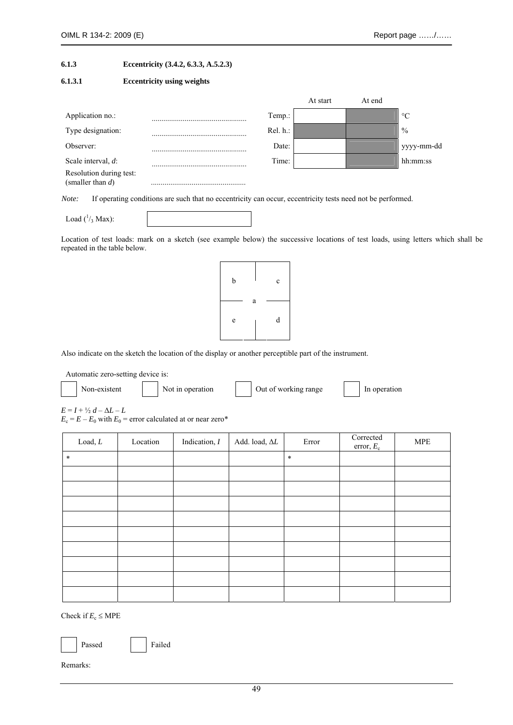### **6.1.3 Eccentricity (3.4.2, 6.3.3, A.5.2.3)**

#### **6.1.3.1 Eccentricity using weights**

|                                                |          | At start | At end |                 |
|------------------------------------------------|----------|----------|--------|-----------------|
| Application no.:                               | Temp.:   |          |        | $\rm ^{\circ}C$ |
| Type designation:                              | Rel. h.: |          |        | $\frac{0}{0}$   |
| Observer:                                      | Date:    |          |        | yyyy-mm-dd      |
| Scale interval, $d$ :                          | Time:    |          |        | hh:mm:ss        |
| Resolution during test:<br>(smaller than $d$ ) |          |          |        |                 |

*Note:* If operating conditions are such that no eccentricity can occur, eccentricity tests need not be performed.

Load  $(^{1/3}$  Max):

Location of test loads: mark on a sketch (see example below) the successive locations of test loads, using letters which shall be repeated in the table below.



Also indicate on the sketch the location of the display or another perceptible part of the instrument.

Automatic zero-setting device is:

| Non-existent | Not in operation | Out of working range | In operation |
|--------------|------------------|----------------------|--------------|
|              |                  |                      |              |

 $E = I + \frac{1}{2}d - \Delta L - L$  $E_c = E - E_0$  with  $E_0$  = error calculated at or near zero\*

| $\mathop{\text{Load}}, L$ | Location | Indication, $I$ | Add. load, $\Delta L$ | Error  | Corrected<br>error, $E_c$ | $\ensuremath{\mathsf{MPE}}$ |
|---------------------------|----------|-----------------|-----------------------|--------|---------------------------|-----------------------------|
| $\ast$                    |          |                 |                       | $\ast$ |                           |                             |
|                           |          |                 |                       |        |                           |                             |
|                           |          |                 |                       |        |                           |                             |
|                           |          |                 |                       |        |                           |                             |
|                           |          |                 |                       |        |                           |                             |
|                           |          |                 |                       |        |                           |                             |
|                           |          |                 |                       |        |                           |                             |
|                           |          |                 |                       |        |                           |                             |
|                           |          |                 |                       |        |                           |                             |
|                           |          |                 |                       |        |                           |                             |

Check if  $E_c \leq MPE$ 

|--|

ssed Failed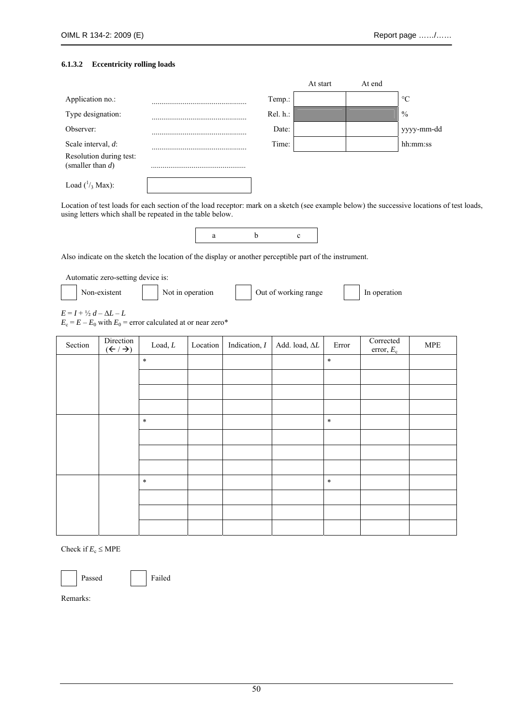#### **6.1.3.2 Eccentricity rolling loads**

|                                                |          | At start | At end |                 |
|------------------------------------------------|----------|----------|--------|-----------------|
| Application no.:                               | Temp.:   |          |        | $\rm ^{\circ}C$ |
| Type designation:                              | Rel. h.: |          |        | $\frac{0}{0}$   |
| Observer:                                      | Date:    |          |        | yyyy-mm-dd      |
| Scale interval, d:                             | Time:    |          |        | hh:mm:ss        |
| Resolution during test:<br>(smaller than $d$ ) |          |          |        |                 |
| Load $(^1/3$ Max):                             |          |          |        |                 |

Location of test loads for each section of the load receptor: mark on a sketch (see example below) the successive locations of test loads, using letters which shall be repeated in the table below.

Also indicate on the sketch the location of the display or another perceptible part of the instrument.

Automatic zero-setting device is:

|  | Non-existent | Not in operation | Out of working range | In operation |
|--|--------------|------------------|----------------------|--------------|
|  |              |                  |                      |              |

 $E = I + \frac{1}{2} d - \Delta L - L$  $E_c = E - E_0$  with  $E_0$  = error calculated at or near zero\*

| Section | Direction<br>$(\leftarrow / \rightarrow)$ | $\mathsf{Load}, \mathsf{L}$ | Location | Indication, $I$ | Add. load, $\Delta L$ | Error  | Corrected<br>error, $E_c$ | $\ensuremath{\mathsf{MPE}}$ |
|---------|-------------------------------------------|-----------------------------|----------|-----------------|-----------------------|--------|---------------------------|-----------------------------|
|         |                                           | $\ast$                      |          |                 |                       | $\ast$ |                           |                             |
|         |                                           |                             |          |                 |                       |        |                           |                             |
|         |                                           |                             |          |                 |                       |        |                           |                             |
|         |                                           |                             |          |                 |                       |        |                           |                             |
|         |                                           | $\ast$                      |          |                 |                       | $\ast$ |                           |                             |
|         |                                           |                             |          |                 |                       |        |                           |                             |
|         |                                           |                             |          |                 |                       |        |                           |                             |
|         |                                           |                             |          |                 |                       |        |                           |                             |
|         |                                           | $\ast$                      |          |                 |                       | $\ast$ |                           |                             |
|         |                                           |                             |          |                 |                       |        |                           |                             |
|         |                                           |                             |          |                 |                       |        |                           |                             |
|         |                                           |                             |          |                 |                       |        |                           |                             |

Check if  $E_c \leq \text{MPE}$ 

Passed Failed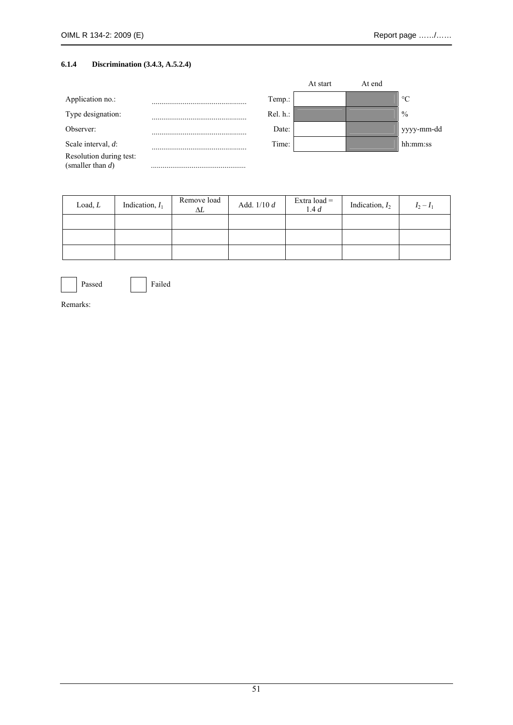## **6.1.4 Discrimination (3.4.3, A.5.2.4)**

|                                                |          | At start | At end |                 |
|------------------------------------------------|----------|----------|--------|-----------------|
| Application no.:                               | Temp.:   |          |        | $\rm ^{\circ}C$ |
| Type designation:                              | Rel. h.: |          |        | $\frac{0}{0}$   |
| Observer:                                      | Date:    |          |        | yyyy-mm-dd      |
| Scale interval, $d$ :                          | Time:    |          |        | hh:mm:ss        |
| Resolution during test:<br>(smaller than $d$ ) |          |          |        |                 |

| Load, L | Indication, $I_1$ | Remove load<br>ΔL | Add. $1/10 d$ | Extra load $=$<br>1.4 d | Indication, $I_2$ | $I_2 - I_1$ |
|---------|-------------------|-------------------|---------------|-------------------------|-------------------|-------------|
|         |                   |                   |               |                         |                   |             |
|         |                   |                   |               |                         |                   |             |
|         |                   |                   |               |                         |                   |             |



Passed Failed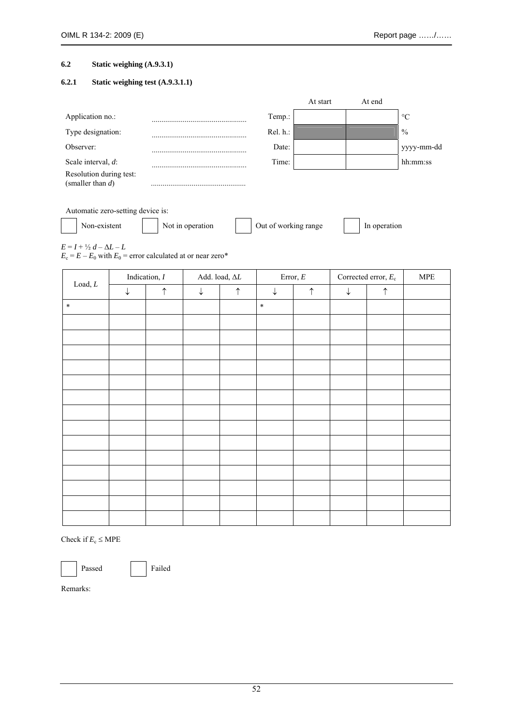### **6.2 Static weighing (A.9.3.1)**

### **6.2.1 Static weighing test (A.9.3.1.1)**

|                                                |          | At start | At end |                 |
|------------------------------------------------|----------|----------|--------|-----------------|
| Application no.:                               | Temp.:   |          |        | $\rm ^{\circ}C$ |
| Type designation:                              | Rel. h.: |          |        | $\frac{0}{0}$   |
| Observer:                                      | Date:    |          |        | yyyy-mm-dd      |
| Scale interval, d:                             | Time:    |          |        | hh:mm:ss        |
| Resolution during test:<br>(smaller than $d$ ) |          |          |        |                 |

Automatic zero-setting device is:

Non-existent Not in operation Nout of working range In operation

 $E = I + \frac{1}{2} d - \Delta L - L$ 

 $E_c = E - E_0$  with  $E_0$  = error calculated at or near zero\*

| $\mathop{\text{Load}}, L$ |              | Indication, $I$ |              | Add. load, $\Delta L$ |              | Error, $\cal E$ | Corrected error, $E_c$ |            | ${\sf MPE}$ |
|---------------------------|--------------|-----------------|--------------|-----------------------|--------------|-----------------|------------------------|------------|-------------|
|                           | $\downarrow$ | $\uparrow$      | $\downarrow$ | $\uparrow$            | $\downarrow$ | $\uparrow$      | $\downarrow$           | $\uparrow$ |             |
| $\ast$                    |              |                 |              |                       | $\ast$       |                 |                        |            |             |
|                           |              |                 |              |                       |              |                 |                        |            |             |
|                           |              |                 |              |                       |              |                 |                        |            |             |
|                           |              |                 |              |                       |              |                 |                        |            |             |
|                           |              |                 |              |                       |              |                 |                        |            |             |
|                           |              |                 |              |                       |              |                 |                        |            |             |
|                           |              |                 |              |                       |              |                 |                        |            |             |
|                           |              |                 |              |                       |              |                 |                        |            |             |
|                           |              |                 |              |                       |              |                 |                        |            |             |
|                           |              |                 |              |                       |              |                 |                        |            |             |
|                           |              |                 |              |                       |              |                 |                        |            |             |
|                           |              |                 |              |                       |              |                 |                        |            |             |
|                           |              |                 |              |                       |              |                 |                        |            |             |
|                           |              |                 |              |                       |              |                 |                        |            |             |
|                           |              |                 |              |                       |              |                 |                        |            |             |

Check if  $E_c \leq \text{MPE}$ 

Passed Failed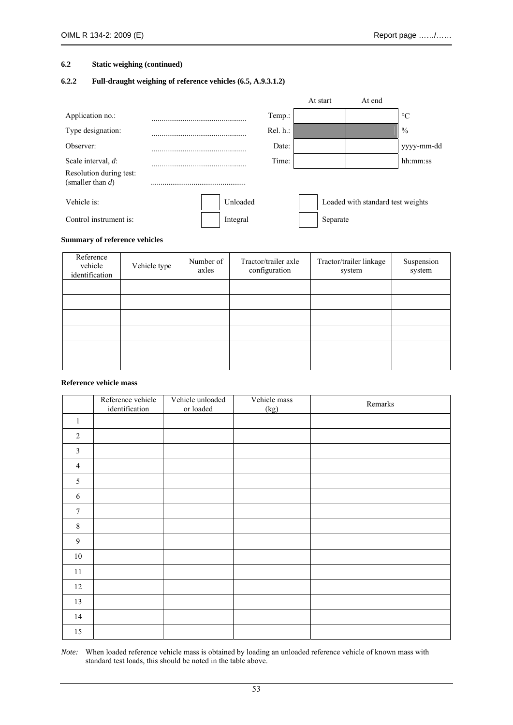#### **6.2 Static weighing (continued)**

## **6.2.2 Full-draught weighing of reference vehicles (6.5, A.9.3.1.2)**

|                                                |  |          |          | At start | At end                            |                 |
|------------------------------------------------|--|----------|----------|----------|-----------------------------------|-----------------|
| Application no.:                               |  |          | Temp.:   |          |                                   | $\rm ^{\circ}C$ |
| Type designation:                              |  |          | Rel. h.: |          |                                   | $\frac{0}{0}$   |
| Observer:                                      |  |          | Date:    |          |                                   | yyyy-mm-dd      |
| Scale interval, d:                             |  |          | Time:    |          |                                   | hh:mm:ss        |
| Resolution during test:<br>(smaller than $d$ ) |  |          |          |          |                                   |                 |
| Vehicle is:                                    |  | Unloaded |          |          | Loaded with standard test weights |                 |
| Control instrument is:                         |  | Integral |          | Separate |                                   |                 |

### **Summary of reference vehicles**

| Reference<br>vehicle<br>identification | Vehicle type | Number of<br>axles | Tractor/trailer axle<br>configuration | Tractor/trailer linkage<br>system | Suspension<br>system |
|----------------------------------------|--------------|--------------------|---------------------------------------|-----------------------------------|----------------------|
|                                        |              |                    |                                       |                                   |                      |
|                                        |              |                    |                                       |                                   |                      |
|                                        |              |                    |                                       |                                   |                      |
|                                        |              |                    |                                       |                                   |                      |
|                                        |              |                    |                                       |                                   |                      |
|                                        |              |                    |                                       |                                   |                      |

### **Reference vehicle mass**

|                | Reference vehicle<br>identification | Vehicle unloaded<br>or loaded | Vehicle mass<br>(kg) | Remarks |
|----------------|-------------------------------------|-------------------------------|----------------------|---------|
| $\mathbf{1}$   |                                     |                               |                      |         |
| $\overline{2}$ |                                     |                               |                      |         |
| $\mathfrak{Z}$ |                                     |                               |                      |         |
| $\overline{4}$ |                                     |                               |                      |         |
| $\sqrt{5}$     |                                     |                               |                      |         |
| 6              |                                     |                               |                      |         |
| $\tau$         |                                     |                               |                      |         |
| $8\,$          |                                     |                               |                      |         |
| $\mathfrak{g}$ |                                     |                               |                      |         |
| $10\,$         |                                     |                               |                      |         |
| 11             |                                     |                               |                      |         |
| 12             |                                     |                               |                      |         |
| 13             |                                     |                               |                      |         |
| 14             |                                     |                               |                      |         |
| 15             |                                     |                               |                      |         |

*Note:* When loaded reference vehicle mass is obtained by loading an unloaded reference vehicle of known mass with standard test loads, this should be noted in the table above.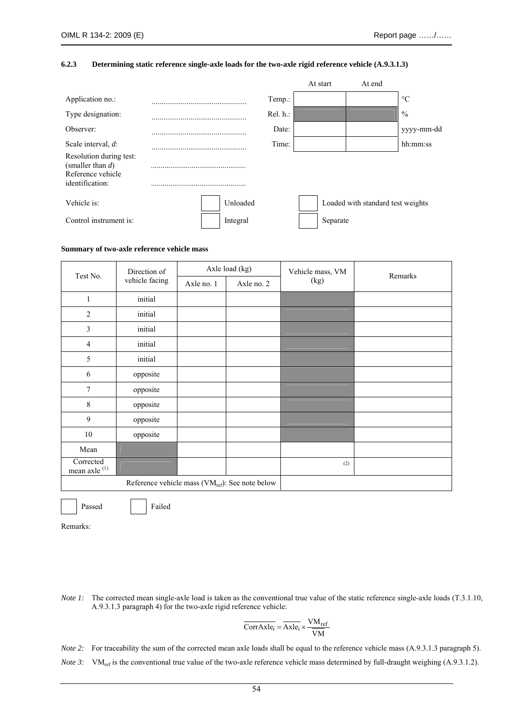#### **6.2.3 Determining static reference single-axle loads for the two-axle rigid reference vehicle (A.9.3.1.3)**

|                                                                                        |  |          |          | At start | At end                            |                 |
|----------------------------------------------------------------------------------------|--|----------|----------|----------|-----------------------------------|-----------------|
| Application no.:                                                                       |  |          | Temp.:   |          |                                   | $\rm ^{\circ}C$ |
| Type designation:                                                                      |  |          | Rel. h.: |          |                                   | $\frac{0}{0}$   |
| Observer:                                                                              |  |          | Date:    |          |                                   | yyyy-mm-dd      |
| Scale interval, $d$ :                                                                  |  |          | Time:    |          |                                   | hh:mm:ss        |
| Resolution during test:<br>(smaller than $d$ )<br>Reference vehicle<br>identification: |  |          |          |          |                                   |                 |
| Vehicle is:                                                                            |  | Unloaded |          |          | Loaded with standard test weights |                 |
| Control instrument is:                                                                 |  | Integral |          | Separate |                                   |                 |

#### **Summary of two-axle reference vehicle mass**

| Test No.                                                    | Direction of   |            | Axle load (kg) | Vehicle mass, VM | Remarks |  |
|-------------------------------------------------------------|----------------|------------|----------------|------------------|---------|--|
|                                                             | vehicle facing | Axle no. 1 | Axle no. 2     | (kg)             |         |  |
| $\mathbf{1}$                                                | initial        |            |                |                  |         |  |
| $\overline{2}$                                              | initial        |            |                |                  |         |  |
| 3                                                           | initial        |            |                |                  |         |  |
| $\overline{4}$                                              | initial        |            |                |                  |         |  |
| 5                                                           | initial        |            |                |                  |         |  |
| 6                                                           | opposite       |            |                |                  |         |  |
| 7                                                           | opposite       |            |                |                  |         |  |
| 8                                                           | opposite       |            |                |                  |         |  |
| 9                                                           | opposite       |            |                |                  |         |  |
| 10                                                          | opposite       |            |                |                  |         |  |
| Mean                                                        |                |            |                |                  |         |  |
| Corrected<br>mean axle $(1)$                                |                |            |                | (2)              |         |  |
| Reference vehicle mass (VM <sub>ref</sub> ): See note below |                |            |                |                  |         |  |

Passed Failed

Remarks:

*Note 1*: The corrected mean single-axle load is taken as the conventional true value of the static reference single-axle loads (T.3.1.10, A.9.3.1.3 paragraph 4) for the two-axle rigid reference vehicle:

$$
\overline{\text{CorrAxle}_i} = \overline{\text{Axle}_i} \times \frac{\text{VM}_{\text{ref}}}{\overline{\text{VM}}}
$$

*Note 2*: For traceability the sum of the corrected mean axle loads shall be equal to the reference vehicle mass (A.9.3.1.3 paragraph 5).

*Note 3:* VM<sub>ref</sub> is the conventional true value of the two-axle reference vehicle mass determined by full-draught weighing (A.9.3.1.2).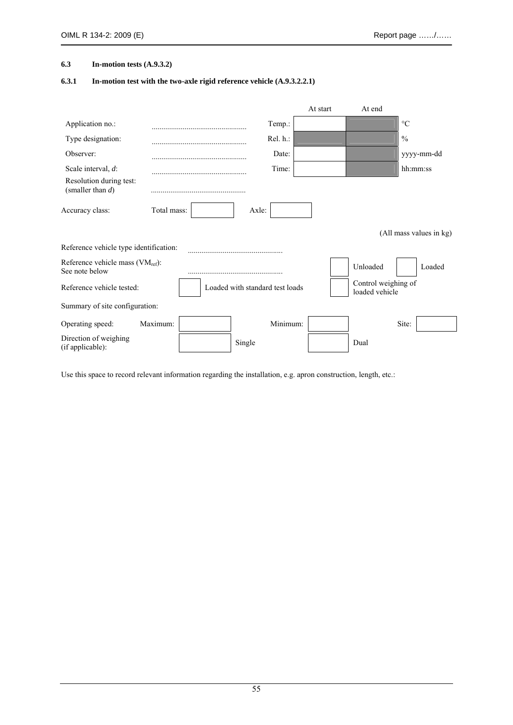### **6.3 In-motion tests (A.9.3.2)**

## **6.3.1 In-motion test with the two-axle rigid reference vehicle (A.9.3.2.2.1)**

|                                                         |                         |  |                                 | At start | At end                                |                 |  |  |
|---------------------------------------------------------|-------------------------|--|---------------------------------|----------|---------------------------------------|-----------------|--|--|
| Application no.:                                        |                         |  | Temp.:                          |          |                                       | $\rm ^{\circ}C$ |  |  |
| Type designation:                                       |                         |  | Rel. h.:                        |          |                                       | $\frac{0}{0}$   |  |  |
| Observer:                                               |                         |  | Date:                           |          |                                       | yyyy-mm-dd      |  |  |
| Scale interval, d:                                      |                         |  | Time:                           |          |                                       | hh:mm:ss        |  |  |
| Resolution during test:<br>(smaller than $d$ )          |                         |  |                                 |          |                                       |                 |  |  |
| Accuracy class:                                         | Total mass:             |  | Axle:                           |          |                                       |                 |  |  |
|                                                         | (All mass values in kg) |  |                                 |          |                                       |                 |  |  |
| Reference vehicle type identification:                  |                         |  |                                 |          |                                       |                 |  |  |
| Reference vehicle mass $(VM_{ref})$ :<br>See note below |                         |  |                                 |          | Unloaded                              | Loaded          |  |  |
| Reference vehicle tested:                               |                         |  | Loaded with standard test loads |          | Control weighing of<br>loaded vehicle |                 |  |  |
| Summary of site configuration:                          |                         |  |                                 |          |                                       |                 |  |  |
| Operating speed:                                        | Maximum:                |  | Minimum:                        |          |                                       | Site:           |  |  |
| Direction of weighing<br>(if applicable):               |                         |  | Single                          |          | Dual                                  |                 |  |  |

Use this space to record relevant information regarding the installation, e.g. apron construction, length, etc.: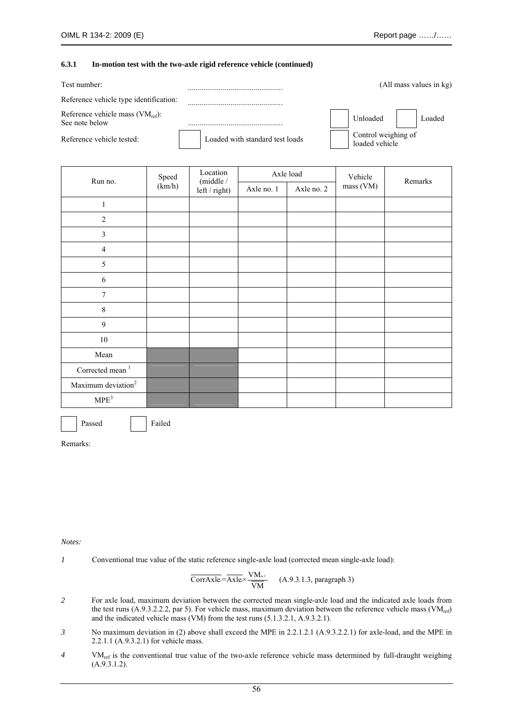#### **6.3.1 In-motion test with the two-axle rigid reference vehicle (continued)**

| Test number:                                            |                                 | (All mass values in kg)               |
|---------------------------------------------------------|---------------------------------|---------------------------------------|
| Reference vehicle type identification:                  |                                 |                                       |
| Reference vehicle mass $(VM_{ref})$ :<br>See note below |                                 | Loaded<br>Unloaded                    |
| Reference vehicle tested:                               | Loaded with standard test loads | Control weighing of<br>loaded vehicle |

| Run no.                        | Speed  | Location<br>(middle / |            | Axle load  | Vehicle   | Remarks |  |
|--------------------------------|--------|-----------------------|------------|------------|-----------|---------|--|
|                                | (km/h) | left / right)         | Axle no. 1 | Axle no. 2 | mass (VM) |         |  |
| $\mathbf{1}$                   |        |                       |            |            |           |         |  |
| $\sqrt{2}$                     |        |                       |            |            |           |         |  |
| $\mathfrak{Z}$                 |        |                       |            |            |           |         |  |
| $\overline{4}$                 |        |                       |            |            |           |         |  |
| $\sqrt{5}$                     |        |                       |            |            |           |         |  |
| $\sqrt{6}$                     |        |                       |            |            |           |         |  |
| $\boldsymbol{7}$               |        |                       |            |            |           |         |  |
| $\,8\,$                        |        |                       |            |            |           |         |  |
| $\mathbf{9}$                   |        |                       |            |            |           |         |  |
| $10\,$                         |        |                       |            |            |           |         |  |
| Mean                           |        |                       |            |            |           |         |  |
| Corrected mean $^{\mathrm{1}}$ |        |                       |            |            |           |         |  |
| Maximum deviation <sup>2</sup> |        |                       |            |            |           |         |  |
| $\text{MPE}^3$                 |        |                       |            |            |           |         |  |

Passed Failed

Remarks:

#### *Notes:*

*1* Conventional true value of the static reference single-axle load (corrected mean single-axle load):

$$
\overline{CorrAxle} = \overline{Axle} \times \frac{VM_{ref}}{VM}
$$
 (A.9.3.1.3, paragraph 3)

- *2* For axle load, maximum deviation between the corrected mean single-axle load and the indicated axle loads from the test runs  $(A.9.3.2.2.2,$  par 5). For vehicle mass, maximum deviation between the reference vehicle mass (VM<sub>ref</sub>) and the indicated vehicle mass (VM) from the test runs (5.1.3.2.1, A.9.3.2.1).
- *3* No maximum deviation in (2) above shall exceed the MPE in 2.2.1.2.1 (A.9.3.2.2.1) for axle-load, and the MPE in 2.2.1.1 (A.9.3.2.1) for vehicle mass.
- *4* VMref is the conventional true value of the two-axle reference vehicle mass determined by full-draught weighing (A.9.3.1.2).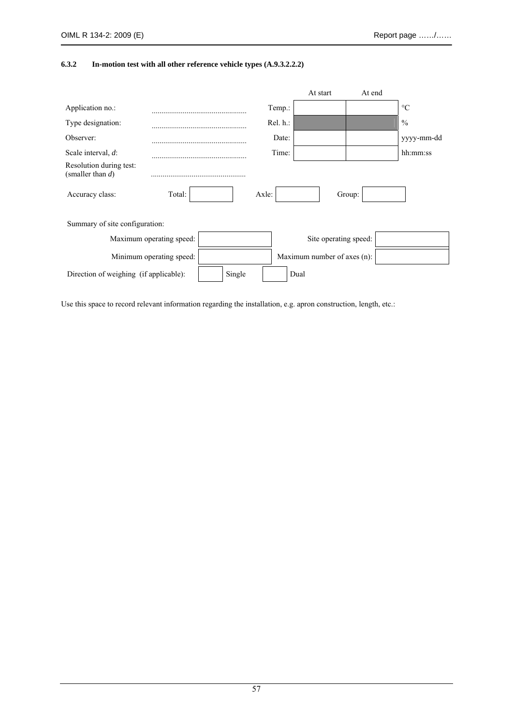### **6.3.2 In-motion test with all other reference vehicle types (A.9.3.2.2.2)**

|                                                |                          |        |          | At start                    | At end |                 |
|------------------------------------------------|--------------------------|--------|----------|-----------------------------|--------|-----------------|
| Application no.:                               |                          |        | Temp.:   |                             |        | $\rm ^{\circ}C$ |
| Type designation:                              |                          |        | Rel. h.: |                             |        | $\frac{0}{0}$   |
| Observer:                                      |                          |        | Date:    |                             |        | yyyy-mm-dd      |
| Scale interval, $d$ :                          |                          |        | Time:    |                             |        | hh:mm:ss        |
| Resolution during test:<br>(smaller than $d$ ) |                          |        |          |                             |        |                 |
| Accuracy class:                                | Total:                   |        | Axle:    |                             | Group: |                 |
| Summary of site configuration:                 |                          |        |          |                             |        |                 |
|                                                | Maximum operating speed: |        |          | Site operating speed:       |        |                 |
|                                                | Minimum operating speed: |        |          | Maximum number of axes (n): |        |                 |
| Direction of weighing (if applicable):         |                          | Single |          | Dual                        |        |                 |

Use this space to record relevant information regarding the installation, e.g. apron construction, length, etc.: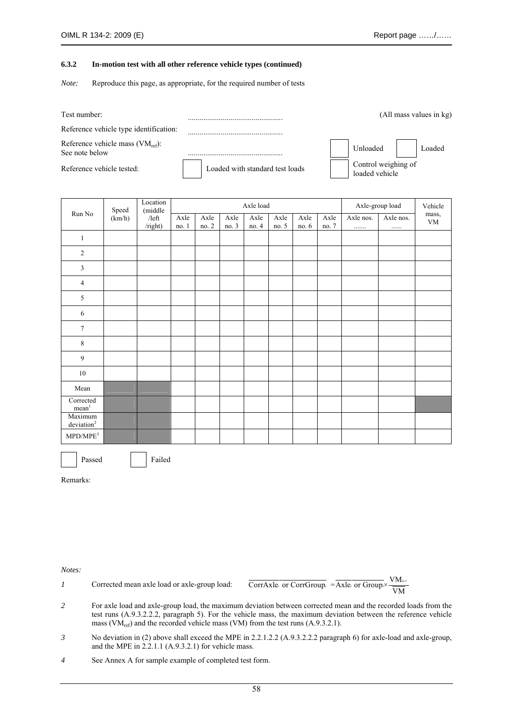#### **6.3.2 In-motion test with all other reference vehicle types (continued)**

*Note:* Reproduce this page, as appropriate, for the required number of tests

| Test number:                                            |                                 |                                       | (All mass values in kg) |
|---------------------------------------------------------|---------------------------------|---------------------------------------|-------------------------|
| Reference vehicle type identification:                  |                                 |                                       |                         |
| Reference vehicle mass $(VM_{ref})$ :<br>See note below |                                 | Unloaded                              | Loaded                  |
| Reference vehicle tested:                               | Loaded with standard test loads | Control weighing of<br>loaded vehicle |                         |

|                                   | Speed | Location<br>(middle        | Axle load     |               |               |               |               |               |               | Axle-group load |                | Vehicle             |
|-----------------------------------|-------|----------------------------|---------------|---------------|---------------|---------------|---------------|---------------|---------------|-----------------|----------------|---------------------|
| Run No                            |       | (km/h)<br>/left<br>/right) | Axle<br>no. 1 | Axle<br>no. 2 | Axle<br>no. 3 | Axle<br>no. 4 | Axle<br>no. 5 | Axle<br>no. 6 | Axle<br>no. 7 | Axle nos.<br>.  | Axle nos.<br>. | mass,<br>${\it VM}$ |
| $\mathbf{1}$                      |       |                            |               |               |               |               |               |               |               |                 |                |                     |
| $\sqrt{2}$                        |       |                            |               |               |               |               |               |               |               |                 |                |                     |
| 3                                 |       |                            |               |               |               |               |               |               |               |                 |                |                     |
| $\overline{4}$                    |       |                            |               |               |               |               |               |               |               |                 |                |                     |
| 5                                 |       |                            |               |               |               |               |               |               |               |                 |                |                     |
| 6                                 |       |                            |               |               |               |               |               |               |               |                 |                |                     |
| $\tau$                            |       |                            |               |               |               |               |               |               |               |                 |                |                     |
| 8                                 |       |                            |               |               |               |               |               |               |               |                 |                |                     |
| $\overline{9}$                    |       |                            |               |               |               |               |               |               |               |                 |                |                     |
| $10\,$                            |       |                            |               |               |               |               |               |               |               |                 |                |                     |
| Mean                              |       |                            |               |               |               |               |               |               |               |                 |                |                     |
| Corrected<br>mean <sup>1</sup>    |       |                            |               |               |               |               |               |               |               |                 |                |                     |
| Maximum<br>deviation <sup>2</sup> |       |                            |               |               |               |               |               |               |               |                 |                |                     |
| $\mbox{MPD}/\mbox{MPE}^3$         |       |                            |               |               |               |               |               |               |               |                 |                |                     |

Passed Failed

Remarks:

*Notes:* 

*1* Corrected mean axle load or axle-group load:  $\overline{\text{CorrAxle}}$  or  $\overline{\text{CorrGroup}}$  =  $\overline{\text{Axle}}$  or  $\overline{\text{Group}} \times \frac{\text{VM}_{\text{ref}}}{\overline{\text{VM}}}$ 

- *2* For axle load and axle-group load, the maximum deviation between corrected mean and the recorded loads from the test runs (A.9.3.2.2.2, paragraph 5). For the vehicle mass, the maximum deviation between the reference vehicle mass ( $VM_{ref}$ ) and the recorded vehicle mass ( $VM$ ) from the test runs (A.9.3.2.1).
- *3* No deviation in (2) above shall exceed the MPE in 2.2.1.2.2 (A.9.3.2.2.2 paragraph 6) for axle-load and axle-group, and the MPE in 2.2.1.1 (A.9.3.2.1) for vehicle mass.
- *4* See Annex A for sample example of completed test form.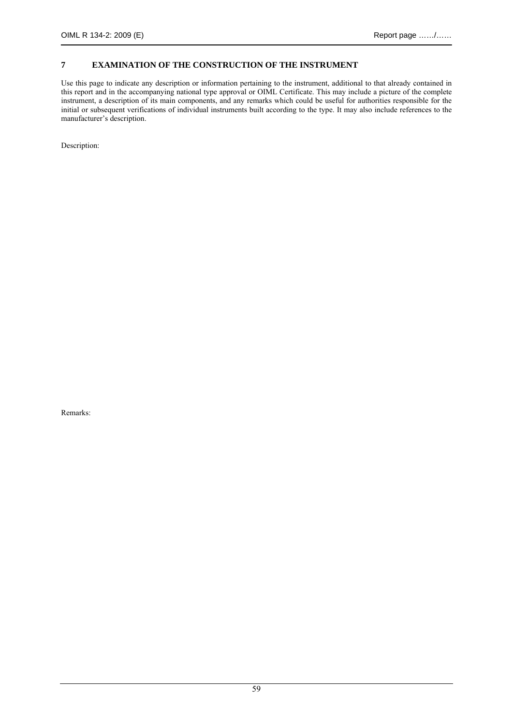### **7 EXAMINATION OF THE CONSTRUCTION OF THE INSTRUMENT**

Use this page to indicate any description or information pertaining to the instrument, additional to that already contained in this report and in the accompanying national type approval or OIML Certificate. This may include a picture of the complete instrument, a description of its main components, and any remarks which could be useful for authorities responsible for the initial or subsequent verifications of individual instruments built according to the type. It may also include references to the manufacturer's description.

Description: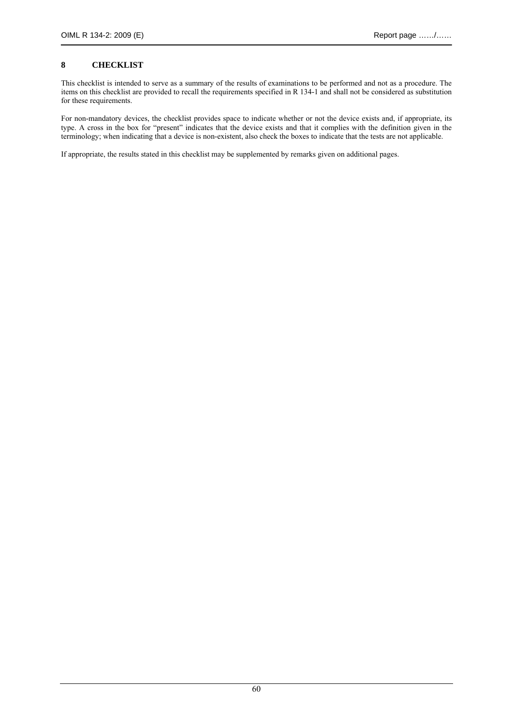## **8 CHECKLIST**

This checklist is intended to serve as a summary of the results of examinations to be performed and not as a procedure. The items on this checklist are provided to recall the requirements specified in R 134-1 and shall not be considered as substitution for these requirements.

For non-mandatory devices, the checklist provides space to indicate whether or not the device exists and, if appropriate, its type. A cross in the box for "present" indicates that the device exists and that it complies with the definition given in the terminology; when indicating that a device is non-existent, also check the boxes to indicate that the tests are not applicable.

If appropriate, the results stated in this checklist may be supplemented by remarks given on additional pages.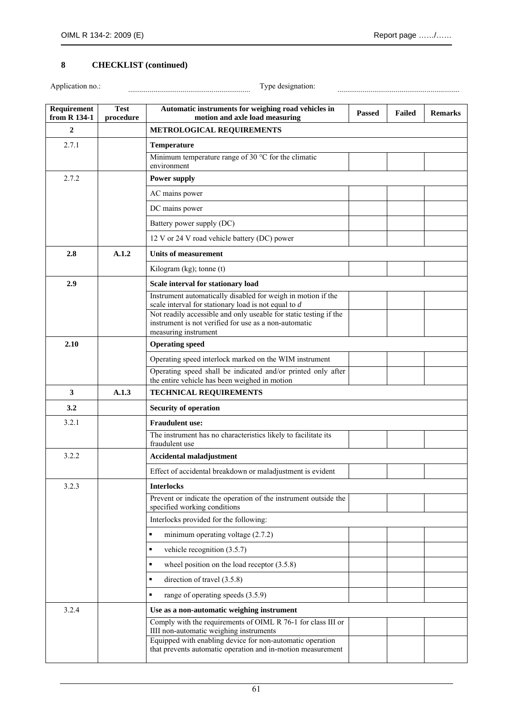# **8 CHECKLIST (continued)**

Application no.: ............................................................... Type designation: ...............................................................

| Requirement<br>from R 134-1 | <b>Test</b><br>procedure | Automatic instruments for weighing road vehicles in<br>motion and axle load measuring                                    | <b>Passed</b> | Failed | <b>Remarks</b> |
|-----------------------------|--------------------------|--------------------------------------------------------------------------------------------------------------------------|---------------|--------|----------------|
| $\mathbf{2}$                |                          | METROLOGICAL REQUIREMENTS                                                                                                |               |        |                |
| 2.7.1                       |                          | <b>Temperature</b>                                                                                                       |               |        |                |
|                             |                          | Minimum temperature range of 30 $^{\circ}$ C for the climatic<br>environment                                             |               |        |                |
| 2.7.2                       |                          | <b>Power supply</b>                                                                                                      |               |        |                |
|                             |                          | AC mains power                                                                                                           |               |        |                |
|                             |                          | DC mains power                                                                                                           |               |        |                |
|                             |                          | Battery power supply (DC)                                                                                                |               |        |                |
|                             |                          | 12 V or 24 V road vehicle battery (DC) power                                                                             |               |        |                |
| 2.8                         | A.1.2                    | <b>Units of measurement</b>                                                                                              |               |        |                |
|                             |                          | Kilogram (kg); tonne (t)                                                                                                 |               |        |                |
| 2.9                         |                          | Scale interval for stationary load                                                                                       |               |        |                |
|                             |                          | Instrument automatically disabled for weigh in motion if the<br>scale interval for stationary load is not equal to $d$   |               |        |                |
|                             |                          | Not readily accessible and only useable for static testing if the                                                        |               |        |                |
|                             |                          | instrument is not verified for use as a non-automatic<br>measuring instrument                                            |               |        |                |
| 2.10                        |                          | <b>Operating speed</b>                                                                                                   |               |        |                |
|                             |                          | Operating speed interlock marked on the WIM instrument                                                                   |               |        |                |
|                             |                          | Operating speed shall be indicated and/or printed only after<br>the entire vehicle has been weighed in motion            |               |        |                |
| 3                           | A.1.3                    | <b>TECHNICAL REQUIREMENTS</b>                                                                                            |               |        |                |
| 3.2                         |                          | <b>Security of operation</b>                                                                                             |               |        |                |
| 3.2.1                       |                          | <b>Fraudulent use:</b>                                                                                                   |               |        |                |
|                             |                          | The instrument has no characteristics likely to facilitate its<br>fraudulent use                                         |               |        |                |
| 3.2.2                       |                          | <b>Accidental maladjustment</b>                                                                                          |               |        |                |
|                             |                          | Effect of accidental breakdown or maladjustment is evident                                                               |               |        |                |
| 3.2.3                       |                          | <b>Interlocks</b>                                                                                                        |               |        |                |
|                             |                          | Prevent or indicate the operation of the instrument outside the<br>specified working conditions                          |               |        |                |
|                             |                          | Interlocks provided for the following:                                                                                   |               |        |                |
|                             |                          | $\blacksquare$<br>minimum operating voltage $(2.7.2)$                                                                    |               |        |                |
|                             |                          | vehicle recognition $(3.5.7)$<br>٠                                                                                       |               |        |                |
|                             |                          | wheel position on the load receptor $(3.5.8)$<br>٠                                                                       |               |        |                |
|                             |                          | direction of travel (3.5.8)<br>٠                                                                                         |               |        |                |
|                             |                          | range of operating speeds (3.5.9)<br>٠                                                                                   |               |        |                |
| 3.2.4                       |                          | Use as a non-automatic weighing instrument                                                                               |               |        |                |
|                             |                          | Comply with the requirements of OIML R 76-1 for class III or<br>IIII non-automatic weighing instruments                  |               |        |                |
|                             |                          | Equipped with enabling device for non-automatic operation<br>that prevents automatic operation and in-motion measurement |               |        |                |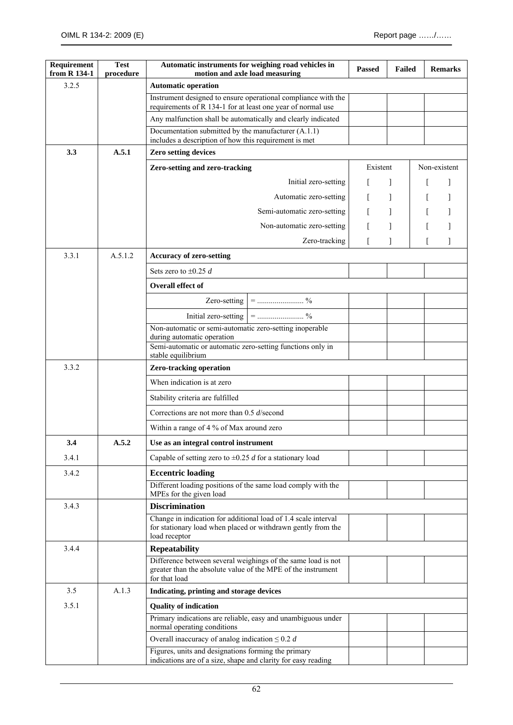| Requirement<br>from R 134-1 | <b>Test</b><br>procedure | Automatic instruments for weighing road vehicles in<br>motion and axle load measuring                                                           |                             | <b>Passed</b> | <b>Failed</b> | <b>Remarks</b> |  |
|-----------------------------|--------------------------|-------------------------------------------------------------------------------------------------------------------------------------------------|-----------------------------|---------------|---------------|----------------|--|
| 3.2.5                       |                          | <b>Automatic operation</b>                                                                                                                      |                             |               |               |                |  |
|                             |                          | Instrument designed to ensure operational compliance with the<br>requirements of R 134-1 for at least one year of normal use                    |                             |               |               |                |  |
|                             |                          | Any malfunction shall be automatically and clearly indicated                                                                                    |                             |               |               |                |  |
|                             |                          | Documentation submitted by the manufacturer (A.1.1)<br>includes a description of how this requirement is met                                    |                             |               |               |                |  |
| 3.3                         | A.5.1                    | <b>Zero setting devices</b>                                                                                                                     |                             |               |               |                |  |
|                             |                          | Zero-setting and zero-tracking                                                                                                                  |                             | Existent      |               | Non-existent   |  |
|                             |                          |                                                                                                                                                 | Initial zero-setting        |               |               |                |  |
|                             |                          |                                                                                                                                                 | Automatic zero-setting      |               | 1             |                |  |
|                             |                          |                                                                                                                                                 | Semi-automatic zero-setting |               | 1             |                |  |
|                             |                          |                                                                                                                                                 | Non-automatic zero-setting  |               |               |                |  |
|                             |                          |                                                                                                                                                 | Zero-tracking               |               |               |                |  |
| 3.3.1                       | A.5.1.2                  | <b>Accuracy of zero-setting</b>                                                                                                                 |                             |               |               |                |  |
|                             |                          | Sets zero to $\pm 0.25$ d                                                                                                                       |                             |               |               |                |  |
|                             |                          | <b>Overall effect of</b>                                                                                                                        |                             |               |               |                |  |
|                             |                          |                                                                                                                                                 |                             |               |               |                |  |
|                             |                          |                                                                                                                                                 |                             |               |               |                |  |
|                             |                          | Non-automatic or semi-automatic zero-setting inoperable                                                                                         |                             |               |               |                |  |
|                             |                          | during automatic operation<br>Semi-automatic or automatic zero-setting functions only in                                                        |                             |               |               |                |  |
|                             |                          | stable equilibrium                                                                                                                              |                             |               |               |                |  |
| 3.3.2                       |                          | <b>Zero-tracking operation</b>                                                                                                                  |                             |               |               |                |  |
|                             |                          | When indication is at zero                                                                                                                      |                             |               |               |                |  |
|                             |                          | Stability criteria are fulfilled                                                                                                                |                             |               |               |                |  |
|                             |                          | Corrections are not more than $0.5$ d/second                                                                                                    |                             |               |               |                |  |
|                             |                          | Within a range of 4 % of Max around zero                                                                                                        |                             |               |               |                |  |
| 3.4                         | A.5.2                    | Use as an integral control instrument                                                                                                           |                             |               |               |                |  |
| 3.4.1                       |                          | Capable of setting zero to $\pm 0.25$ d for a stationary load                                                                                   |                             |               |               |                |  |
| 3.4.2                       |                          | <b>Eccentric loading</b>                                                                                                                        |                             |               |               |                |  |
|                             |                          | Different loading positions of the same load comply with the<br>MPEs for the given load                                                         |                             |               |               |                |  |
| 3.4.3                       |                          | <b>Discrimination</b>                                                                                                                           |                             |               |               |                |  |
|                             |                          | Change in indication for additional load of 1.4 scale interval<br>for stationary load when placed or withdrawn gently from the<br>load receptor |                             |               |               |                |  |
| 3.4.4                       |                          | <b>Repeatability</b>                                                                                                                            |                             |               |               |                |  |
|                             |                          | Difference between several weighings of the same load is not<br>greater than the absolute value of the MPE of the instrument<br>for that load   |                             |               |               |                |  |
| 3.5                         | A.1.3                    | Indicating, printing and storage devices                                                                                                        |                             |               |               |                |  |
| 3.5.1                       |                          | <b>Quality of indication</b>                                                                                                                    |                             |               |               |                |  |
|                             |                          | Primary indications are reliable, easy and unambiguous under<br>normal operating conditions                                                     |                             |               |               |                |  |
|                             |                          | Overall inaccuracy of analog indication $\leq 0.2$ d                                                                                            |                             |               |               |                |  |
|                             |                          | Figures, units and designations forming the primary<br>indications are of a size, shape and clarity for easy reading                            |                             |               |               |                |  |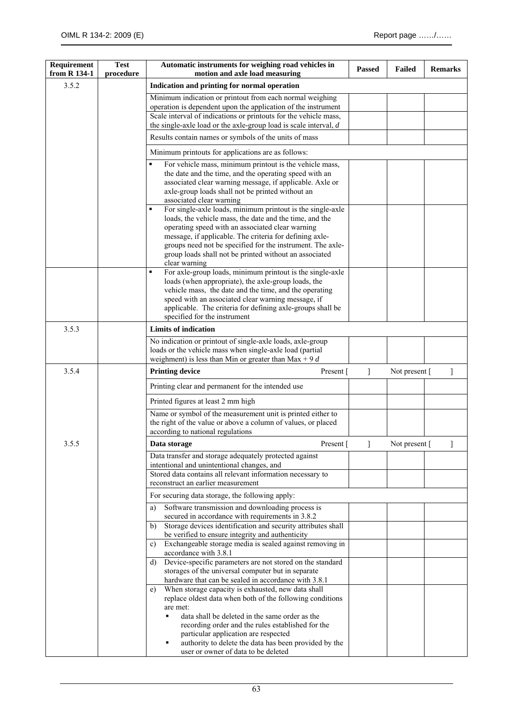| Requirement<br>from R 134-1 | <b>Test</b><br>procedure | Automatic instruments for weighing road vehicles in<br>motion and axle load measuring                                                                                                                                                                                                                                                                                                           | <b>Passed</b>  | <b>Failed</b>        | <b>Remarks</b> |
|-----------------------------|--------------------------|-------------------------------------------------------------------------------------------------------------------------------------------------------------------------------------------------------------------------------------------------------------------------------------------------------------------------------------------------------------------------------------------------|----------------|----------------------|----------------|
| 3.5.2                       |                          | Indication and printing for normal operation                                                                                                                                                                                                                                                                                                                                                    |                |                      |                |
|                             |                          | Minimum indication or printout from each normal weighing<br>operation is dependent upon the application of the instrument<br>Scale interval of indications or printouts for the vehicle mass,                                                                                                                                                                                                   |                |                      |                |
|                             |                          | the single-axle load or the axle-group load is scale interval, $d$                                                                                                                                                                                                                                                                                                                              |                |                      |                |
|                             |                          | Results contain names or symbols of the units of mass                                                                                                                                                                                                                                                                                                                                           |                |                      |                |
|                             |                          | Minimum printouts for applications are as follows:                                                                                                                                                                                                                                                                                                                                              |                |                      |                |
|                             |                          | For vehicle mass, minimum printout is the vehicle mass,<br>$\blacksquare$<br>the date and the time, and the operating speed with an<br>associated clear warning message, if applicable. Axle or<br>axle-group loads shall not be printed without an<br>associated clear warning                                                                                                                 |                |                      |                |
|                             |                          | For single-axle loads, minimum printout is the single-axle<br>$\blacksquare$<br>loads, the vehicle mass, the date and the time, and the<br>operating speed with an associated clear warning<br>message, if applicable. The criteria for defining axle-<br>groups need not be specified for the instrument. The axle-<br>group loads shall not be printed without an associated<br>clear warning |                |                      |                |
|                             |                          | For axle-group loads, minimum printout is the single-axle<br>$\blacksquare$<br>loads (when appropriate), the axle-group loads, the<br>vehicle mass, the date and the time, and the operating<br>speed with an associated clear warning message, if<br>applicable. The criteria for defining axle-groups shall be<br>specified for the instrument                                                |                |                      |                |
| 3.5.3                       |                          | <b>Limits of indication</b>                                                                                                                                                                                                                                                                                                                                                                     |                |                      |                |
|                             |                          | No indication or printout of single-axle loads, axle-group<br>loads or the vehicle mass when single-axle load (partial<br>weighment) is less than Min or greater than $Max + 9d$                                                                                                                                                                                                                |                |                      |                |
| 3.5.4                       |                          | <b>Printing device</b><br>Present [                                                                                                                                                                                                                                                                                                                                                             | 1              | Not present $\lceil$ | 1              |
|                             |                          | Printing clear and permanent for the intended use                                                                                                                                                                                                                                                                                                                                               |                |                      |                |
|                             |                          | Printed figures at least 2 mm high                                                                                                                                                                                                                                                                                                                                                              |                |                      |                |
|                             |                          | Name or symbol of the measurement unit is printed either to<br>the right of the value or above a column of values, or placed<br>according to national regulations                                                                                                                                                                                                                               |                |                      |                |
| 3.5.5                       |                          | Data storage<br>Present $\lceil$                                                                                                                                                                                                                                                                                                                                                                | $\,$ $\,$ $\,$ | Not present [        | 1              |
|                             |                          | Data transfer and storage adequately protected against<br>intentional and unintentional changes, and                                                                                                                                                                                                                                                                                            |                |                      |                |
|                             |                          | Stored data contains all relevant information necessary to<br>reconstruct an earlier measurement                                                                                                                                                                                                                                                                                                |                |                      |                |
|                             |                          | For securing data storage, the following apply:                                                                                                                                                                                                                                                                                                                                                 |                |                      |                |
|                             |                          | Software transmission and downloading process is<br>a)                                                                                                                                                                                                                                                                                                                                          |                |                      |                |
|                             |                          | secured in accordance with requirements in 3.8.2<br>Storage devices identification and security attributes shall<br>b)                                                                                                                                                                                                                                                                          |                |                      |                |
|                             |                          | be verified to ensure integrity and authenticity                                                                                                                                                                                                                                                                                                                                                |                |                      |                |
|                             |                          | Exchangeable storage media is sealed against removing in<br>c)<br>accordance with 3.8.1                                                                                                                                                                                                                                                                                                         |                |                      |                |
|                             |                          | Device-specific parameters are not stored on the standard<br>d)<br>storages of the universal computer but in separate                                                                                                                                                                                                                                                                           |                |                      |                |
|                             |                          | hardware that can be sealed in accordance with 3.8.1<br>When storage capacity is exhausted, new data shall<br>e)<br>replace oldest data when both of the following conditions<br>are met:<br>data shall be deleted in the same order as the                                                                                                                                                     |                |                      |                |
|                             |                          | recording order and the rules established for the<br>particular application are respected<br>authority to delete the data has been provided by the<br>user or owner of data to be deleted                                                                                                                                                                                                       |                |                      |                |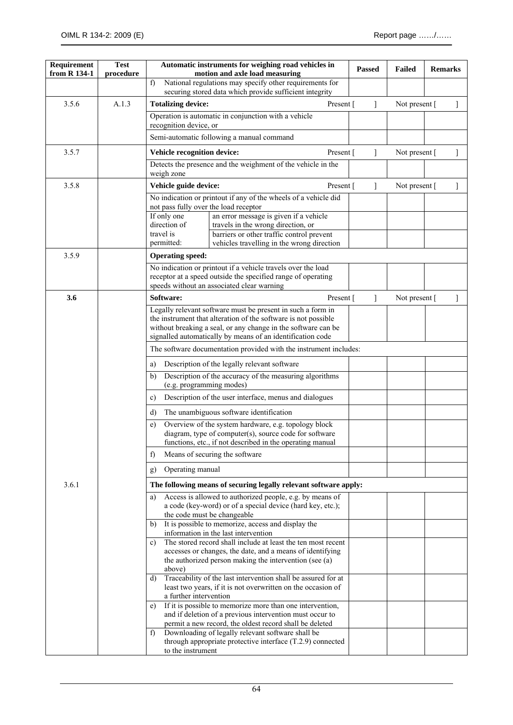| Requirement<br>from R 134-1 | <b>Test</b><br>procedure |                                                                            | Automatic instruments for weighing road vehicles in<br>motion and axle load measuring                                                                                                                                                                        |           | <b>Passed</b> | <b>Failed</b>        | <b>Remarks</b> |   |
|-----------------------------|--------------------------|----------------------------------------------------------------------------|--------------------------------------------------------------------------------------------------------------------------------------------------------------------------------------------------------------------------------------------------------------|-----------|---------------|----------------------|----------------|---|
|                             |                          | $\mathbf{f}$                                                               | National regulations may specify other requirements for<br>securing stored data which provide sufficient integrity                                                                                                                                           |           |               |                      |                |   |
| 3.5.6                       | A.1.3                    | <b>Totalizing device:</b>                                                  |                                                                                                                                                                                                                                                              | Present [ | 1             | Not present [        |                |   |
|                             |                          | recognition device, or                                                     | Operation is automatic in conjunction with a vehicle                                                                                                                                                                                                         |           |               |                      |                |   |
|                             |                          |                                                                            | Semi-automatic following a manual command                                                                                                                                                                                                                    |           |               |                      |                |   |
| 3.5.7                       |                          | Vehicle recognition device:<br>Present [                                   |                                                                                                                                                                                                                                                              |           | 1             | Not present $\lceil$ |                |   |
|                             |                          | Detects the presence and the weighment of the vehicle in the<br>weigh zone |                                                                                                                                                                                                                                                              |           |               |                      |                |   |
| 3.5.8                       |                          | Vehicle guide device:                                                      |                                                                                                                                                                                                                                                              | Present [ | 1             | Not present [        |                | 1 |
|                             |                          | not pass fully over the load receptor                                      | No indication or printout if any of the wheels of a vehicle did                                                                                                                                                                                              |           |               |                      |                |   |
|                             |                          | If only one<br>direction of<br>travel is                                   | an error message is given if a vehicle<br>travels in the wrong direction, or<br>barriers or other traffic control prevent                                                                                                                                    |           |               |                      |                |   |
|                             |                          | permitted:                                                                 | vehicles travelling in the wrong direction                                                                                                                                                                                                                   |           |               |                      |                |   |
| 3.5.9                       |                          | <b>Operating speed:</b>                                                    | No indication or printout if a vehicle travels over the load                                                                                                                                                                                                 |           |               |                      |                |   |
|                             |                          |                                                                            | receptor at a speed outside the specified range of operating<br>speeds without an associated clear warning                                                                                                                                                   |           |               |                      |                |   |
| 3.6                         |                          | Software:                                                                  |                                                                                                                                                                                                                                                              | Present [ | 1             | Not present $\lceil$ |                | 1 |
|                             |                          |                                                                            | Legally relevant software must be present in such a form in<br>the instrument that alteration of the software is not possible<br>without breaking a seal, or any change in the software can be<br>signalled automatically by means of an identification code |           |               |                      |                |   |
|                             |                          |                                                                            | The software documentation provided with the instrument includes:                                                                                                                                                                                            |           |               |                      |                |   |
|                             |                          | a)                                                                         | Description of the legally relevant software                                                                                                                                                                                                                 |           |               |                      |                |   |
|                             |                          | b)<br>(e.g. programming modes)                                             | Description of the accuracy of the measuring algorithms                                                                                                                                                                                                      |           |               |                      |                |   |
|                             |                          | Description of the user interface, menus and dialogues<br>c)               |                                                                                                                                                                                                                                                              |           |               |                      |                |   |
|                             |                          | The unambiguous software identification<br>$\mathbf{d}$                    |                                                                                                                                                                                                                                                              |           |               |                      |                |   |
|                             |                          | e)                                                                         | Overview of the system hardware, e.g. topology block<br>diagram, type of computer(s), source code for software<br>functions, etc., if not described in the operating manual                                                                                  |           |               |                      |                |   |
|                             |                          | $\mathbf{f}$                                                               | Means of securing the software                                                                                                                                                                                                                               |           |               |                      |                |   |
|                             |                          | Operating manual<br>g)                                                     |                                                                                                                                                                                                                                                              |           |               |                      |                |   |
| 3.6.1                       |                          |                                                                            | The following means of securing legally relevant software apply:                                                                                                                                                                                             |           |               |                      |                |   |
|                             |                          | a)                                                                         | Access is allowed to authorized people, e.g. by means of<br>a code (key-word) or of a special device (hard key, etc.);                                                                                                                                       |           |               |                      |                |   |
|                             |                          | b)                                                                         | the code must be changeable<br>It is possible to memorize, access and display the<br>information in the last intervention                                                                                                                                    |           |               |                      |                |   |
|                             |                          | c)<br>above)                                                               | The stored record shall include at least the ten most recent<br>accesses or changes, the date, and a means of identifying<br>the authorized person making the intervention (see (a)                                                                          |           |               |                      |                |   |
|                             |                          | d)<br>a further intervention                                               | Traceability of the last intervention shall be assured for at<br>least two years, if it is not overwritten on the occasion of                                                                                                                                |           |               |                      |                |   |
|                             |                          | e)                                                                         | If it is possible to memorize more than one intervention,<br>and if deletion of a previous intervention must occur to<br>permit a new record, the oldest record shall be deleted                                                                             |           |               |                      |                |   |
|                             |                          | f)<br>to the instrument                                                    | Downloading of legally relevant software shall be<br>through appropriate protective interface (T.2.9) connected                                                                                                                                              |           |               |                      |                |   |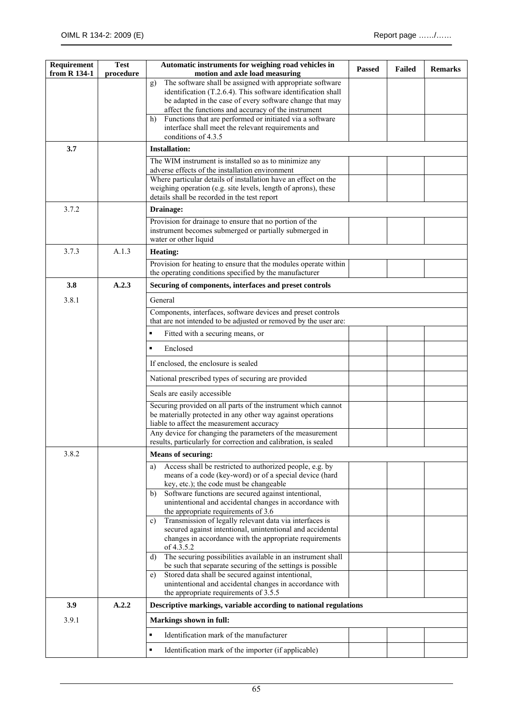| Requirement<br>from R 134-1 | <b>Test</b><br>procedure | Automatic instruments for weighing road vehicles in<br>motion and axle load measuring                                                                                            | <b>Passed</b> | <b>Failed</b> | <b>Remarks</b> |
|-----------------------------|--------------------------|----------------------------------------------------------------------------------------------------------------------------------------------------------------------------------|---------------|---------------|----------------|
|                             |                          | The software shall be assigned with appropriate software<br>g)<br>identification (T.2.6.4). This software identification shall                                                   |               |               |                |
|                             |                          | be adapted in the case of every software change that may                                                                                                                         |               |               |                |
|                             |                          | affect the functions and accuracy of the instrument<br>Functions that are performed or initiated via a software<br>h)                                                            |               |               |                |
|                             |                          | interface shall meet the relevant requirements and<br>conditions of 4.3.5                                                                                                        |               |               |                |
| 3.7                         |                          | <b>Installation:</b>                                                                                                                                                             |               |               |                |
|                             |                          | The WIM instrument is installed so as to minimize any<br>adverse effects of the installation environment                                                                         |               |               |                |
|                             |                          | Where particular details of installation have an effect on the<br>weighing operation (e.g. site levels, length of aprons), these<br>details shall be recorded in the test report |               |               |                |
| 3.7.2                       |                          | Drainage:                                                                                                                                                                        |               |               |                |
|                             |                          | Provision for drainage to ensure that no portion of the<br>instrument becomes submerged or partially submerged in<br>water or other liquid                                       |               |               |                |
| 3.7.3                       | A.1.3                    | <b>Heating:</b>                                                                                                                                                                  |               |               |                |
|                             |                          | Provision for heating to ensure that the modules operate within<br>the operating conditions specified by the manufacturer                                                        |               |               |                |
| 3.8                         | A.2.3                    | Securing of components, interfaces and preset controls                                                                                                                           |               |               |                |
| 3.8.1                       |                          | General                                                                                                                                                                          |               |               |                |
|                             |                          | Components, interfaces, software devices and preset controls<br>that are not intended to be adjusted or removed by the user are:                                                 |               |               |                |
|                             |                          | Fitted with a securing means, or                                                                                                                                                 |               |               |                |
|                             |                          | Enclosed<br>$\blacksquare$                                                                                                                                                       |               |               |                |
|                             |                          | If enclosed, the enclosure is sealed                                                                                                                                             |               |               |                |
|                             |                          | National prescribed types of securing are provided                                                                                                                               |               |               |                |
|                             |                          | Seals are easily accessible                                                                                                                                                      |               |               |                |
|                             |                          | Securing provided on all parts of the instrument which cannot<br>be materially protected in any other way against operations                                                     |               |               |                |
|                             |                          | liable to affect the measurement accuracy                                                                                                                                        |               |               |                |
|                             |                          | Any device for changing the parameters of the measurement<br>results, particularly for correction and calibration, is sealed                                                     |               |               |                |
| 3.8.2                       |                          | <b>Means of securing:</b>                                                                                                                                                        |               |               |                |
|                             |                          | Access shall be restricted to authorized people, e.g. by<br>a)                                                                                                                   |               |               |                |
|                             |                          | means of a code (key-word) or of a special device (hard<br>key, etc.); the code must be changeable                                                                               |               |               |                |
|                             |                          | Software functions are secured against intentional,<br>b)<br>unintentional and accidental changes in accordance with                                                             |               |               |                |
|                             |                          | the appropriate requirements of 3.6                                                                                                                                              |               |               |                |
|                             |                          | Transmission of legally relevant data via interfaces is<br>c)<br>secured against intentional, unintentional and accidental                                                       |               |               |                |
|                             |                          | changes in accordance with the appropriate requirements                                                                                                                          |               |               |                |
|                             |                          | of 4.3.5.2<br>The securing possibilities available in an instrument shall<br>d)                                                                                                  |               |               |                |
|                             |                          | be such that separate securing of the settings is possible                                                                                                                       |               |               |                |
|                             |                          | Stored data shall be secured against intentional,<br>e)<br>unintentional and accidental changes in accordance with<br>the appropriate requirements of 3.5.5                      |               |               |                |
| 3.9                         | A.2.2                    | Descriptive markings, variable according to national regulations                                                                                                                 |               |               |                |
| 3.9.1                       |                          | Markings shown in full:                                                                                                                                                          |               |               |                |
|                             |                          | Identification mark of the manufacturer<br>٠                                                                                                                                     |               |               |                |
|                             |                          | $\blacksquare$<br>Identification mark of the importer (if applicable)                                                                                                            |               |               |                |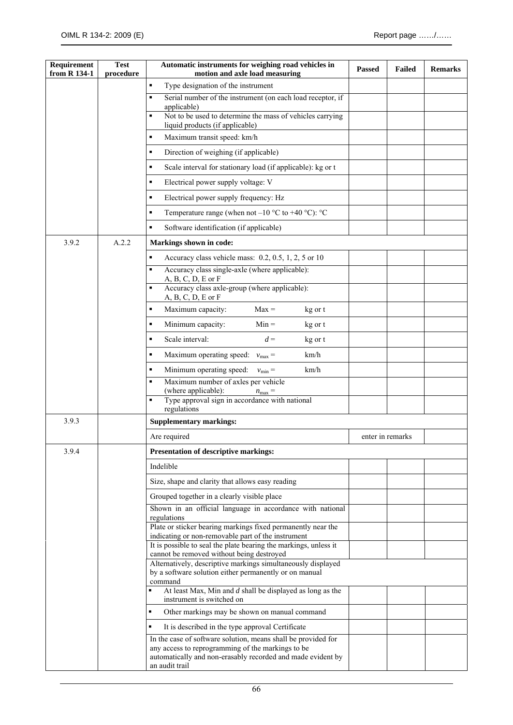| Requirement<br>from R 134-1 | <b>Test</b><br>procedure | Automatic instruments for weighing road vehicles in<br>motion and axle load measuring                                         | <b>Passed</b> | <b>Failed</b>    | <b>Remarks</b> |
|-----------------------------|--------------------------|-------------------------------------------------------------------------------------------------------------------------------|---------------|------------------|----------------|
|                             |                          | Type designation of the instrument<br>٠                                                                                       |               |                  |                |
|                             |                          | Serial number of the instrument (on each load receptor, if<br>$\blacksquare$                                                  |               |                  |                |
|                             |                          | applicable)<br>Not to be used to determine the mass of vehicles carrying<br>п                                                 |               |                  |                |
|                             |                          | liquid products (if applicable)<br>Maximum transit speed: km/h<br>п                                                           |               |                  |                |
|                             |                          | Direction of weighing (if applicable)<br>п                                                                                    |               |                  |                |
|                             |                          | п                                                                                                                             |               |                  |                |
|                             |                          | Scale interval for stationary load (if applicable): kg or t<br>п                                                              |               |                  |                |
|                             |                          | Electrical power supply voltage: V<br>Electrical power supply frequency: Hz<br>п                                              |               |                  |                |
|                             |                          | п                                                                                                                             |               |                  |                |
|                             |                          | Temperature range (when not $-10$ °C to $+40$ °C): °C<br>٠                                                                    |               |                  |                |
|                             |                          | Software identification (if applicable)                                                                                       |               |                  |                |
| 3.9.2                       | A.2.2                    | Markings shown in code:                                                                                                       |               |                  |                |
|                             |                          | Accuracy class vehicle mass: 0.2, 0.5, 1, 2, 5 or 10<br>٠<br>Accuracy class single-axle (where applicable):<br>$\blacksquare$ |               |                  |                |
|                             |                          | $A, B, C, D, E$ or $F$                                                                                                        |               |                  |                |
|                             |                          | Accuracy class axle-group (where applicable):<br>п<br>$A, B, C, D, E$ or $F$                                                  |               |                  |                |
|                             |                          | Maximum capacity:<br>$Max =$<br>٠<br>kg or t                                                                                  |               |                  |                |
|                             |                          | Minimum capacity:<br>$Min =$<br>п<br>kg or t                                                                                  |               |                  |                |
|                             |                          | Scale interval:<br>$d =$<br>п<br>kg or t                                                                                      |               |                  |                |
|                             |                          | Maximum operating speed:<br>km/h<br>п<br>$v_{\text{max}} =$                                                                   |               |                  |                |
|                             |                          | Minimum operating speed:<br>km/h<br>п<br>$v_{\rm min} =$                                                                      |               |                  |                |
|                             |                          | Maximum number of axles per vehicle<br>$\blacksquare$<br>(where applicable):<br>$n_{\text{max}} =$                            |               |                  |                |
|                             |                          | Type approval sign in accordance with national<br>п<br>regulations                                                            |               |                  |                |
| 3.9.3                       |                          | <b>Supplementary markings:</b>                                                                                                |               |                  |                |
|                             |                          | Are required                                                                                                                  |               | enter in remarks |                |
| 3.9.4                       |                          | Presentation of descriptive markings:                                                                                         |               |                  |                |
|                             |                          | Indelible                                                                                                                     |               |                  |                |
|                             |                          | Size, shape and clarity that allows easy reading                                                                              |               |                  |                |
|                             |                          | Grouped together in a clearly visible place                                                                                   |               |                  |                |
|                             |                          | Shown in an official language in accordance with national<br>regulations                                                      |               |                  |                |
|                             |                          | Plate or sticker bearing markings fixed permanently near the                                                                  |               |                  |                |
|                             |                          | indicating or non-removable part of the instrument<br>It is possible to seal the plate bearing the markings, unless it        |               |                  |                |
|                             |                          | cannot be removed without being destroyed<br>Alternatively, descriptive markings simultaneously displayed                     |               |                  |                |
|                             |                          | by a software solution either permanently or on manual<br>command                                                             |               |                  |                |
|                             |                          | At least Max, Min and $d$ shall be displayed as long as the<br>×,<br>instrument is switched on                                |               |                  |                |
|                             |                          | Other markings may be shown on manual command<br>٠                                                                            |               |                  |                |
|                             |                          | It is described in the type approval Certificate<br>٠                                                                         |               |                  |                |
|                             |                          | In the case of software solution, means shall be provided for                                                                 |               |                  |                |
|                             |                          | any access to reprogramming of the markings to be<br>automatically and non-erasably recorded and made evident by              |               |                  |                |
|                             |                          | an audit trail                                                                                                                |               |                  |                |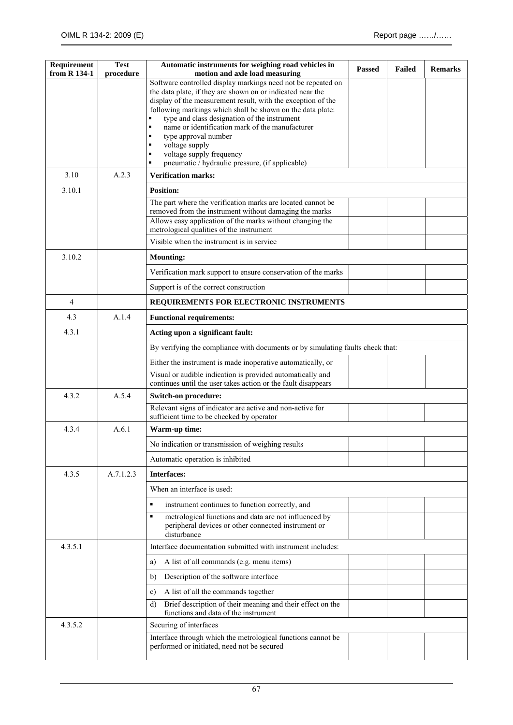| Requirement<br>from R 134-1 | <b>Test</b><br>procedure | Automatic instruments for weighing road vehicles in<br>motion and axle load measuring                                            | <b>Passed</b> | <b>Failed</b> | <b>Remarks</b> |
|-----------------------------|--------------------------|----------------------------------------------------------------------------------------------------------------------------------|---------------|---------------|----------------|
|                             |                          | Software controlled display markings need not be repeated on                                                                     |               |               |                |
|                             |                          | the data plate, if they are shown on or indicated near the<br>display of the measurement result, with the exception of the       |               |               |                |
|                             |                          | following markings which shall be shown on the data plate:                                                                       |               |               |                |
|                             |                          | type and class designation of the instrument<br>٠<br>$\blacksquare$                                                              |               |               |                |
|                             |                          | name or identification mark of the manufacturer<br>type approval number<br>٠                                                     |               |               |                |
|                             |                          | voltage supply                                                                                                                   |               |               |                |
|                             |                          | voltage supply frequency<br>٠<br>pneumatic / hydraulic pressure, (if applicable)<br>$\blacksquare$                               |               |               |                |
| 3.10                        | A.2.3                    | <b>Verification marks:</b>                                                                                                       |               |               |                |
| 3.10.1                      |                          | <b>Position:</b>                                                                                                                 |               |               |                |
|                             |                          | The part where the verification marks are located cannot be                                                                      |               |               |                |
|                             |                          | removed from the instrument without damaging the marks<br>Allows easy application of the marks without changing the              |               |               |                |
|                             |                          | metrological qualities of the instrument                                                                                         |               |               |                |
|                             |                          | Visible when the instrument is in service                                                                                        |               |               |                |
| 3.10.2                      |                          | <b>Mounting:</b>                                                                                                                 |               |               |                |
|                             |                          | Verification mark support to ensure conservation of the marks                                                                    |               |               |                |
|                             |                          | Support is of the correct construction                                                                                           |               |               |                |
| $\overline{4}$              |                          | REQUIREMENTS FOR ELECTRONIC INSTRUMENTS                                                                                          |               |               |                |
| 4.3                         | A.1.4                    | <b>Functional requirements:</b>                                                                                                  |               |               |                |
| 4.3.1                       |                          | Acting upon a significant fault:                                                                                                 |               |               |                |
|                             |                          | By verifying the compliance with documents or by simulating faults check that:                                                   |               |               |                |
|                             |                          | Either the instrument is made inoperative automatically, or                                                                      |               |               |                |
|                             |                          | Visual or audible indication is provided automatically and<br>continues until the user takes action or the fault disappears      |               |               |                |
| 4.3.2                       | A.5.4                    | <b>Switch-on procedure:</b>                                                                                                      |               |               |                |
|                             |                          | Relevant signs of indicator are active and non-active for<br>sufficient time to be checked by operator                           |               |               |                |
| 4.3.4                       | A.6.1                    | Warm-up time:                                                                                                                    |               |               |                |
|                             |                          | No indication or transmission of weighing results                                                                                |               |               |                |
|                             |                          | Automatic operation is inhibited                                                                                                 |               |               |                |
| 4.3.5                       | A.7.1.2.3                | <b>Interfaces:</b>                                                                                                               |               |               |                |
|                             |                          | When an interface is used:                                                                                                       |               |               |                |
|                             |                          | ٠<br>instrument continues to function correctly, and                                                                             |               |               |                |
|                             |                          | metrological functions and data are not influenced by<br>٠<br>peripheral devices or other connected instrument or<br>disturbance |               |               |                |
| 4.3.5.1                     |                          | Interface documentation submitted with instrument includes:                                                                      |               |               |                |
|                             |                          | A list of all commands (e.g. menu items)<br>a)                                                                                   |               |               |                |
|                             |                          | Description of the software interface<br>b)                                                                                      |               |               |                |
|                             |                          | A list of all the commands together<br>c)                                                                                        |               |               |                |
|                             |                          | Brief description of their meaning and their effect on the<br>d)<br>functions and data of the instrument                         |               |               |                |
| 4.3.5.2                     |                          | Securing of interfaces                                                                                                           |               |               |                |
|                             |                          | Interface through which the metrological functions cannot be<br>performed or initiated, need not be secured                      |               |               |                |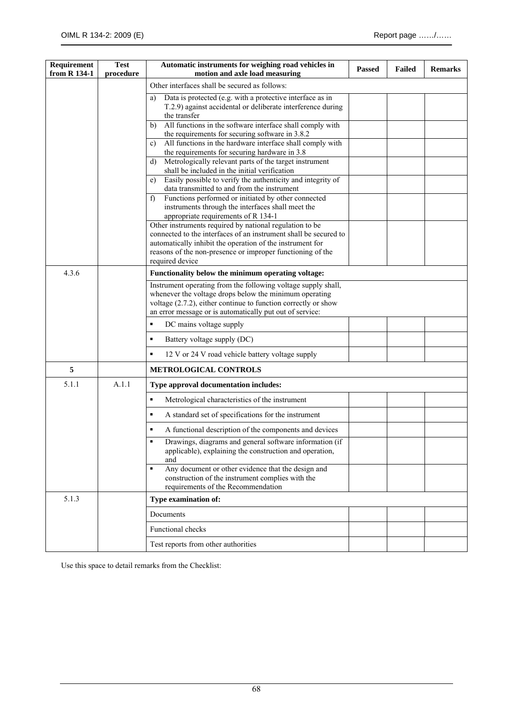| Requirement<br>from R 134-1 | <b>Test</b><br>procedure | Automatic instruments for weighing road vehicles in<br>motion and axle load measuring                                                                          | <b>Passed</b> | <b>Failed</b> | <b>Remarks</b> |
|-----------------------------|--------------------------|----------------------------------------------------------------------------------------------------------------------------------------------------------------|---------------|---------------|----------------|
|                             |                          | Other interfaces shall be secured as follows:                                                                                                                  |               |               |                |
|                             |                          | Data is protected (e.g. with a protective interface as in<br>a)                                                                                                |               |               |                |
|                             |                          | T.2.9) against accidental or deliberate interference during                                                                                                    |               |               |                |
|                             |                          | the transfer<br>All functions in the software interface shall comply with<br>b)                                                                                |               |               |                |
|                             |                          | the requirements for securing software in 3.8.2                                                                                                                |               |               |                |
|                             |                          | All functions in the hardware interface shall comply with<br>c)<br>the requirements for securing hardware in 3.8                                               |               |               |                |
|                             |                          | Metrologically relevant parts of the target instrument<br>d)                                                                                                   |               |               |                |
|                             |                          | shall be included in the initial verification                                                                                                                  |               |               |                |
|                             |                          | Easily possible to verify the authenticity and integrity of<br>e)<br>data transmitted to and from the instrument                                               |               |               |                |
|                             |                          | Functions performed or initiated by other connected<br>f                                                                                                       |               |               |                |
|                             |                          | instruments through the interfaces shall meet the                                                                                                              |               |               |                |
|                             |                          | appropriate requirements of R 134-1<br>Other instruments required by national regulation to be                                                                 |               |               |                |
|                             |                          | connected to the interfaces of an instrument shall be secured to                                                                                               |               |               |                |
|                             |                          | automatically inhibit the operation of the instrument for                                                                                                      |               |               |                |
|                             |                          | reasons of the non-presence or improper functioning of the<br>required device                                                                                  |               |               |                |
| 4.3.6                       |                          | Functionality below the minimum operating voltage:                                                                                                             |               |               |                |
|                             |                          | Instrument operating from the following voltage supply shall,<br>whenever the voltage drops below the minimum operating                                        |               |               |                |
|                             |                          | voltage (2.7.2), either continue to function correctly or show                                                                                                 |               |               |                |
|                             |                          | an error message or is automatically put out of service:                                                                                                       |               |               |                |
|                             |                          | DC mains voltage supply<br>٠                                                                                                                                   |               |               |                |
|                             |                          | ٠<br>Battery voltage supply (DC)                                                                                                                               |               |               |                |
|                             |                          | 12 V or 24 V road vehicle battery voltage supply<br>٠                                                                                                          |               |               |                |
| 5                           |                          | <b>METROLOGICAL CONTROLS</b>                                                                                                                                   |               |               |                |
| 5.1.1                       | A.1.1                    | Type approval documentation includes:                                                                                                                          |               |               |                |
|                             |                          | Metrological characteristics of the instrument<br>٠                                                                                                            |               |               |                |
|                             |                          | A standard set of specifications for the instrument                                                                                                            |               |               |                |
|                             |                          | A functional description of the components and devices                                                                                                         |               |               |                |
|                             |                          | Drawings, diagrams and general software information (if<br>$\blacksquare$<br>applicable), explaining the construction and operation,<br>and                    |               |               |                |
|                             |                          | Any document or other evidence that the design and<br>$\blacksquare$<br>construction of the instrument complies with the<br>requirements of the Recommendation |               |               |                |
| 5.1.3                       |                          | Type examination of:                                                                                                                                           |               |               |                |
|                             |                          | Documents                                                                                                                                                      |               |               |                |
|                             |                          | Functional checks                                                                                                                                              |               |               |                |
|                             |                          | Test reports from other authorities                                                                                                                            |               |               |                |

Use this space to detail remarks from the Checklist: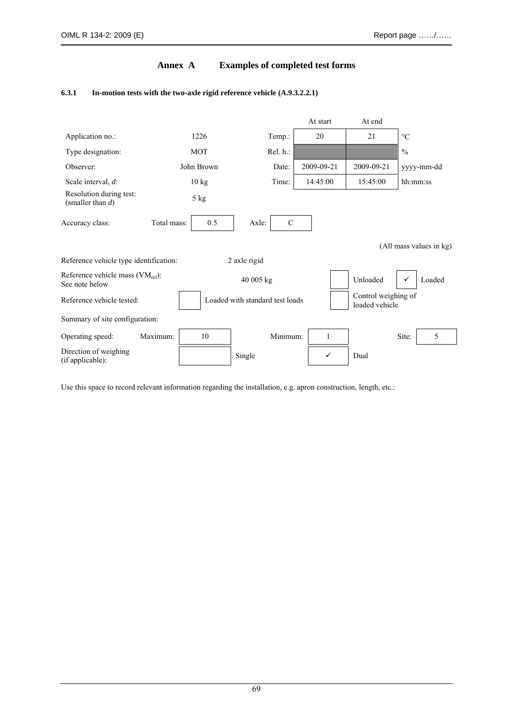## **Annex A Examples of completed test forms**

#### **6.3.1 In-motion tests with the two-axle rigid reference vehicle (A.9.3.2.2.1)**



Use this space to record relevant information regarding the installation, e.g. apron construction, length, etc.: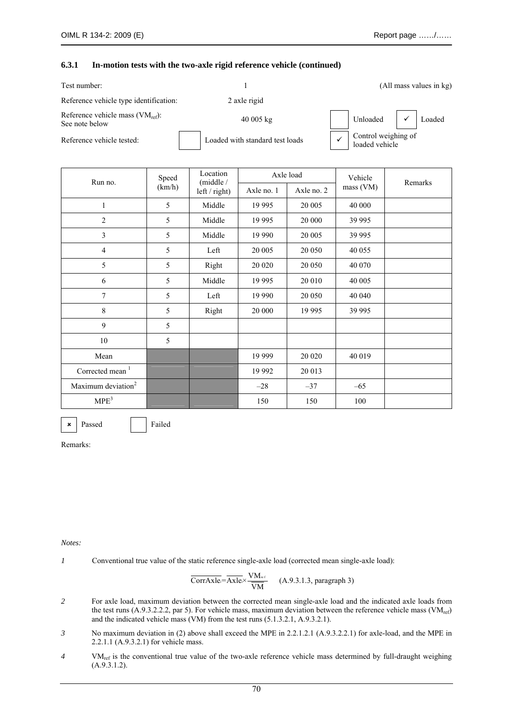#### **6.3.1 In-motion tests with the two-axle rigid reference vehicle (continued)**

| Test number:                                            |                                 | (All mass values in kg) |                                       |  |  |
|---------------------------------------------------------|---------------------------------|-------------------------|---------------------------------------|--|--|
| Reference vehicle type identification:                  | 2 axle rigid                    |                         |                                       |  |  |
| Reference vehicle mass $(VM_{ref})$ :<br>See note below | 40 005 kg                       |                         | Unloaded $\checkmark$ Loaded          |  |  |
| Reference vehicle tested:                               | Loaded with standard test loads |                         | Control weighing of<br>loaded vehicle |  |  |

| Run no.                        | Speed  | Location<br>(middle / |            | Axle load  | Vehicle   | Remarks |  |
|--------------------------------|--------|-----------------------|------------|------------|-----------|---------|--|
|                                | (km/h) | $left / right$ )      | Axle no. 1 | Axle no. 2 | mass (VM) |         |  |
| $\mathbf{1}$                   | 5      | Middle                | 19 9 95    | 20 005     | 40 000    |         |  |
| $\overline{2}$                 | 5      | Middle                | 19 9 95    | 20 000     | 39 995    |         |  |
| $\overline{3}$                 | 5      | Middle                | 19 990     | 20 005     | 39 995    |         |  |
| $\overline{4}$                 | 5      | Left                  | 20 005     | 20 050     | 40 055    |         |  |
| 5                              | 5      | Right                 | 20 020     | 20 050     | 40 070    |         |  |
| 6                              | 5      | Middle                | 19 9 95    | 20 010     | 40 005    |         |  |
| 7                              | 5      | Left                  | 19 990     | 20 050     | 40 040    |         |  |
| 8                              | 5      | Right                 | 20 000     | 19 995     | 39 995    |         |  |
| 9                              | 5      |                       |            |            |           |         |  |
| 10                             | 5      |                       |            |            |           |         |  |
| Mean                           |        |                       | 19 9 99    | 20 020     | 40 019    |         |  |
| Corrected mean <sup>1</sup>    |        |                       | 19 992     | 20 013     |           |         |  |
| Maximum deviation <sup>2</sup> |        |                       | $-28$      | $-37$      | $-65$     |         |  |
| MPE <sup>3</sup>               |        |                       | 150        | 150        | 100       |         |  |

 $\mathbf{\times}$  Passed F

Remarks:

#### *Notes:*

*1* Conventional true value of the static reference single-axle load (corrected mean single-axle load):

$$
\overline{CorrAxle} = \overline{Axle} \times \frac{VM_{ref}}{VM}
$$
 (A.9.3.1.3, paragraph 3)

- *2* For axle load, maximum deviation between the corrected mean single-axle load and the indicated axle loads from the test runs  $(A.9.3.2.2.2,$  par 5). For vehicle mass, maximum deviation between the reference vehicle mass (VM<sub>ref</sub>) and the indicated vehicle mass (VM) from the test runs (5.1.3.2.1, A.9.3.2.1).
- *3* No maximum deviation in (2) above shall exceed the MPE in 2.2.1.2.1 (A.9.3.2.2.1) for axle-load, and the MPE in 2.2.1.1 (A.9.3.2.1) for vehicle mass.
- *4* VM<sub>ref</sub> is the conventional true value of the two-axle reference vehicle mass determined by full-draught weighing  $(A.9.3.1.2).$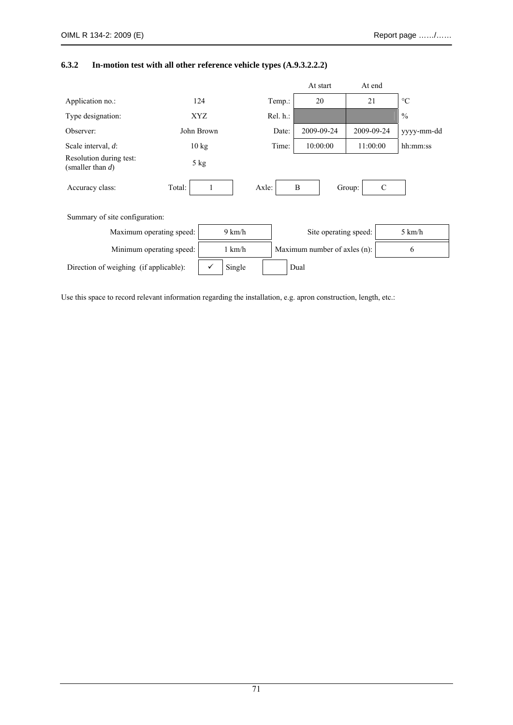# **6.3.2 In-motion test with all other reference vehicle types (A.9.3.2.2.2)**

|                                                |                          |                 |                  |       |          | At start                     | At end     |               |                  |
|------------------------------------------------|--------------------------|-----------------|------------------|-------|----------|------------------------------|------------|---------------|------------------|
| Application no.:                               |                          | 124             |                  |       | Temp.:   | 20                           | 21         |               | $\rm ^{\circ}C$  |
| Type designation:                              |                          | XYZ             |                  |       | Rel. h.: |                              |            |               | $\frac{0}{0}$    |
| Observer:                                      |                          | John Brown      |                  |       | Date:    | 2009-09-24                   | 2009-09-24 |               | yyyy-mm-dd       |
| Scale interval, d:                             |                          | $10 \text{ kg}$ |                  |       | Time:    | 10:00:00                     | 11:00:00   |               | hh:mm:ss         |
| Resolution during test:<br>(smaller than $d$ ) |                          | $5$ kg          |                  |       |          |                              |            |               |                  |
| Accuracy class:                                | Total:                   |                 |                  | Axle: |          | B                            | Group:     | $\mathcal{C}$ |                  |
| Summary of site configuration:                 |                          |                 |                  |       |          |                              |            |               |                  |
|                                                | Maximum operating speed: |                 |                  |       |          | Site operating speed:        |            |               | $5 \text{ km/h}$ |
| Minimum operating speed:                       |                          |                 | $1 \text{ km/h}$ |       |          | Maximum number of axles (n): |            |               | 6                |
| Direction of weighing (if applicable):         |                          | ✓               | Single           |       |          | Dual                         |            |               |                  |

Use this space to record relevant information regarding the installation, e.g. apron construction, length, etc.: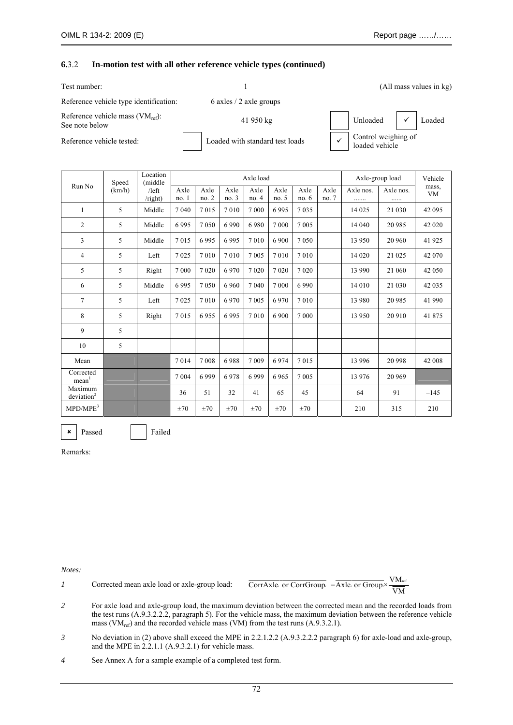#### **6.**3.2 **In-motion test with all other reference vehicle types (continued)**

| Test number:                                            |                                 |                                       | (All mass values in kg) |  |                     |  |
|---------------------------------------------------------|---------------------------------|---------------------------------------|-------------------------|--|---------------------|--|
| Reference vehicle type identification:                  | 6 axles $/2$ axle groups        |                                       |                         |  |                     |  |
| Reference vehicle mass $(VM_{ref})$ :<br>See note below | 41 950 kg                       |                                       | Unloaded                |  | Loaded              |  |
| Reference vehicle tested:                               | Loaded with standard test loads | Control weighing of<br>loaded vehicle |                         |  |                     |  |
| Location                                                | $A = \text{load}$               |                                       | Axle group load         |  | V <sub>ohiolo</sub> |  |

| Run No                            | Speed  | <b>Location</b><br>(middle)<br>/left<br>$\prime$ right) | Axle load    |              |               |              |               |              | Axle-group load |                | Vehicle        |                    |
|-----------------------------------|--------|---------------------------------------------------------|--------------|--------------|---------------|--------------|---------------|--------------|-----------------|----------------|----------------|--------------------|
|                                   | (km/h) |                                                         | Axle<br>no.1 | Axle<br>no.2 | Axle<br>no. 3 | Axle<br>no.4 | Axle<br>no. 5 | Axle<br>no.6 | Axle<br>no.7    | Axle nos.<br>. | Axle nos.<br>. | mass,<br><b>VM</b> |
| 1                                 | 5      | Middle                                                  | 7040         | 7015         | 7010          | 7 0 0 0      | 6995          | 7035         |                 | 14 0 25        | 21 030         | 42 095             |
| $\overline{c}$                    | 5      | Middle                                                  | 6995         | 7050         | 6990          | 6980         | 7 0 0 0       | 7 0 0 5      |                 | 14 040         | 20 985         | 42 020             |
| 3                                 | 5      | Middle                                                  | 7015         | 6995         | 6995          | 7010         | 6 900         | 7 0 5 0      |                 | 13 950         | 20 960         | 41 925             |
| 4                                 | 5      | Left                                                    | 7025         | 7010         | 7010          | 7 0 0 5      | 7010          | 7010         |                 | 14 0 20        | 21 025         | 42 070             |
| 5                                 | 5      | Right                                                   | 7 0 0 0      | 7020         | 6970          | 7020         | 7020          | 7020         |                 | 13 990         | 21 060         | 42 050             |
| 6                                 | 5      | Middle                                                  | 6995         | 7050         | 6 9 6 0       | 7 0 4 0      | 7 0 0 0       | 6990         |                 | 14 010         | 21 030         | 42 0 35            |
| $\overline{7}$                    | 5      | Left                                                    | 7025         | 7010         | 6970          | 7 0 0 5      | 6970          | 7010         |                 | 13 980         | 20 985         | 41 990             |
| 8                                 | 5      | Right                                                   | 7015         | 6955         | 6995          | 7010         | 6 9 0 0       | 7 0 0 0      |                 | 13 950         | 20 910         | 41 875             |
| 9                                 | 5      |                                                         |              |              |               |              |               |              |                 |                |                |                    |
| 10                                | 5      |                                                         |              |              |               |              |               |              |                 |                |                |                    |
| Mean                              |        |                                                         | 7014         | 7008         | 6988          | 7 0 0 9      | 6974          | 7015         |                 | 13 9 96        | 20 998         | 42 008             |
| Corrected<br>mean <sup>1</sup>    |        |                                                         | 7 0 0 4      | 6999         | 6978          | 6999         | 6965          | 7 0 0 5      |                 | 13 976         | 20 969         |                    |
| Maximum<br>deviation <sup>2</sup> |        |                                                         | 36           | 51           | 32            | 41           | 65            | 45           |                 | 64             | 91             | $-145$             |
| MPD/MPE <sup>3</sup>              |        |                                                         | $\pm 70$     | $\pm 70$     | $\pm 70$      | $\pm 70$     | $\pm 70$      | $\pm 70$     |                 | 210            | 315            | 210                |

Remarks:

**x** Passed Failed

*Notes:* 

*1* Corrected mean axle load or axle-group load:  $\overline{\text{CorrAxle}}$  or  $\overline{\text{CorrGroup}}$  =  $\overline{\text{Axle}}$  or  $\overline{\text{Group}} \times \frac{\text{VM}_{\text{ref}}}{\overline{\text{VM}}}$ 

- *2* For axle load and axle-group load, the maximum deviation between the corrected mean and the recorded loads from the test runs (A.9.3.2.2.2, paragraph 5). For the vehicle mass, the maximum deviation between the reference vehicle mass ( $VM_{ref}$ ) and the recorded vehicle mass (VM) from the test runs (A.9.3.2.1).
- *3* No deviation in (2) above shall exceed the MPE in 2.2.1.2.2 (A.9.3.2.2.2 paragraph 6) for axle-load and axle-group, and the MPE in  $2.2.1.1$  (A.9.3.2.1) for vehicle mass.
- *4* See Annex A for a sample example of a completed test form.